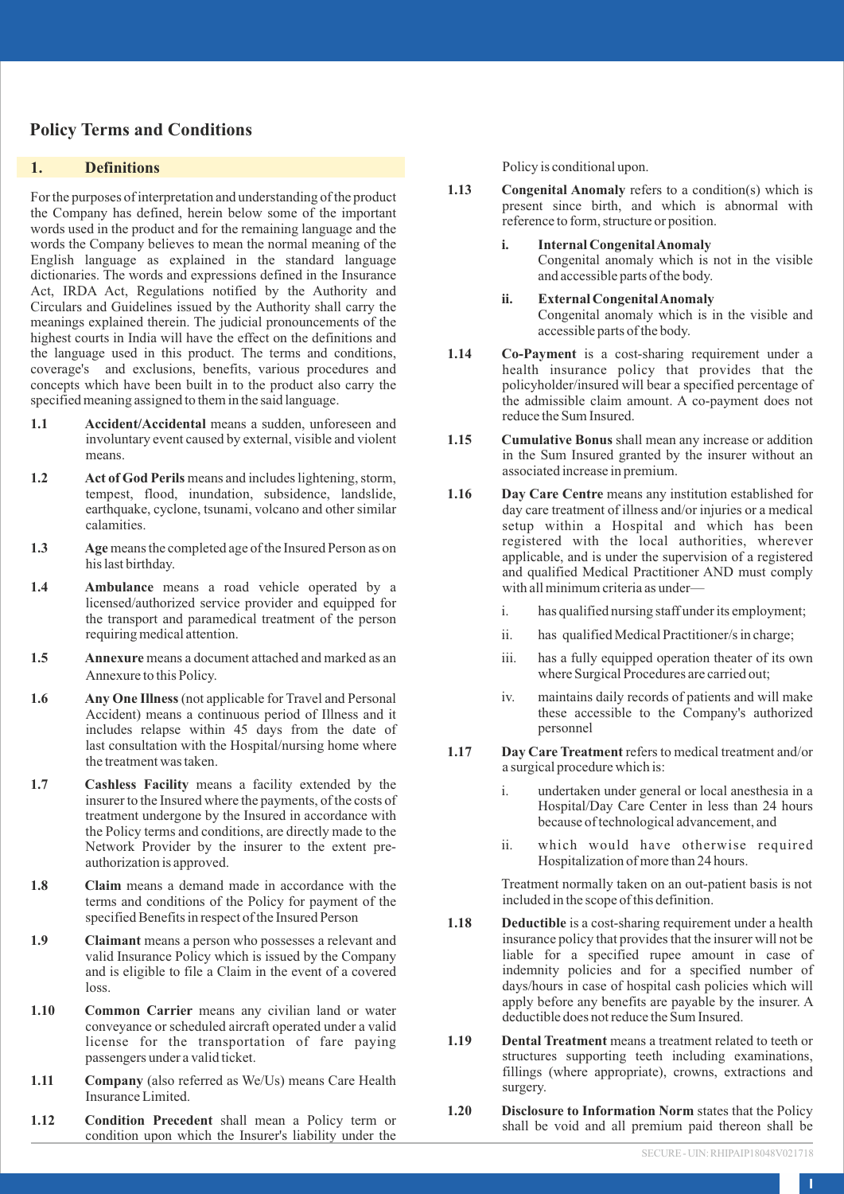# **Policy Terms and Conditions**

### **1. Definitions**

For the purposes of interpretation and understanding of the product the Company has defined, herein below some of the important words used in the product and for the remaining language and the words the Company believes to mean the normal meaning of the English language as explained in the standard language dictionaries. The words and expressions defined in the Insurance Act, IRDA Act, Regulations notified by the Authority and Circulars and Guidelines issued by the Authority shall carry the meanings explained therein. The judicial pronouncements of the highest courts in India will have the effect on the definitions and the language used in this product. The terms and conditions, coverage's and exclusions, benefits, various procedures and concepts which have been built in to the product also carry the specified meaning assigned to them in the said language.

- **1.1 Accident/Accidental** means a sudden, unforeseen and involuntary event caused by external, visible and violent means.
- 1.2 Act of God Perils means and includes lightening, storm, tempest, flood, inundation, subsidence, landslide, earthquake, cyclone, tsunami, volcano and other similar calamities.
- **1.3 Age** means the completed age of the Insured Person as on his last birthday.
- **1.4 Ambulance** means a road vehicle operated by a licensed/authorized service provider and equipped for the transport and paramedical treatment of the person requiring medical attention.
- **1.5 Annexure** means a document attached and marked as an Annexure to this Policy.
- **1.6 Any One Illness** (not applicable for Travel and Personal Accident) means a continuous period of Illness and it includes relapse within 45 days from the date of last consultation with the Hospital/nursing home where the treatment was taken.
- **1.7 Cashless Facility** means a facility extended by the insurer to the Insured where the payments, of the costs of treatment undergone by the Insured in accordance with the Policy terms and conditions, are directly made to the Network Provider by the insurer to the extent preauthorization is approved.
- **1.8 Claim** means a demand made in accordance with the terms and conditions of the Policy for payment of the specified Benefits in respect of the Insured Person
- **1.9 Claimant** means a person who possesses a relevant and valid Insurance Policy which is issued by the Company and is eligible to file a Claim in the event of a covered loss.
- **1.10 Common Carrier** means any civilian land or water conveyance or scheduled aircraft operated under a valid license for the transportation of fare paying passengers under a valid ticket.
- **1.11 Company** (also referred as We/Us) means Care Health Insurance Limited.
- **1.12 Condition Precedent** shall mean a Policy term or condition upon which the Insurer's liability under the

Policy is conditional upon.

- **1.13 Congenital Anomaly** refers to a condition(s) which is present since birth, and which is abnormal with reference to form, structure or position.
	- **i. Internal Congenital Anomaly**  Congenital anomaly which is not in the visible and accessible parts of the body.
	- **ii. External Congenital Anomaly**  Congenital anomaly which is in the visible and accessible parts of the body.
- **1.14 Co-Payment** is a cost-sharing requirement under a health insurance policy that provides that the policyholder/insured will bear a specified percentage of the admissible claim amount. A co-payment does not reduce the Sum Insured.
- **1.15 Cumulative Bonus** shall mean any increase or addition in the Sum Insured granted by the insurer without an associated increase in premium.
- **1.16 Day Care Centre** means any institution established for day care treatment of illness and/or injuries or a medical setup within a Hospital and which has been registered with the local authorities, wherever applicable, and is under the supervision of a registered and qualified Medical Practitioner AND must comply with all minimum criteria as under
	- i. has qualified nursing staff under its employment;
	- ii. has qualified Medical Practitioner/s in charge;
	- iii. has a fully equipped operation theater of its own where Surgical Procedures are carried out;
	- iv. maintains daily records of patients and will make these accessible to the Company's authorized personnel
- **1.17 Day Care Treatment** refers to medical treatment and/or a surgical procedure which is:
	- i. undertaken under general or local anesthesia in a Hospital/Day Care Center in less than 24 hours because of technological advancement, and
	- ii. which would have otherwise required Hospitalization of more than 24 hours.

Treatment normally taken on an out-patient basis is not included in the scope of this definition.

- **1.18** Deductible is a cost-sharing requirement under a health insurance policy that provides that the insurer will not be liable for a specified rupee amount in case of indemnity policies and for a specified number of days/hours in case of hospital cash policies which will apply before any benefits are payable by the insurer. A deductible does not reduce the Sum Insured.
- **1.19 Dental Treatment** means a treatment related to teeth or structures supporting teeth including examinations, fillings (where appropriate), crowns, extractions and surgery.
- **1.20 Disclosure to Information Norm** states that the Policy shall be void and all premium paid thereon shall be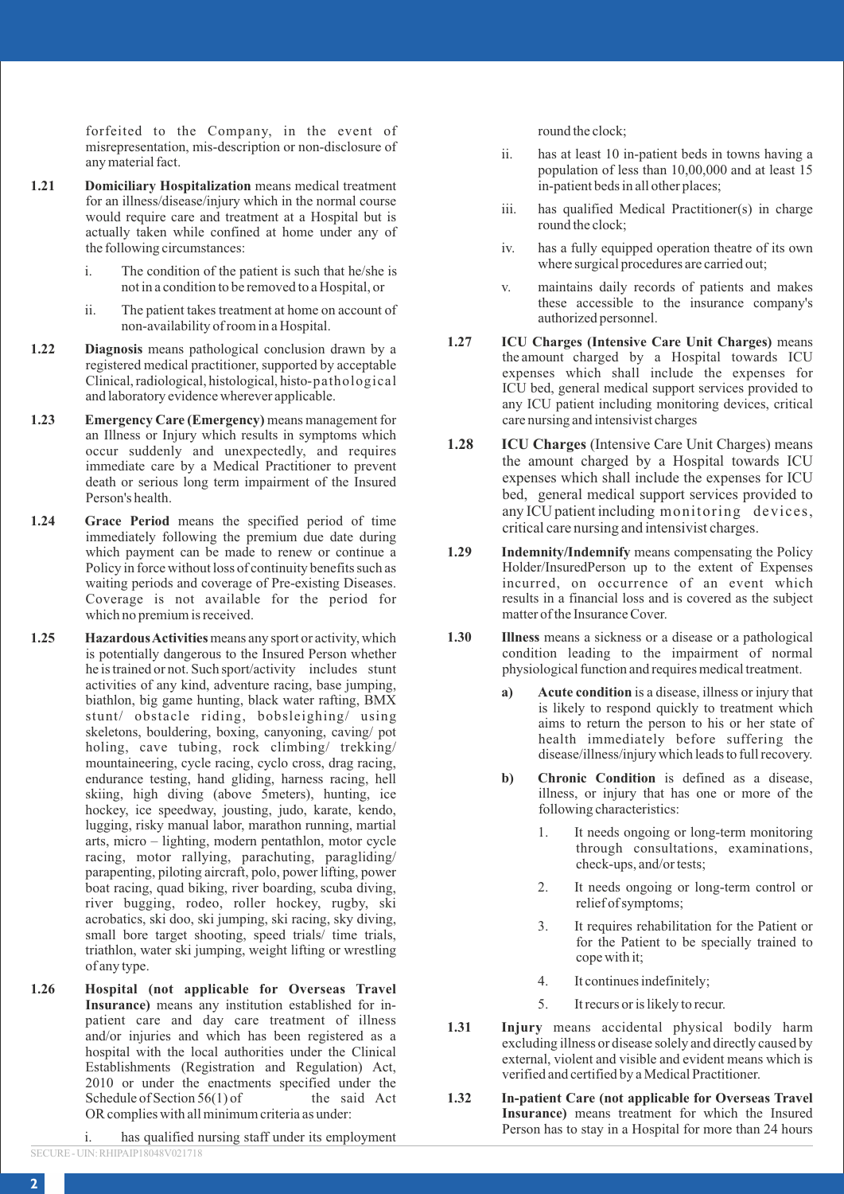forfeited to the Company, in the event of misrepresentation, mis-description or non-disclosure of any material fact.

- **1.21 Domiciliary Hospitalization** means medical treatment for an illness/disease/injury which in the normal course would require care and treatment at a Hospital but is actually taken while confined at home under any of the following circumstances:
	- i. The condition of the patient is such that he/she is not in a condition to be removed to a Hospital, or
	- ii. The patient takes treatment at home on account of non-availability of room in a Hospital.
- **1.22 Diagnosis** means pathological conclusion drawn by a registered medical practitioner, supported by acceptable Clinical, radiological, histological, histo- pathological and laboratory evidence wherever applicable.
- **1.23 Emergency Care (Emergency)** means management for an Illness or Injury which results in symptoms which occur suddenly and unexpectedly, and requires immediate care by a Medical Practitioner to prevent death or serious long term impairment of the Insured Person's health.
- **1.24 Grace Period** means the specified period of time immediately following the premium due date during which payment can be made to renew or continue a Policy in force without loss of continuity benefits such as waiting periods and coverage of Pre-existing Diseases. Coverage is not available for the period for which no premium is received.
- **1.25 Hazardous Activities** means any sport or activity, which is potentially dangerous to the Insured Person whether he is trained or not. Such sport/activity includes stunt activities of any kind, adventure racing, base jumping, biathlon, big game hunting, black water rafting, BMX stunt/ obstacle riding, bobsleighing/ using skeletons, bouldering, boxing, canyoning, caving/ pot holing, cave tubing, rock climbing/ trekking/ mountaineering, cycle racing, cyclo cross, drag racing, endurance testing, hand gliding, harness racing, hell skiing, high diving (above 5meters), hunting, ice hockey, ice speedway, jousting, judo, karate, kendo, lugging, risky manual labor, marathon running, martial arts, micro – lighting, modern pentathlon, motor cycle racing, motor rallying, parachuting, paragliding/ parapenting, piloting aircraft, polo, power lifting, power boat racing, quad biking, river boarding, scuba diving, river bugging, rodeo, roller hockey, rugby, ski acrobatics, ski doo, ski jumping, ski racing, sky diving, small bore target shooting, speed trials/ time trials, triathlon, water ski jumping, weight lifting or wrestling of any type.
- **1.26 Hospital (not applicable for Overseas Travel Insurance)** means any institution established for inpatient care and day care treatment of illness and/or injuries and which has been registered as a hospital with the local authorities under the Clinical Establishments (Registration and Regulation) Act, 2010 or under the enactments specified under the Schedule of Section  $56(1)$  of the said Act Schedule of Section  $56(1)$  of OR complies with all minimum criteria as under:

i. has qualified nursing staff under its employment SECURE - UIN: RHIPAIP18048V021718

round the clock;

- ii. has at least 10 in-patient beds in towns having a population of less than 10,00,000 and at least 15 in-patient beds in all other places;
- iii. has qualified Medical Practitioner(s) in charge round the clock;
- iv. has a fully equipped operation theatre of its own where surgical procedures are carried out;
- v. maintains daily records of patients and makes these accessible to the insurance company's authorized personnel.
- **1.27 ICU Charges (Intensive Care Unit Charges)** means the amount charged by a Hospital towards ICU expenses which shall include the expenses for ICU bed, general medical support services provided to any ICU patient including monitoring devices, critical care nursing and intensivist charges
- **1.28 ICU Charges** (Intensive Care Unit Charges) means the amount charged by a Hospital towards ICU expenses which shall include the expenses for ICU bed, general medical support services provided to any ICU patient including monitoring devices, critical care nursing and intensivist charges.
- **1.29 Indemnity/Indemnify** means compensating the Policy Holder/InsuredPerson up to the extent of Expenses incurred, on occurrence of an event which results in a financial loss and is covered as the subject matter of the Insurance Cover.
- **1.30 Illness** means a sickness or a disease or a pathological condition leading to the impairment of normal physiological function and requires medical treatment.
	- **a) Acute condition** is a disease, illness or injury that is likely to respond quickly to treatment which aims to return the person to his or her state of health immediately before suffering the disease/illness/injury which leads to full recovery.
	- **b) Chronic Condition** is defined as a disease, illness, or injury that has one or more of the following characteristics:
		- 1. It needs ongoing or long-term monitoring through consultations, examinations, check-ups, and/or tests;
		- 2. It needs ongoing or long-term control or relief of symptoms;
		- 3. It requires rehabilitation for the Patient or for the Patient to be specially trained to cope with it;
		- 4. It continues indefinitely;
		- 5. It recurs or is likely to recur.
- **1.31 Injury** means accidental physical bodily harm excluding illness or disease solely and directly caused by external, violent and visible and evident means which is verified and certified by a Medical Practitioner.
- **1.32 In-patient Care (not applicable for Overseas Travel Insurance)** means treatment for which the Insured Person has to stay in a Hospital for more than 24 hours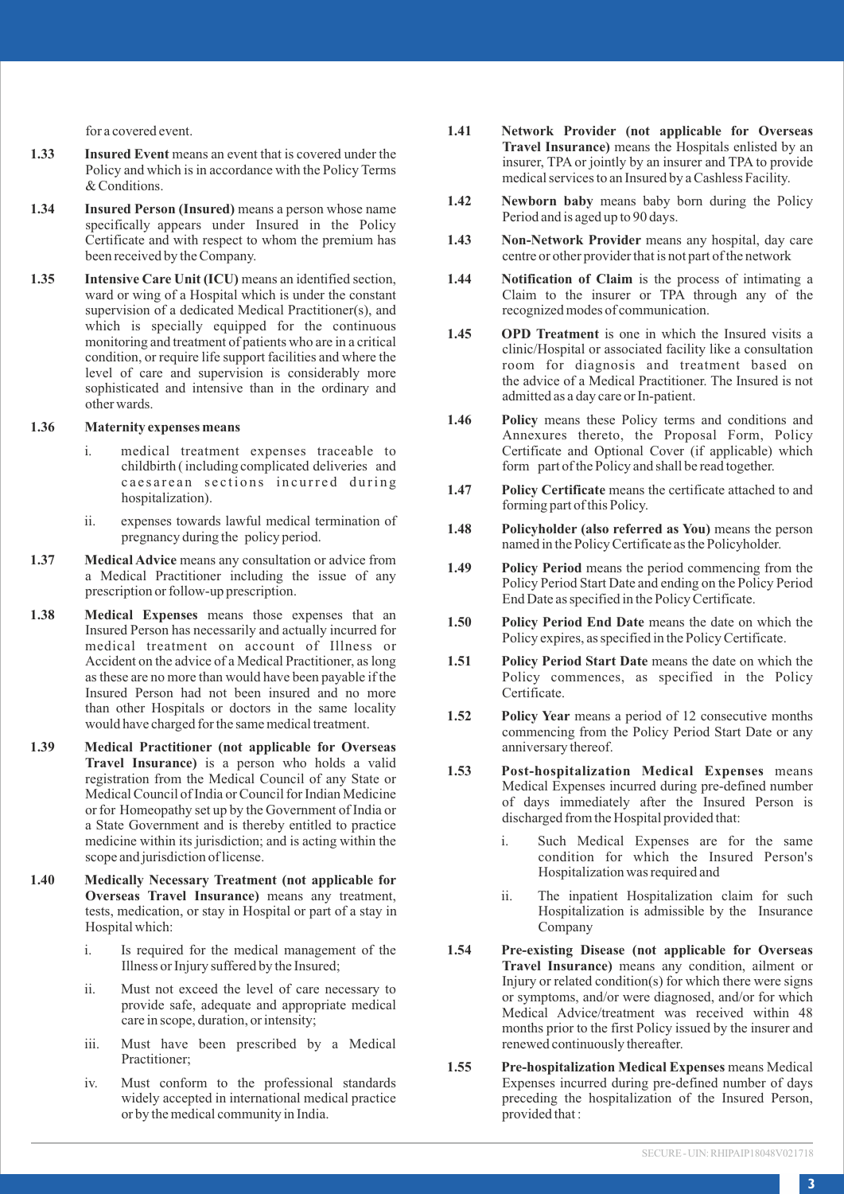for a covered event.

- **1.33 Insured Event** means an event that is covered under the Policy and which is in accordance with the Policy Terms & Conditions.
- **1.34 Insured Person (Insured)** means a person whose name specifically appears under Insured in the Policy Certificate and with respect to whom the premium has been received by the Company.
- **1.35 Intensive Care Unit (ICU)** means an identified section, ward or wing of a Hospital which is under the constant supervision of a dedicated Medical Practitioner(s), and which is specially equipped for the continuous monitoring and treatment of patients who are in a critical condition, or require life support facilities and where the level of care and supervision is considerably more sophisticated and intensive than in the ordinary and other wards.

### **1.36 Maternity expenses means**

- i. medical treatment expenses traceable to childbirth ( including complicated deliveries and caesarean sections incurred during hospitalization).
- ii. expenses towards lawful medical termination of pregnancy during the policy period.
- **1.37 Medical Advice** means any consultation or advice from a Medical Practitioner including the issue of any prescription or follow-up prescription.
- **1.38 Medical Expenses** means those expenses that an Insured Person has necessarily and actually incurred for medical treatment on account of Illness or Accident on the advice of a Medical Practitioner, as long as these are no more than would have been payable if the Insured Person had not been insured and no more than other Hospitals or doctors in the same locality would have charged for the same medical treatment.
- **1.39 Medical Practitioner (not applicable for Overseas Travel Insurance)** is a person who holds a valid registration from the Medical Council of any State or Medical Council of India or Council for Indian Medicine or for Homeopathy set up by the Government of India or a State Government and is thereby entitled to practice medicine within its jurisdiction; and is acting within the scope and jurisdiction of license.
- **1.40 Medically Necessary Treatment (not applicable for Overseas Travel Insurance)** means any treatment, tests, medication, or stay in Hospital or part of a stay in Hospital which:
	- i. Is required for the medical management of the Illness or Injury suffered by the Insured;
	- ii. Must not exceed the level of care necessary to provide safe, adequate and appropriate medical care in scope, duration, or intensity;
	- iii. Must have been prescribed by a Medical Practitioner;
	- iv. Must conform to the professional standards widely accepted in international medical practice or by the medical community in India.
- **1.41 Network Provider (not applicable for Overseas Travel Insurance)** means the Hospitals enlisted by an insurer, TPA or jointly by an insurer and TPA to provide medical services to an Insured by a Cashless Facility.
- **1.42 Newborn baby** means baby born during the Policy Period and is aged up to 90 days.
- **1.43 Non-Network Provider** means any hospital, day care centre or other provider that is not part of the network
- **1.44 Notification of Claim** is the process of intimating a Claim to the insurer or TPA through any of the recognized modes of communication.
- **1.45 OPD Treatment** is one in which the Insured visits a clinic/Hospital or associated facility like a consultation room for diagnosis and treatment based on the advice of a Medical Practitioner. The Insured is not admitted as a day care or In-patient.
- **1.46 Policy** means these Policy terms and conditions and Annexures thereto, the Proposal Form, Policy Certificate and Optional Cover (if applicable) which form part of the Policy and shall be read together.
- **1.47 Policy Certificate** means the certificate attached to and forming part of this Policy.
- **1.48 Policyholder (also referred as You)** means the person named in the Policy Certificate as the Policyholder.
- **1.49 Policy Period** means the period commencing from the Policy Period Start Date and ending on the Policy Period End Date as specified in the Policy Certificate.
- **1.50 Policy Period End Date** means the date on which the Policy expires, as specified in the Policy Certificate.
- **1.51 Policy Period Start Date** means the date on which the Policy commences, as specified in the Policy Certificate.
- **1.52 Policy Year** means a period of 12 consecutive months commencing from the Policy Period Start Date or any anniversary thereof.
- **1.53 Post-hospitalization Medical Expenses** means Medical Expenses incurred during pre-defined number of days immediately after the Insured Person is discharged from the Hospital provided that:
	- i. Such Medical Expenses are for the same condition for which the Insured Person's Hospitalization was required and
	- ii. The inpatient Hospitalization claim for such Hospitalization is admissible by the Insurance Company
- **1.54 Pre-existing Disease (not applicable for Overseas Travel Insurance)** means any condition, ailment or Injury or related condition(s) for which there were signs or symptoms, and/or were diagnosed, and/or for which Medical Advice/treatment was received within 48 months prior to the first Policy issued by the insurer and renewed continuously thereafter.
- **1.55 Pre-hospitalization Medical Expenses** means Medical Expenses incurred during pre-defined number of days preceding the hospitalization of the Insured Person, provided that :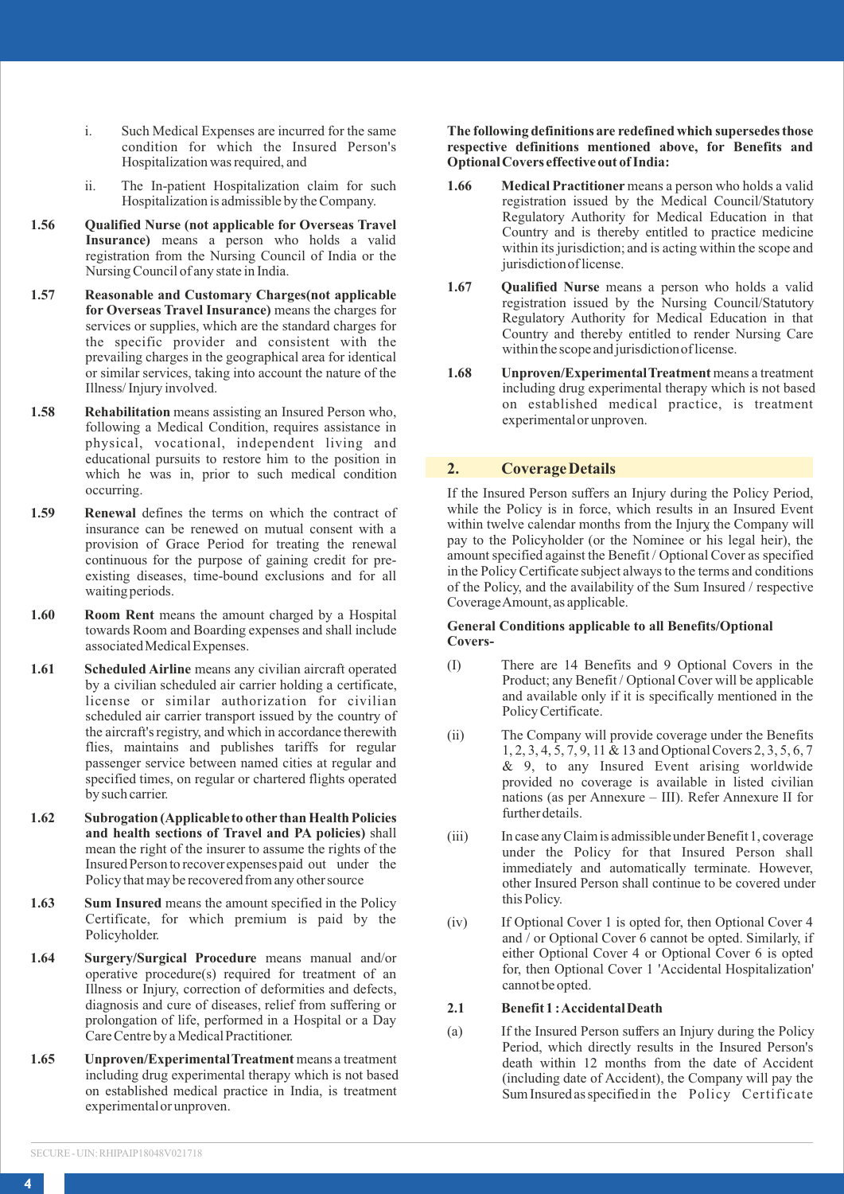- i. Such Medical Expenses are incurred for the same condition for which the Insured Person's Hospitalization was required, and
- ii. The In-patient Hospitalization claim for such Hospitalization is admissible by the Company.
- **1.56 Qualified Nurse (not applicable for Overseas Travel Insurance)** means a person who holds a valid registration from the Nursing Council of India or the Nursing Council of any state in India.
- **1.57 Reasonable and Customary Charges(not applicable for Overseas Travel Insurance)** means the charges for services or supplies, which are the standard charges for the specific provider and consistent with the prevailing charges in the geographical area for identical or similar services, taking into account the nature of the Illness/ Injury involved.
- **1.58 Rehabilitation** means assisting an Insured Person who, following a Medical Condition, requires assistance in physical, vocational, independent living and educational pursuits to restore him to the position in which he was in, prior to such medical condition occurring.
- **1.59 Renewal** defines the terms on which the contract of insurance can be renewed on mutual consent with a provision of Grace Period for treating the renewal continuous for the purpose of gaining credit for preexisting diseases, time-bound exclusions and for all waiting periods.
- 1.60 **Room Rent** means the amount charged by a Hospital towards Room and Boarding expenses and shall include associated Medical Expenses.
- **1.61 Scheduled Airline** means any civilian aircraft operated by a civilian scheduled air carrier holding a certificate, license or similar authorization for civilian scheduled air carrier transport issued by the country of the aircraft's registry, and which in accordance therewith flies, maintains and publishes tariffs for regular passenger service between named cities at regular and specified times, on regular or chartered flights operated by such carrier.
- **1.62 Subrogation (Applicable to other than Health Policies and health sections of Travel and PA policies)** shall mean the right of the insurer to assume the rights of the Insured Person to recover expenses paid out under the Policy that may be recovered from any other source
- **1.63** Sum Insured means the amount specified in the Policy Certificate, for which premium is paid by the Policyholder.
- **1.64 Surgery/Surgical Procedure** means manual and/or operative procedure(s) required for treatment of an Illness or Injury, correction of deformities and defects, diagnosis and cure of diseases, relief from suffering or prolongation of life, performed in a Hospital or a Day Care Centre by a Medical Practitioner.
- **1.65 Unproven/Experimental Treatment** means a treatment including drug experimental therapy which is not based on established medical practice in India, is treatment experimental or unproven.

#### **The following definitions are redefined which supersedes those respective definitions mentioned above, for Benefits and Optional Covers effective out of India:**

- **1.66 Medical Practitioner** means a person who holds a valid registration issued by the Medical Council/Statutory Regulatory Authority for Medical Education in that Country and is thereby entitled to practice medicine within its jurisdiction; and is acting within the scope and jurisdiction of license.
- **1.67 Qualified Nurse** means a person who holds a valid registration issued by the Nursing Council/Statutory Regulatory Authority for Medical Education in that Country and thereby entitled to render Nursing Care within the scope and jurisdiction of license.
- **1.68 Unproven/Experimental Treatment** means a treatment including drug experimental therapy which is not based on established medical practice, is treatment experimental or unproven.

# **2. Coverage Details**

If the Insured Person suffers an Injury during the Policy Period, while the Policy is in force, which results in an Insured Event within twelve calendar months from the Injury the Company will pay to the Policyholder (or the Nominee or his legal heir), the amount specified against the Benefit / Optional Cover as specified in the Policy Certificate subject always to the terms and conditions of the Policy, and the availability of the Sum Insured / respective Coverage Amount, as applicable.

#### **General Conditions applicable to all Benefits/Optional Covers-**

- (I) There are 14 Benefits and 9 Optional Covers in the Product; any Benefit / Optional Cover will be applicable and available only if it is specifically mentioned in the Policy Certificate.
- (ii) The Company will provide coverage under the Benefits 1, 2, 3, 4, 5, 7, 9, 11 & 13 and Optional Covers 2, 3, 5, 6, 7 & 9, to any Insured Event arising worldwide provided no coverage is available in listed civilian nations (as per Annexure – III). Refer Annexure II for further details.
- (iii) In case any Claim is admissible under Benefit 1, coverage under the Policy for that Insured Person shall immediately and automatically terminate. However, other Insured Person shall continue to be covered under this Policy.
- (iv) If Optional Cover 1 is opted for, then Optional Cover 4 and / or Optional Cover 6 cannot be opted. Similarly, if either Optional Cover 4 or Optional Cover 6 is opted for, then Optional Cover 1 'Accidental Hospitalization' cannot be opted.

### **2.1 Benefit 1 : Accidental Death**

(a) If the Insured Person suffers an Injury during the Policy Period, which directly results in the Insured Person's death within 12 months from the date of Accident (including date of Accident), the Company will pay the Sum Insured as specified in the Policy Certificate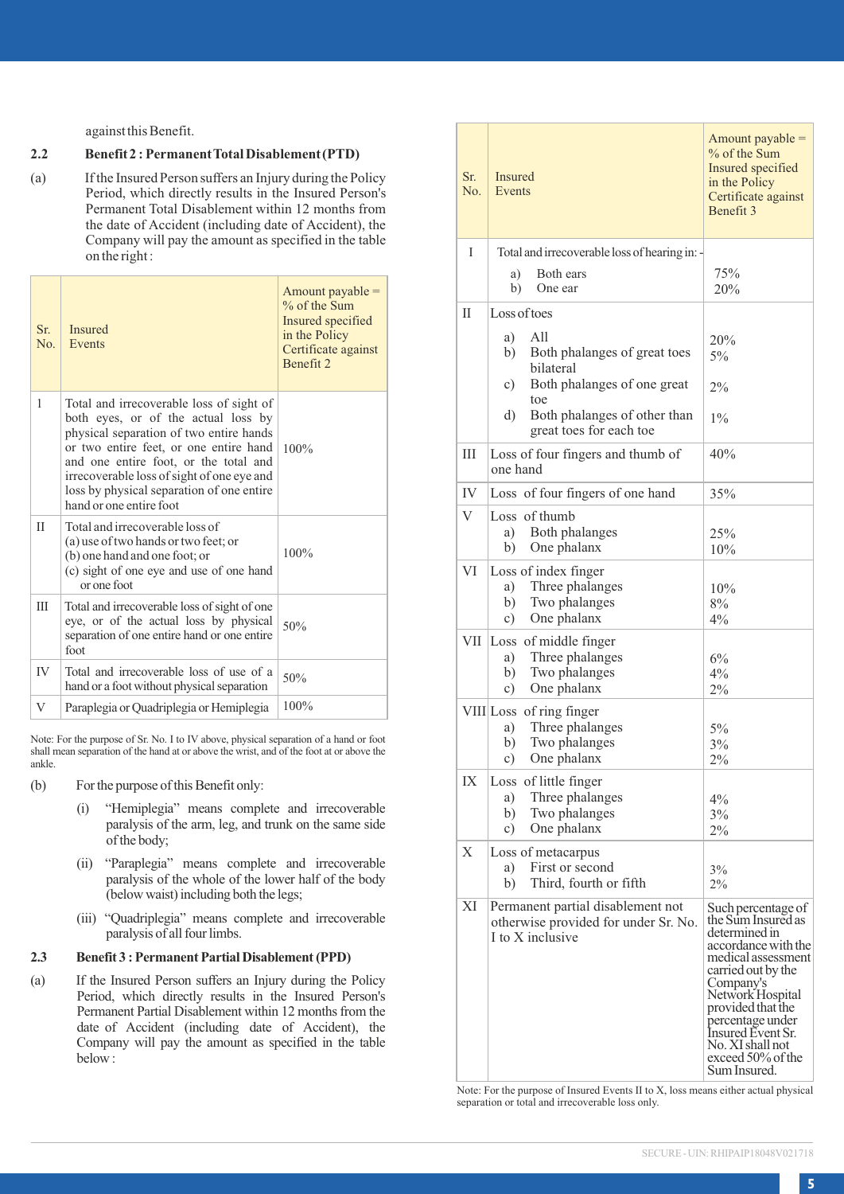against this Benefit.

### **2.2 Benefit 2 :Permanent Total Disablement (PTD)**

(a) If the Insured Person suffers an Injury during the Policy Period, which directly results in the Insured Person's Permanent Total Disablement within 12 months from the date of Accident (including date of Accident), the Company will pay the amount as specified in the table on the right :

| $S_{r}$<br>$N_{0}$ | <b>Insured</b><br>Events                                                                                                                                                                                                                                                                                                            | Amount payable $=$<br>% of the Sum<br>Insured specified<br>in the Policy<br>Certificate against<br>Benefit 2 |
|--------------------|-------------------------------------------------------------------------------------------------------------------------------------------------------------------------------------------------------------------------------------------------------------------------------------------------------------------------------------|--------------------------------------------------------------------------------------------------------------|
| 1                  | Total and irrecoverable loss of sight of<br>both eyes, or of the actual loss by<br>physical separation of two entire hands<br>or two entire feet, or one entire hand<br>and one entire foot, or the total and<br>irrecoverable loss of sight of one eye and<br>loss by physical separation of one entire<br>hand or one entire foot | 100%                                                                                                         |
| $_{\text{II}}$     | Total and irrecoverable loss of<br>(a) use of two hands or two feet; or<br>(b) one hand and one foot; or<br>(c) sight of one eye and use of one hand<br>or one foot                                                                                                                                                                 | 100%                                                                                                         |
| Ш                  | Total and irrecoverable loss of sight of one<br>eye, or of the actual loss by physical<br>separation of one entire hand or one entire<br>foot                                                                                                                                                                                       | 50%                                                                                                          |
| <b>IV</b>          | Total and irrecoverable loss of use of a<br>hand or a foot without physical separation                                                                                                                                                                                                                                              | 50%                                                                                                          |
| V                  | Paraplegia or Quadriplegia or Hemiplegia                                                                                                                                                                                                                                                                                            | 100%                                                                                                         |

Note: For the purpose of Sr. No. I to IV above, physical separation of a hand or foot shall mean separation of the hand at or above the wrist, and of the foot at or above the ankle.

- (b) For the purpose of this Benefit only:
	- (i) "Hemiplegia" means complete and irrecoverable paralysis of the arm, leg, and trunk on the same side of the body;
	- (ii) "Paraplegia" means complete and irrecoverable paralysis of the whole of the lower half of the body (below waist) including both the legs;
	- (iii) "Quadriplegia" means complete and irrecoverable paralysis of all four limbs.

# 2.3 Benefit 3 : Permanent Partial Disablement (PPD)

(a) If the Insured Person suffers an Injury during the Policy Period, which directly results in the Insured Person's Permanent Partial Disablement within 12 months from the date of Accident (including date of Accident), the Company will pay the amount as specified in the table below :

| Sr.<br>No. | Insured<br>Events                                                                             | Amount payable =<br>% of the Sum<br>Insured specified<br>in the Policy<br>Certificate against<br>Benefit 3                                                                                                                                                                           |
|------------|-----------------------------------------------------------------------------------------------|--------------------------------------------------------------------------------------------------------------------------------------------------------------------------------------------------------------------------------------------------------------------------------------|
| T          | Total and irrecoverable loss of hearing in: -                                                 |                                                                                                                                                                                                                                                                                      |
|            | Both ears<br>a)                                                                               | 75%                                                                                                                                                                                                                                                                                  |
|            | b)<br>One ear                                                                                 | 20%                                                                                                                                                                                                                                                                                  |
| П          | Loss of toes                                                                                  |                                                                                                                                                                                                                                                                                      |
|            |                                                                                               |                                                                                                                                                                                                                                                                                      |
|            | a)<br>All<br>b)<br>Both phalanges of great toes                                               | 20%                                                                                                                                                                                                                                                                                  |
|            | bilateral                                                                                     | 5%                                                                                                                                                                                                                                                                                   |
|            | Both phalanges of one great<br>c)<br>toe                                                      | 2%                                                                                                                                                                                                                                                                                   |
|            | Both phalanges of other than<br>d)                                                            | $1\%$                                                                                                                                                                                                                                                                                |
|            | great toes for each toe                                                                       |                                                                                                                                                                                                                                                                                      |
| IΙI        | Loss of four fingers and thumb of<br>one hand                                                 | 40%                                                                                                                                                                                                                                                                                  |
| IV         | Loss of four fingers of one hand                                                              | 35%                                                                                                                                                                                                                                                                                  |
| V          | Loss of thumb                                                                                 |                                                                                                                                                                                                                                                                                      |
|            | a)<br>Both phalanges                                                                          | 25%                                                                                                                                                                                                                                                                                  |
|            | One phalanx<br>b)                                                                             | 10%                                                                                                                                                                                                                                                                                  |
| VI         | Loss of index finger                                                                          |                                                                                                                                                                                                                                                                                      |
|            | Three phalanges<br>a)                                                                         | 10%                                                                                                                                                                                                                                                                                  |
|            | Two phalanges<br>b)<br>One phalanx<br>c)                                                      | 8%<br>4%                                                                                                                                                                                                                                                                             |
| VІІ        |                                                                                               |                                                                                                                                                                                                                                                                                      |
|            | Loss of middle finger<br>Three phalanges<br>a)                                                | 6%                                                                                                                                                                                                                                                                                   |
|            | b)<br>Two phalanges                                                                           | 4%                                                                                                                                                                                                                                                                                   |
|            | c)<br>One phalanx                                                                             | 2%                                                                                                                                                                                                                                                                                   |
|            | VIII Loss of ring finger                                                                      |                                                                                                                                                                                                                                                                                      |
|            | Three phalanges<br>a)                                                                         | $5\%$                                                                                                                                                                                                                                                                                |
|            | b)<br>Two phalanges                                                                           | 3%                                                                                                                                                                                                                                                                                   |
|            | One phalanx<br>c)                                                                             | $2\%$                                                                                                                                                                                                                                                                                |
| IX         | Loss of little finger                                                                         |                                                                                                                                                                                                                                                                                      |
|            | Three phalanges<br>a)<br>b)<br>Two phalanges                                                  | 4%<br>3%                                                                                                                                                                                                                                                                             |
|            | c)<br>One phalanx                                                                             | 2%                                                                                                                                                                                                                                                                                   |
| Х          | Loss of metacarpus                                                                            |                                                                                                                                                                                                                                                                                      |
|            | a)<br>First or second                                                                         | 3%                                                                                                                                                                                                                                                                                   |
|            | Third, fourth or fifth<br>b)                                                                  | $2\%$                                                                                                                                                                                                                                                                                |
| XI         | Permanent partial disablement not<br>otherwise provided for under Sr. No.<br>I to X inclusive | Such percentage of<br>the Sum Insured as<br>determined in<br>accordance with the<br>medical assessment<br>carried out by the<br>Company's<br>Network Hospital<br>provided that the<br>percentage under<br>Insured Event Sr.<br>No. XI shall not<br>exceed 50% of the<br>Sum Insured. |

Note: For the purpose of Insured Events II to X, loss means either actual physical separation or total and irrecoverable loss only.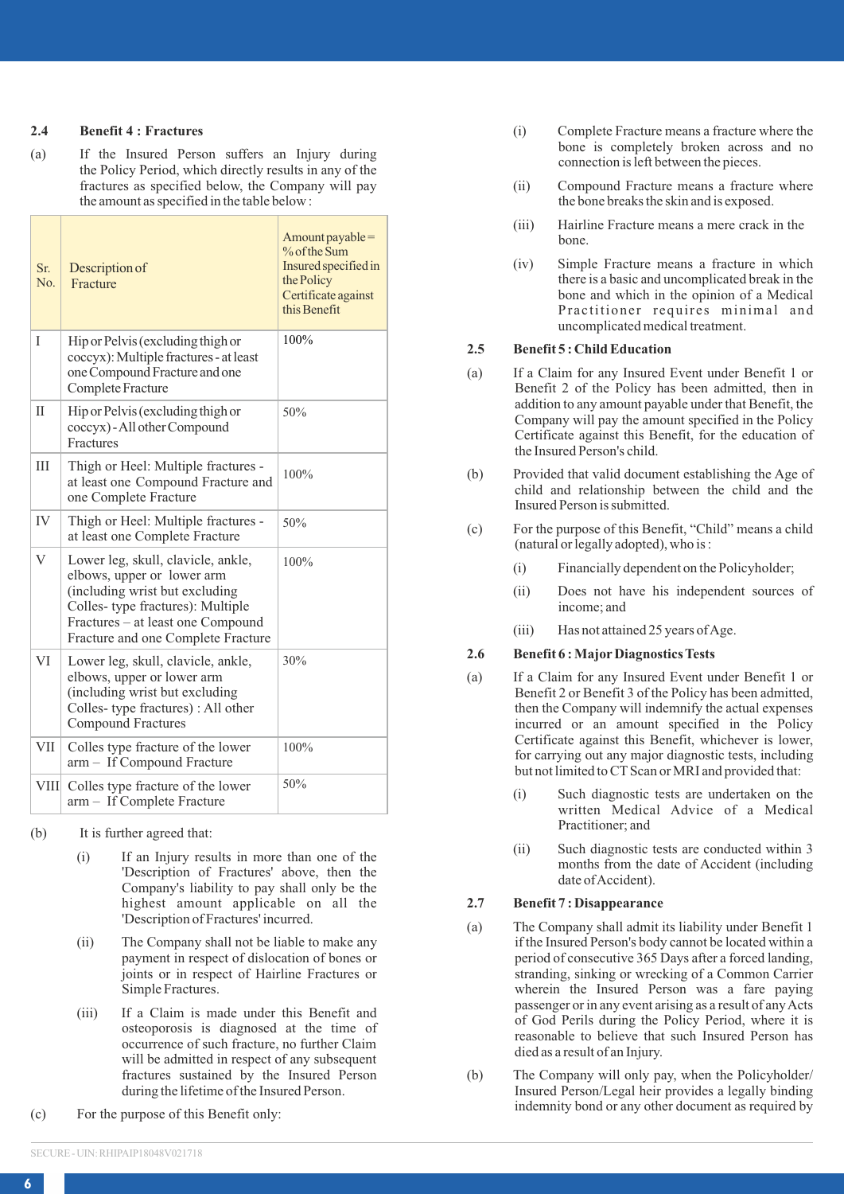#### **2.4 Benefit 4 : Fractures**

(a) If the Insured Person suffers an Injury during the Policy Period, which directly results in any of the fractures as specified below, the Company will pay the amount as specified in the table below :

| Sr.<br>No.  | Description of<br>Fracture                                                                                                                                                                                         | Amount payable=<br>% of the Sum<br>Insured specified in<br>the Policy<br>Certificate against<br>this Benefit |
|-------------|--------------------------------------------------------------------------------------------------------------------------------------------------------------------------------------------------------------------|--------------------------------------------------------------------------------------------------------------|
| Ĭ           | Hip or Pelvis (excluding thigh or<br>coccyx): Multiple fractures - at least<br>one Compound Fracture and one<br>Complete Fracture                                                                                  | 100%                                                                                                         |
| Π           | Hip or Pelvis (excluding thigh or<br>coccyx) - All other Compound<br>Fractures                                                                                                                                     | 50%                                                                                                          |
| Ш           | Thigh or Heel: Multiple fractures -<br>at least one Compound Fracture and<br>one Complete Fracture                                                                                                                 | 100%                                                                                                         |
| IV          | Thigh or Heel: Multiple fractures -<br>at least one Complete Fracture                                                                                                                                              | 50%                                                                                                          |
| V           | Lower leg, skull, clavicle, ankle,<br>elbows, upper or lower arm<br>(including wrist but excluding<br>Colles- type fractures): Multiple<br>Fractures - at least one Compound<br>Fracture and one Complete Fracture | 100%                                                                                                         |
| VI          | Lower leg, skull, clavicle, ankle,<br>elbows, upper or lower arm<br>(including wrist but excluding<br>Colles- type fractures) : All other<br><b>Compound Fractures</b>                                             | 30%                                                                                                          |
| <b>VII</b>  | Colles type fracture of the lower<br>arm - If Compound Fracture                                                                                                                                                    | 100%                                                                                                         |
| <b>VIII</b> | Colles type fracture of the lower<br>arm - If Complete Fracture                                                                                                                                                    | 50%                                                                                                          |

- (b) It is further agreed that:
	- (i) If an Injury results in more than one of the 'Description of Fractures' above, then the Company's liability to pay shall only be the highest amount applicable on all the 'Description of Fractures' incurred.
	- (ii) The Company shall not be liable to make any payment in respect of dislocation of bones or joints or in respect of Hairline Fractures or Simple Fractures.
	- (iii) If a Claim is made under this Benefit and osteoporosis is diagnosed at the time of occurrence of such fracture, no further Claim will be admitted in respect of any subsequent fractures sustained by the Insured Person during the lifetime of the Insured Person.
- (c) For the purpose of this Benefit only:
- (i) Complete Fracture means a fracture where the bone is completely broken across and no connection is left between the pieces.
- (ii) Compound Fracture means a fracture where the bone breaks the skin and is exposed.
- (iii) Hairline Fracture means a mere crack in the bone.
- (iv) Simple Fracture means a fracture in which there is a basic and uncomplicated break in the bone and which in the opinion of a Medical Practitioner requires minimal and uncomplicated medical treatment.

#### **2.5 Benefit 5 : Child Education**

- (a) If a Claim for any Insured Event under Benefit 1 or Benefit 2 of the Policy has been admitted, then in addition to any amount payable under that Benefit, the Company will pay the amount specified in the Policy Certificate against this Benefit, for the education of the Insured Person's child.
- (b) Provided that valid document establishing the Age of child and relationship between the child and the Insured Person is submitted.
- (c) For the purpose of this Benefit, "Child" means a child (natural or legally adopted), who is :
	- (i) Financially dependent on the Policyholder;
	- (ii) Does not have his independent sources of income; and
	- (iii) Has not attained 25 years of Age.

### **2.6 Benefit 6 : Major Diagnostics Tests**

- (a) If a Claim for any Insured Event under Benefit 1 or Benefit 2 or Benefit 3 of the Policy has been admitted, then the Company will indemnify the actual expenses incurred or an amount specified in the Policy Certificate against this Benefit, whichever is lower, for carrying out any major diagnostic tests, including but not limited to CT Scan or MRI and provided that:
	- (i) Such diagnostic tests are undertaken on the written Medical Advice of a Medical Practitioner; and
	- (ii) Such diagnostic tests are conducted within 3 months from the date of Accident (including date of Accident).

### **2.7 Benefit 7 : Disappearance**

- (a) The Company shall admit its liability under Benefit 1 if the Insured Person's body cannot be located within a period of consecutive 365 Days after a forced landing, stranding, sinking or wrecking of a Common Carrier wherein the Insured Person was a fare paying passenger or in any event arising as a result of any Acts of God Perils during the Policy Period, where it is reasonable to believe that such Insured Person has died as a result of an Injury.
- (b) The Company will only pay, when the Policyholder/ Insured Person/Legal heir provides a legally binding indemnity bond or any other document as required by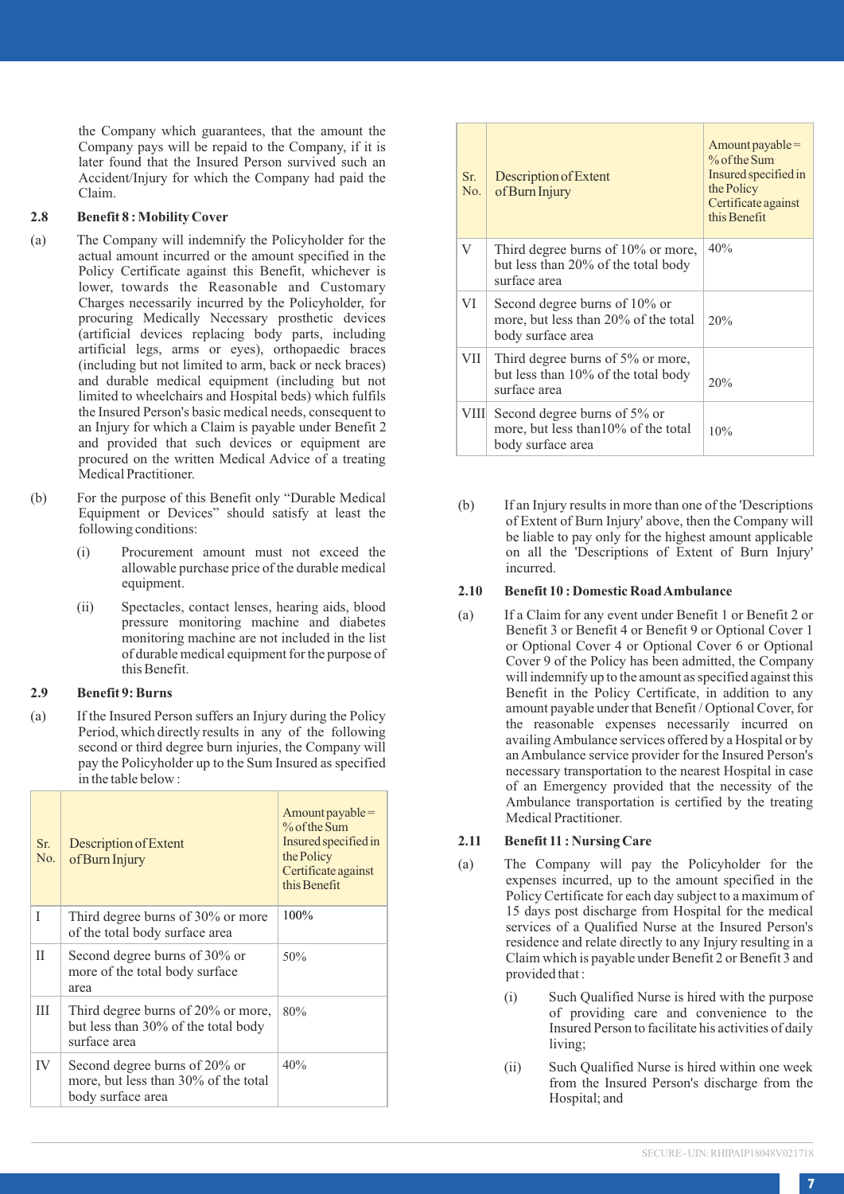the Company which guarantees, that the amount the Company pays will be repaid to the Company, if it is later found that the Insured Person survived such an Accident/Injury for which the Company had paid the Claim.

#### **2.8 Benefit 8 : Mobility Cover**

- (a) The Company will indemnify the Policyholder for the actual amount incurred or the amount specified in the Policy Certificate against this Benefit, whichever is lower, towards the Reasonable and Customary Charges necessarily incurred by the Policyholder, for procuring Medically Necessary prosthetic devices (artificial devices replacing body parts, including artificial legs, arms or eyes), orthopaedic braces (including but not limited to arm, back or neck braces) and durable medical equipment (including but not limited to wheelchairs and Hospital beds) which fulfils the Insured Person's basic medical needs, consequent to an Injury for which a Claim is payable under Benefit 2 and provided that such devices or equipment are procured on the written Medical Advice of a treating Medical Practitioner.
- (b) For the purpose of this Benefit only "Durable Medical Equipment or Devices" should satisfy at least the following conditions:
	- (i) Procurement amount must not exceed the allowable purchase price of the durable medical equipment.
	- (ii) Spectacles, contact lenses, hearing aids, blood pressure monitoring machine and diabetes monitoring machine are not included in the list of durable medical equipment for the purpose of this Benefit.

# **2.9 Benefit 9: Burns**

(a) If the Insured Person suffers an Injury during the Policy Period, which directly results in any of the following second or third degree burn injuries, the Company will pay the Policyholder up to the Sum Insured as specified in the table below :

| Sr.<br>No. | Description of Extent<br>of Burn Injury                                                    | $Amount payable =$<br>% of the Sum<br>Insured specified in<br>the Policy<br>Certificate against<br>this Benefit |
|------------|--------------------------------------------------------------------------------------------|-----------------------------------------------------------------------------------------------------------------|
| Ī          | Third degree burns of 30% or more<br>of the total body surface area                        | 100%                                                                                                            |
| П          | Second degree burns of 30% or<br>more of the total body surface<br>area                    | 50%                                                                                                             |
| Ш          | Third degree burns of 20% or more,<br>but less than 30% of the total body<br>surface area  | 80%                                                                                                             |
| IV         | Second degree burns of 20% or<br>more, but less than 30% of the total<br>body surface area | 40%                                                                                                             |

| Sr.<br>No. | Description of Extent<br>of Burn Injury                                                    | $Amount payable =$<br>% of the Sum<br>Insured specified in<br>the Policy<br>Certificate against<br>this Benefit |
|------------|--------------------------------------------------------------------------------------------|-----------------------------------------------------------------------------------------------------------------|
| V          | Third degree burns of 10% or more,<br>but less than 20% of the total body<br>surface area  | 40%                                                                                                             |
| VI         | Second degree burns of 10% or<br>more, but less than 20% of the total<br>body surface area | 20%                                                                                                             |
| VІІ        | Third degree burns of 5% or more,<br>but less than 10% of the total body<br>surface area   | 20%                                                                                                             |
| VIII       | Second degree burns of 5% or<br>more, but less than 10% of the total<br>body surface area  | 10%                                                                                                             |

(b) If an Injury results in more than one of the 'Descriptions of Extent of Burn Injury' above, then the Company will be liable to pay only for the highest amount applicable on all the 'Descriptions of Extent of Burn Injury' incurred.

### **2.10 Benefit 10 : Domestic Road Ambulance**

(a) If a Claim for any event under Benefit 1 or Benefit 2 or Benefit 3 or Benefit 4 or Benefit 9 or Optional Cover 1 or Optional Cover 4 or Optional Cover 6 or Optional Cover 9 of the Policy has been admitted, the Company will indemnify up to the amount as specified against this Benefit in the Policy Certificate, in addition to any amount payable under that Benefit / Optional Cover, for the reasonable expenses necessarily incurred on availing Ambulance services offered by a Hospital or by an Ambulance service provider for the Insured Person's necessary transportation to the nearest Hospital in case of an Emergency provided that the necessity of the Ambulance transportation is certified by the treating Medical Practitioner.

#### **2.11 Benefit 11 : Nursing Care**

- (a) The Company will pay the Policyholder for the expenses incurred, up to the amount specified in the Policy Certificate for each day subject to a maximum of 15 days post discharge from Hospital for the medical services of a Qualified Nurse at the Insured Person's residence and relate directly to any Injury resulting in a Claim which is payable under Benefit 2 or Benefit 3 and provided that :
	- (i) Such Qualified Nurse is hired with the purpose of providing care and convenience to the Insured Person to facilitate his activities of daily living;
	- (ii) Such Qualified Nurse is hired within one week from the Insured Person's discharge from the Hospital; and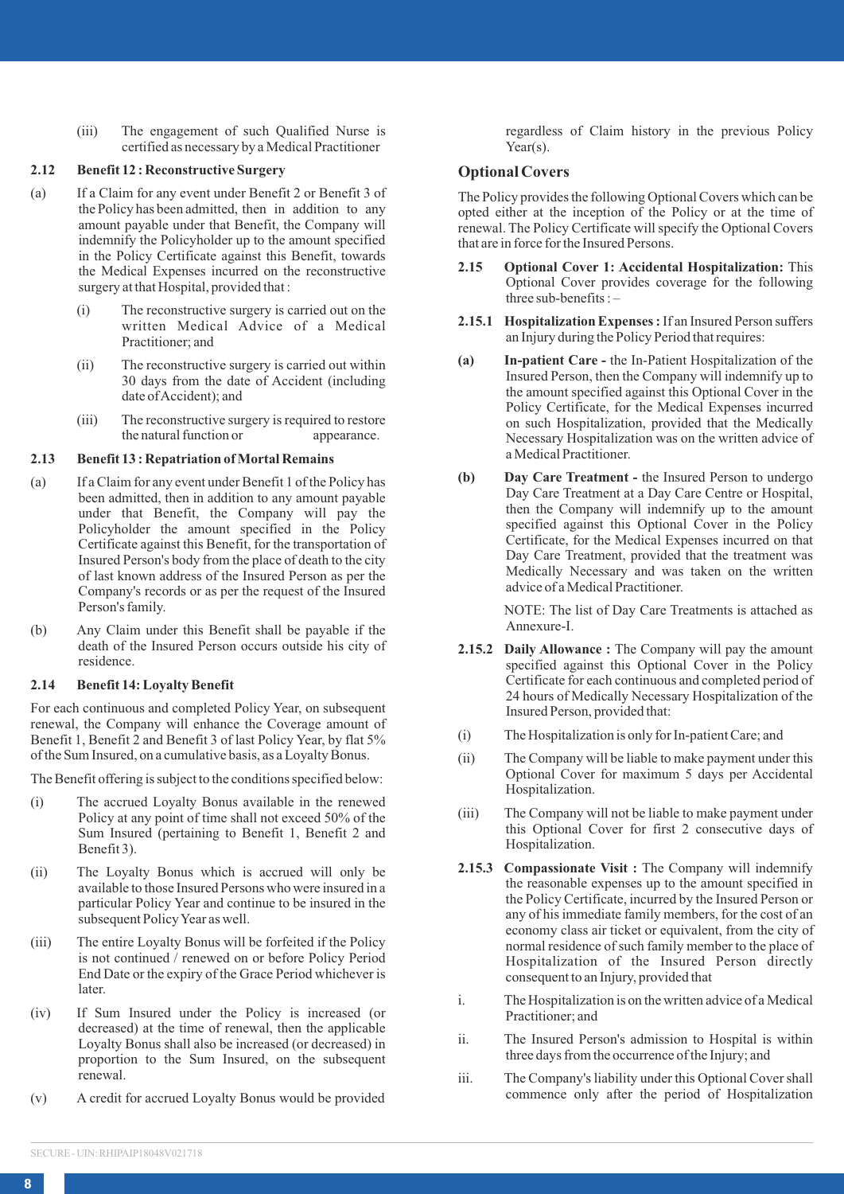(iii) The engagement of such Qualified Nurse is certified as necessary by a Medical Practitioner

# **2.12 Benefit 12 : Reconstructive Surgery**

- (a) If a Claim for any event under Benefit 2 or Benefit 3 of the Policy has been admitted, then in addition to any amount payable under that Benefit, the Company will indemnify the Policyholder up to the amount specified in the Policy Certificate against this Benefit, towards the Medical Expenses incurred on the reconstructive surgery at that Hospital, provided that :
	- (i) The reconstructive surgery is carried out on the written Medical Advice of a Medical Practitioner; and
	- (ii) The reconstructive surgery is carried out within 30 days from the date of Accident (including date of Accident); and
	- (iii) The reconstructive surgery is required to restore<br>the natural function or<br>appearance. the natural function or

# **2.13 Benefit 13 : Repatriation of Mortal Remains**

- (a) If a Claim for any event under Benefit 1 of the Policy has been admitted, then in addition to any amount payable under that Benefit, the Company will pay the Policyholder the amount specified in the Policy Certificate against this Benefit, for the transportation of Insured Person's body from the place of death to the city of last known address of the Insured Person as per the Company's records or as per the request of the Insured Person's family.
- (b) Any Claim under this Benefit shall be payable if the death of the Insured Person occurs outside his city of residence.

# **2.14 Benefit 14: Loyalty Benefit**

For each continuous and completed Policy Year, on subsequent renewal, the Company will enhance the Coverage amount of Benefit 1, Benefit 2 and Benefit 3 of last Policy Year, by flat 5% of the Sum Insured, on a cumulative basis, as a Loyalty Bonus.

The Benefit offering is subject to the conditions specified below:

- (i) The accrued Loyalty Bonus available in the renewed Policy at any point of time shall not exceed 50% of the Sum Insured (pertaining to Benefit 1, Benefit 2 and Benefit 3).
- (ii) The Loyalty Bonus which is accrued will only be available to those Insured Persons who were insured in a particular Policy Year and continue to be insured in the subsequent Policy Year as well.
- (iii) The entire Loyalty Bonus will be forfeited if the Policy is not continued / renewed on or before Policy Period End Date or the expiry of the Grace Period whichever is later.
- (iv) If Sum Insured under the Policy is increased (or decreased) at the time of renewal, then the applicable Loyalty Bonus shall also be increased (or decreased) in proportion to the Sum Insured, on the subsequent renewal.
- (v) A credit for accrued Loyalty Bonus would be provided

regardless of Claim history in the previous Policy Year(s).

# **Optional Covers**

The Policy provides the following Optional Covers which can be opted either at the inception of the Policy or at the time of renewal. The Policy Certificate will specify the Optional Covers that are in force for the Insured Persons.

- **2.15 Optional Cover 1: Accidental Hospitalization:** This Optional Cover provides coverage for the following three sub-benefits : –
- **2.15.1 Hospitalization Expenses :** If an Insured Person suffers an Injury during the Policy Period that requires:
- **(a) In-patient Care -** the In-Patient Hospitalization of the Insured Person, then the Company will indemnify up to the amount specified against this Optional Cover in the Policy Certificate, for the Medical Expenses incurred on such Hospitalization, provided that the Medically Necessary Hospitalization was on the written advice of a Medical Practitioner.
- **(b) Day Care Treatment -** the Insured Person to undergo Day Care Treatment at a Day Care Centre or Hospital, then the Company will indemnify up to the amount specified against this Optional Cover in the Policy Certificate, for the Medical Expenses incurred on that Day Care Treatment, provided that the treatment was Medically Necessary and was taken on the written advice of a Medical Practitioner.

NOTE: The list of Day Care Treatments is attached as Annexure-I.

- **2.15.2 Daily Allowance :** The Company will pay the amount specified against this Optional Cover in the Policy Certificate for each continuous and completed period of 24 hours of Medically Necessary Hospitalization of the Insured Person, provided that:
- (i) The Hospitalization is only for In-patient Care; and
- (ii) The Company will be liable to make payment under this Optional Cover for maximum 5 days per Accidental Hospitalization.
- (iii) The Company will not be liable to make payment under this Optional Cover for first 2 consecutive days of Hospitalization.
- **2.15.3 Compassionate Visit :** The Company will indemnify the reasonable expenses up to the amount specified in the Policy Certificate, incurred by the Insured Person or any of his immediate family members, for the cost of an economy class air ticket or equivalent, from the city of normal residence of such family member to the place of Hospitalization of the Insured Person directly consequent to an Injury, provided that
- i. The Hospitalization is on the written advice of a Medical Practitioner; and
- ii. The Insured Person's admission to Hospital is within three days from the occurrence of the Injury; and
- iii. The Company's liability under this Optional Cover shall commence only after the period of Hospitalization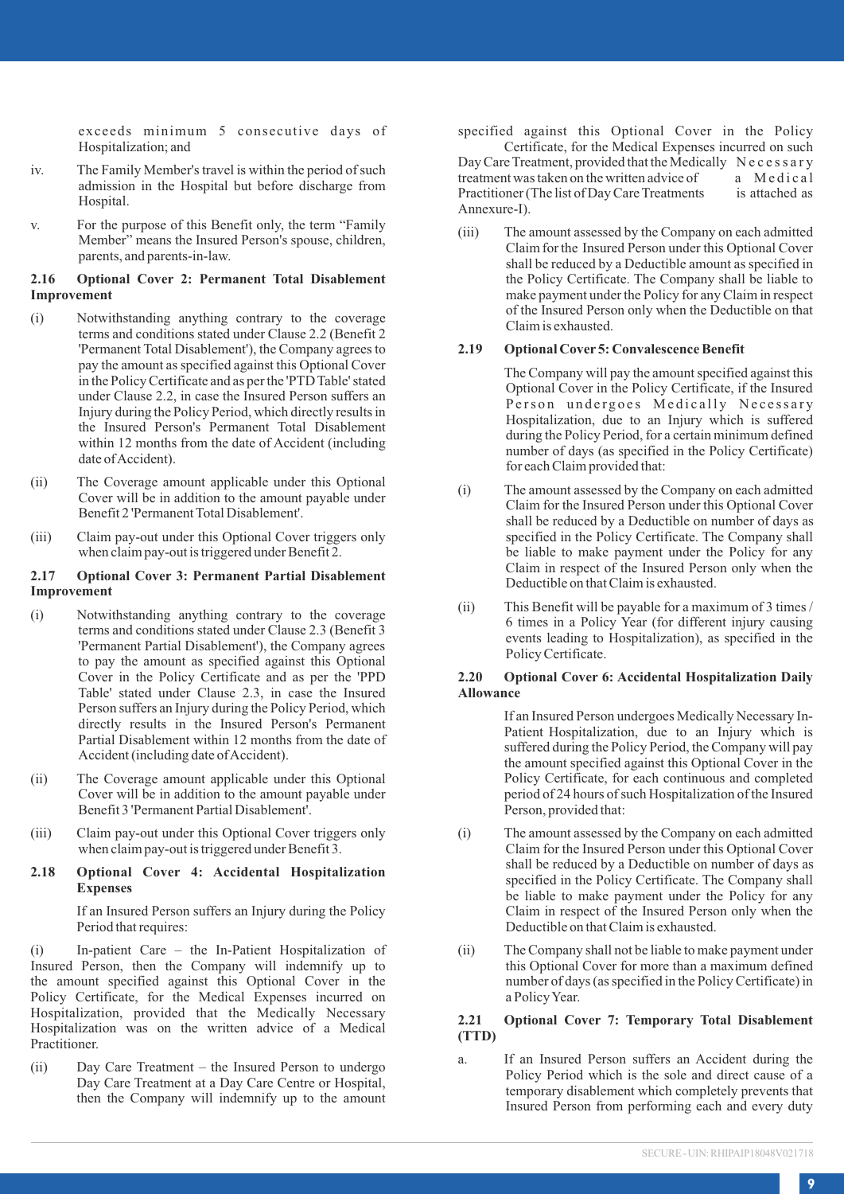exceeds minimum 5 consecutive days of Hospitalization; and

- iv. The Family Member's travel is within the period of such admission in the Hospital but before discharge from Hospital.
- v. For the purpose of this Benefit only, the term "Family Member" means the Insured Person's spouse, children, parents, and parents-in-law.

#### **2.16 Optional Cover 2: Permanent Total Disablement Improvement**

- (i) Notwithstanding anything contrary to the coverage terms and conditions stated under Clause 2.2 (Benefit 2 'Permanent Total Disablement'), the Company agrees to pay the amount as specified against this Optional Cover in the Policy Certificate and as per the 'PTD Table' stated under Clause 2.2, in case the Insured Person suffers an Injury during the Policy Period, which directly results in the Insured Person's Permanent Total Disablement within 12 months from the date of Accident (including date of Accident).
- (ii) The Coverage amount applicable under this Optional Cover will be in addition to the amount payable under Benefit 2 'Permanent Total Disablement'.
- (iii) Claim pay-out under this Optional Cover triggers only when claim pay-out is triggered under Benefit 2.

#### **2.17 Optional Cover 3: Permanent Partial Disablement Improvement**

- (i) Notwithstanding anything contrary to the coverage terms and conditions stated under Clause 2.3 (Benefit 3 'Permanent Partial Disablement'), the Company agrees to pay the amount as specified against this Optional Cover in the Policy Certificate and as per the 'PPD Table' stated under Clause 2.3, in case the Insured Person suffers an Injury during the Policy Period, which directly results in the Insured Person's Permanent Partial Disablement within 12 months from the date of Accident (including date of Accident).
- (ii) The Coverage amount applicable under this Optional Cover will be in addition to the amount payable under Benefit 3 'Permanent Partial Disablement'.
- (iii) Claim pay-out under this Optional Cover triggers only when claim pay-out is triggered under Benefit 3.

#### **2.18 Optional Cover 4: Accidental Hospitalization Expenses**

If an Insured Person suffers an Injury during the Policy Period that requires:

(i) In-patient Care – the In-Patient Hospitalization of Insured Person, then the Company will indemnify up to the amount specified against this Optional Cover in the Policy Certificate, for the Medical Expenses incurred on Hospitalization, provided that the Medically Necessary Hospitalization was on the written advice of a Medical Practitioner.

(ii) Day Care Treatment – the Insured Person to undergo Day Care Treatment at a Day Care Centre or Hospital, then the Company will indemnify up to the amount specified against this Optional Cover in the Policy

Certificate, for the Medical Expenses incurred on such Day Care Treatment, provided that the Medically Necessary<br>treatment was taken on the written advice of a Medical treatment was taken on the written advice of a Medical<br>Practitioner (The list of Day Care Treatments is attached as Practitioner (The list of Day Care Treatments Annexure-I).

(iii) The amount assessed by the Company on each admitted Claim for the Insured Person under this Optional Cover shall be reduced by a Deductible amount as specified in the Policy Certificate. The Company shall be liable to make payment under the Policy for any Claim in respect of the Insured Person only when the Deductible on that Claim is exhausted.

#### **2.19 Optional Cover 5: Convalescence Benefit**

The Company will pay the amount specified against this Optional Cover in the Policy Certificate, if the Insured Person undergoes Medically Necessary Hospitalization, due to an Injury which is suffered during the Policy Period, for a certain minimum defined number of days (as specified in the Policy Certificate) for each Claim provided that:

- (i) The amount assessed by the Company on each admitted Claim for the Insured Person under this Optional Cover shall be reduced by a Deductible on number of days as specified in the Policy Certificate. The Company shall be liable to make payment under the Policy for any Claim in respect of the Insured Person only when the Deductible on that Claim is exhausted.
- (ii) This Benefit will be payable for a maximum of 3 times / 6 times in a Policy Year (for different injury causing events leading to Hospitalization), as specified in the Policy Certificate.

#### **2.20 Optional Cover 6: Accidental Hospitalization Daily Allowance**

If an Insured Person undergoes Medically Necessary In-Patient Hospitalization, due to an Injury which is suffered during the Policy Period, the Company will pay the amount specified against this Optional Cover in the Policy Certificate, for each continuous and completed period of 24 hours of such Hospitalization of the Insured Person, provided that:

- (i) The amount assessed by the Company on each admitted Claim for the Insured Person under this Optional Cover shall be reduced by a Deductible on number of days as specified in the Policy Certificate. The Company shall be liable to make payment under the Policy for any Claim in respect of the Insured Person only when the Deductible on that Claim is exhausted.
- (ii) The Company shall not be liable to make payment under this Optional Cover for more than a maximum defined number of days (as specified in the Policy Certificate) in a Policy Year.

#### **2.21 Optional Cover 7: Temporary Total Disablement (TTD)**

a. If an Insured Person suffers an Accident during the Policy Period which is the sole and direct cause of a temporary disablement which completely prevents that Insured Person from performing each and every duty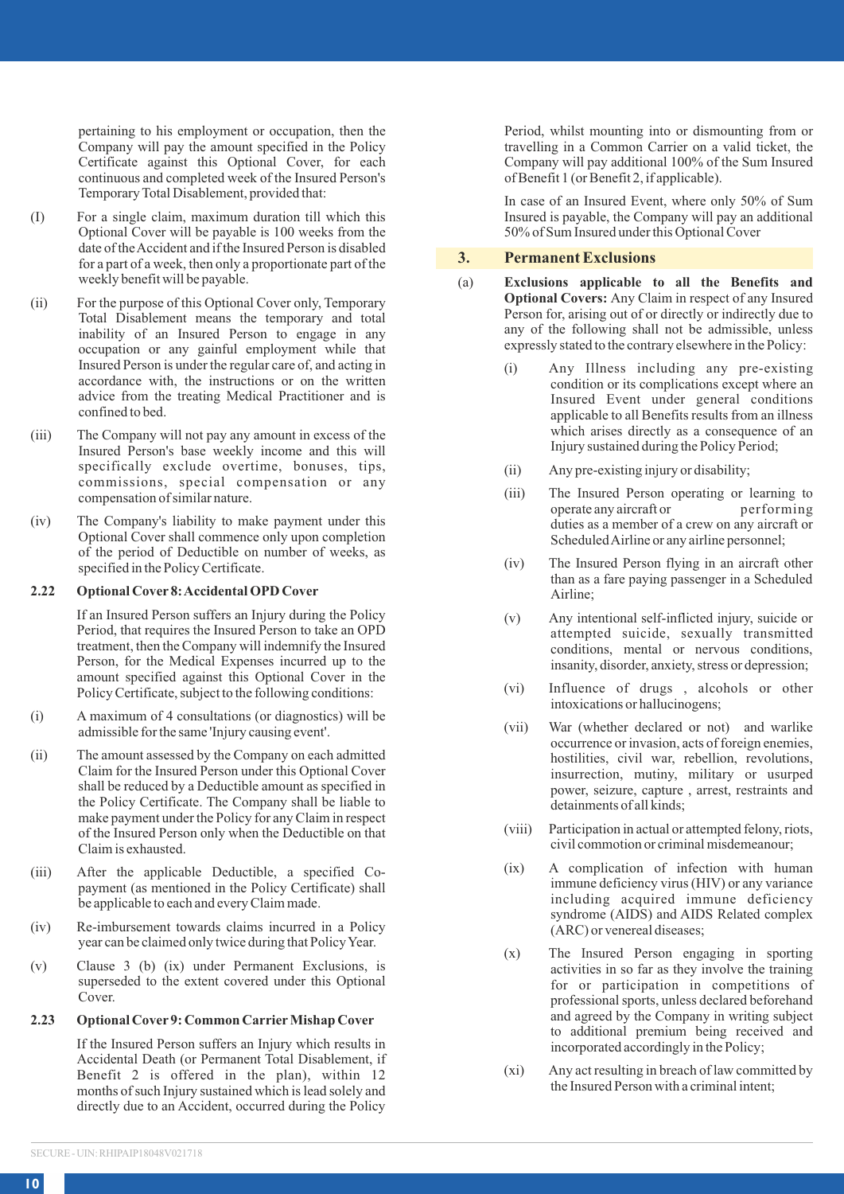pertaining to his employment or occupation, then the Company will pay the amount specified in the Policy Certificate against this Optional Cover, for each continuous and completed week of the Insured Person's Temporary Total Disablement, provided that:

- (I) For a single claim, maximum duration till which this Optional Cover will be payable is 100 weeks from the date of the Accident and if the Insured Person is disabled for a part of a week, then only a proportionate part of the weekly benefit will be payable.
- (ii) For the purpose of this Optional Cover only, Temporary Total Disablement means the temporary and total inability of an Insured Person to engage in any occupation or any gainful employment while that Insured Person is under the regular care of, and acting in accordance with, the instructions or on the written advice from the treating Medical Practitioner and is confined to bed.
- (iii) The Company will not pay any amount in excess of the Insured Person's base weekly income and this will specifically exclude overtime, bonuses, tips, commissions, special compensation or any compensation of similar nature.
- (iv) The Company's liability to make payment under this Optional Cover shall commence only upon completion of the period of Deductible on number of weeks, as specified in the Policy Certificate.

#### **2.22 Optional Cover 8: Accidental OPD Cover**

If an Insured Person suffers an Injury during the Policy Period, that requires the Insured Person to take an OPD treatment, then the Company will indemnify the Insured Person, for the Medical Expenses incurred up to the amount specified against this Optional Cover in the Policy Certificate, subject to the following conditions:

- (i) A maximum of 4 consultations (or diagnostics) will be admissible for the same 'Injury causing event'.
- (ii) The amount assessed by the Company on each admitted Claim for the Insured Person under this Optional Cover shall be reduced by a Deductible amount as specified in the Policy Certificate. The Company shall be liable to make payment under the Policy for any Claim in respect of the Insured Person only when the Deductible on that Claim is exhausted.
- (iii) After the applicable Deductible, a specified Copayment (as mentioned in the Policy Certificate) shall be applicable to each and every Claim made.
- (iv) Re-imbursement towards claims incurred in a Policy year can be claimed only twice during that Policy Year.
- (v) Clause 3 (b) (ix) under Permanent Exclusions, is superseded to the extent covered under this Optional Cover.

### **2.23 Optional Cover 9: Common Carrier Mishap Cover**

If the Insured Person suffers an Injury which results in Accidental Death (or Permanent Total Disablement, if Benefit 2 is offered in the plan), within 12 months of such Injury sustained which is lead solely and directly due to an Accident, occurred during the Policy Period, whilst mounting into or dismounting from or travelling in a Common Carrier on a valid ticket, the Company will pay additional 100% of the Sum Insured of Benefit 1 (or Benefit 2, if applicable).

In case of an Insured Event, where only 50% of Sum Insured is payable, the Company will pay an additional 50% of Sum Insured under this Optional Cover

# **3. Permanent Exclusions**

- (a) **Exclusions applicable to all the Benefits and Optional Covers:** Any Claim in respect of any Insured Person for, arising out of or directly or indirectly due to any of the following shall not be admissible, unless expressly stated to the contrary elsewhere in the Policy:
	- (i) Any Illness including any pre-existing condition or its complications except where an Insured Event under general conditions applicable to all Benefits results from an illness which arises directly as a consequence of an Injury sustained during the Policy Period;
	- (ii) Any pre-existing injury or disability;
	- (iii) The Insured Person operating or learning to operate any aircraft or performing operate any aircraft or duties as a member of a crew on any aircraft or Scheduled Airline or any airline personnel;
	- (iv) The Insured Person flying in an aircraft other than as a fare paying passenger in a Scheduled Airline;
	- (v) Any intentional self-inflicted injury, suicide or attempted suicide, sexually transmitted conditions, mental or nervous conditions, insanity, disorder, anxiety, stress or depression;
	- (vi) Influence of drugs , alcohols or other intoxications or hallucinogens;
	- (vii) War (whether declared or not) and warlike occurrence or invasion, acts of foreign enemies, hostilities, civil war, rebellion, revolutions, insurrection, mutiny, military or usurped power, seizure, capture , arrest, restraints and detainments of all kinds;
	- (viii) Participation in actual or attempted felony, riots, civil commotion or criminal misdemeanour;
	- (ix) A complication of infection with human immune deficiency virus (HIV) or any variance including acquired immune deficiency syndrome (AIDS) and AIDS Related complex (ARC) or venereal diseases;
	- (x) The Insured Person engaging in sporting activities in so far as they involve the training for or participation in competitions of professional sports, unless declared beforehand and agreed by the Company in writing subject to additional premium being received and incorporated accordingly in the Policy;
	- (xi) Any act resulting in breach of law committed by the Insured Person with a criminal intent;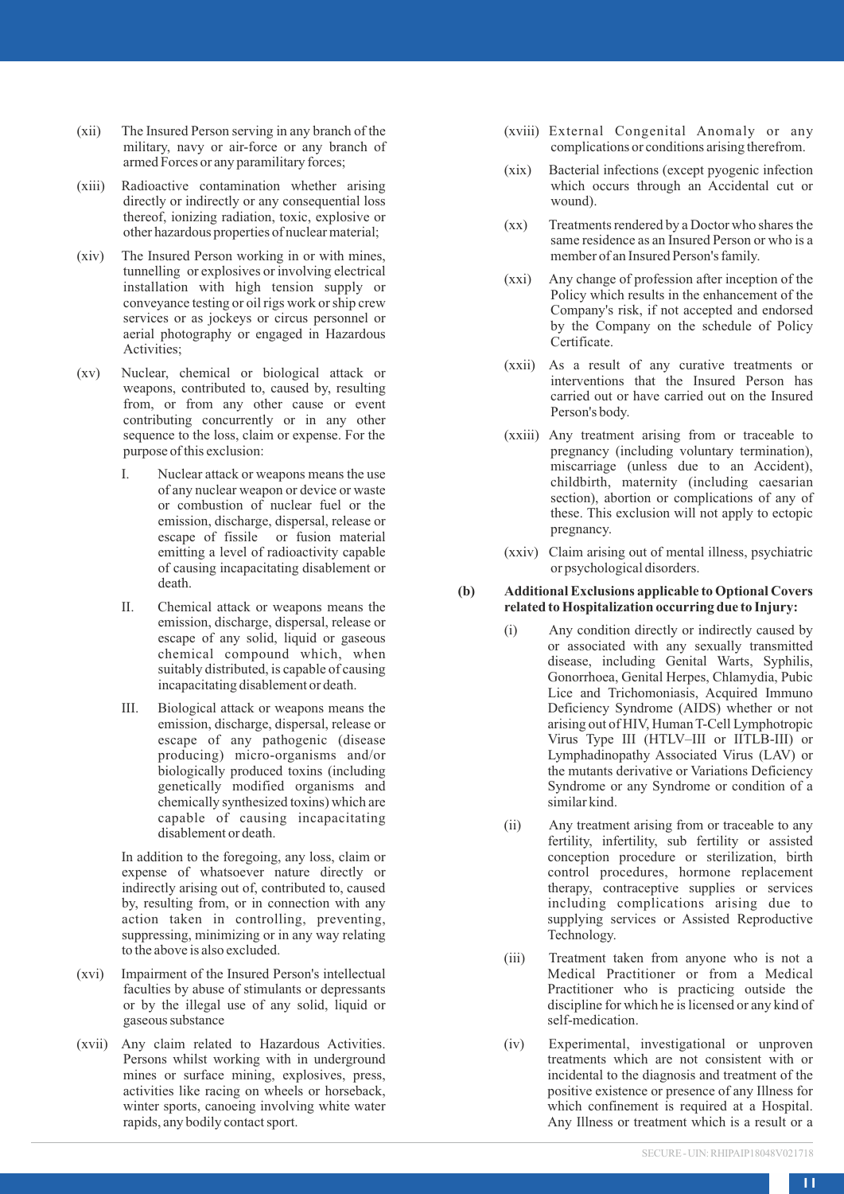- (xii) The Insured Person serving in any branch of the military, navy or air-force or any branch of armed Forces or any paramilitary forces;
- (xiii) Radioactive contamination whether arising directly or indirectly or any consequential loss thereof, ionizing radiation, toxic, explosive or other hazardous properties of nuclear material;
- (xiv) The Insured Person working in or with mines, tunnelling or explosives or involving electrical installation with high tension supply or conveyance testing or oil rigs work or ship crew services or as jockeys or circus personnel or aerial photography or engaged in Hazardous Activities;
- (xv) Nuclear, chemical or biological attack or weapons, contributed to, caused by, resulting from, or from any other cause or event contributing concurrently or in any other sequence to the loss, claim or expense. For the purpose of this exclusion:
	- I. Nuclear attack or weapons means the use of any nuclear weapon or device or waste or combustion of nuclear fuel or the emission, discharge, dispersal, release or escape of fissile or fusion material emitting a level of radioactivity capable of causing incapacitating disablement or death.
	- II. Chemical attack or weapons means the emission, discharge, dispersal, release or escape of any solid, liquid or gaseous chemical compound which, when suitably distributed, is capable of causing incapacitating disablement or death.
	- III. Biological attack or weapons means the emission, discharge, dispersal, release or escape of any pathogenic (disease producing) micro-organisms and/or biologically produced toxins (including genetically modified organisms and chemically synthesized toxins) which are capable of causing incapacitating disablement or death.

In addition to the foregoing, any loss, claim or expense of whatsoever nature directly or indirectly arising out of, contributed to, caused by, resulting from, or in connection with any action taken in controlling, preventing, suppressing, minimizing or in any way relating to the above is also excluded.

- (xvi) Impairment of the Insured Person's intellectual faculties by abuse of stimulants or depressants or by the illegal use of any solid, liquid or gaseous substance
- (xvii) Any claim related to Hazardous Activities. Persons whilst working with in underground mines or surface mining, explosives, press, activities like racing on wheels or horseback, winter sports, canoeing involving white water rapids, any bodily contact sport.
- (xviii) External Congenital Anomaly or any complications or conditions arising therefrom.
- (xix) Bacterial infections (except pyogenic infection which occurs through an Accidental cut or wound).
- (xx) Treatments rendered by a Doctor who shares the same residence as an Insured Person or who is a member of an Insured Person's family.
- (xxi) Any change of profession after inception of the Policy which results in the enhancement of the Company's risk, if not accepted and endorsed by the Company on the schedule of Policy Certificate.
- (xxii) As a result of any curative treatments or interventions that the Insured Person has carried out or have carried out on the Insured Person's body.
- (xxiii) Any treatment arising from or traceable to pregnancy (including voluntary termination), miscarriage (unless due to an Accident), childbirth, maternity (including caesarian section), abortion or complications of any of these. This exclusion will not apply to ectopic pregnancy.
- (xxiv) Claim arising out of mental illness, psychiatric or psychological disorders.

#### **(b) Additional Exclusions applicable to Optional Covers related to Hospitalization occurring due to Injury:**

- (i) Any condition directly or indirectly caused by or associated with any sexually transmitted disease, including Genital Warts, Syphilis, Gonorrhoea, Genital Herpes, Chlamydia, Pubic Lice and Trichomoniasis, Acquired Immuno Deficiency Syndrome (AIDS) whether or not arising out of HIV, Human T-Cell Lymphotropic Virus Type III (HTLV–III or IITLB-III) or Lymphadinopathy Associated Virus (LAV) or the mutants derivative or Variations Deficiency Syndrome or any Syndrome or condition of a similar kind.
- (ii) Any treatment arising from or traceable to any fertility, infertility, sub fertility or assisted conception procedure or sterilization, birth control procedures, hormone replacement therapy, contraceptive supplies or services including complications arising due to supplying services or Assisted Reproductive Technology.
- (iii) Treatment taken from anyone who is not a Medical Practitioner or from a Medical Practitioner who is practicing outside the discipline for which he is licensed or any kind of self-medication.
- (iv) Experimental, investigational or unproven treatments which are not consistent with or incidental to the diagnosis and treatment of the positive existence or presence of any Illness for which confinement is required at a Hospital. Any Illness or treatment which is a result or a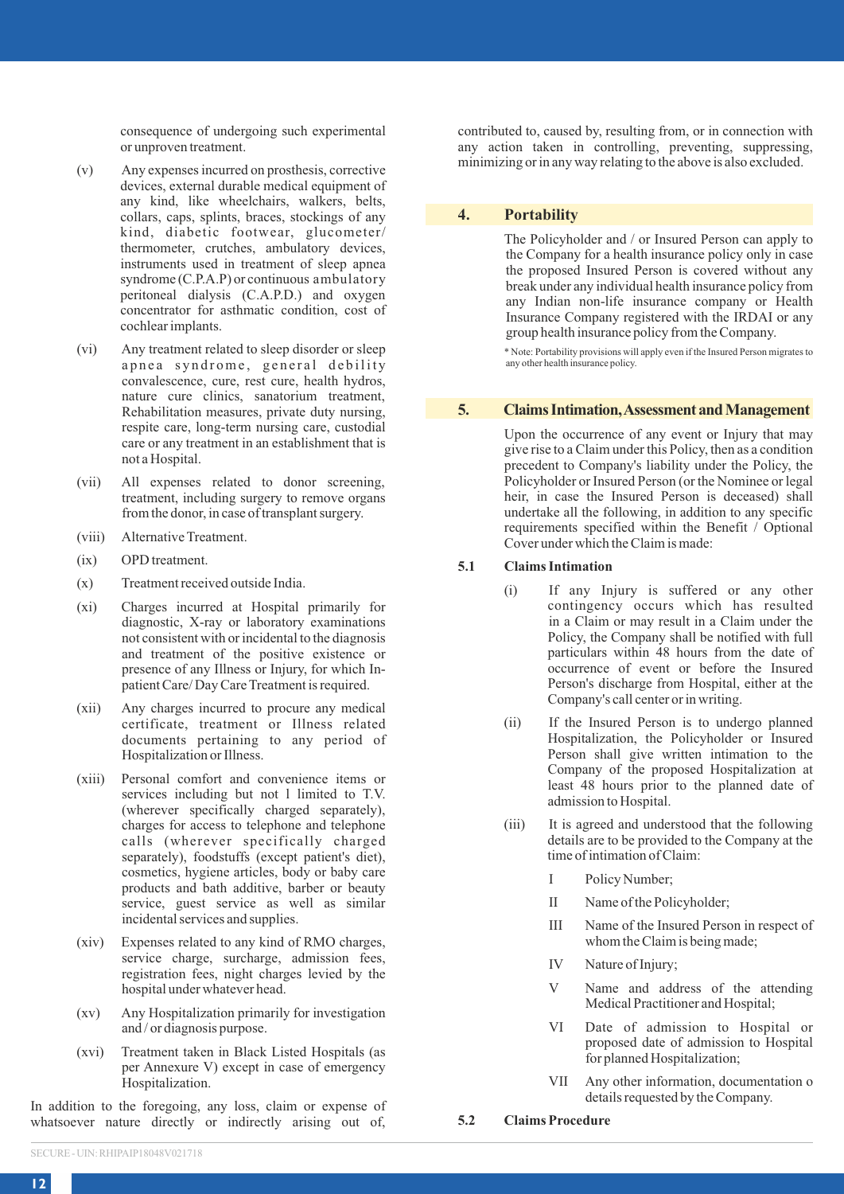consequence of undergoing such experimental or unproven treatment.

- (v) Any expenses incurred on prosthesis, corrective devices, external durable medical equipment of any kind, like wheelchairs, walkers, belts, collars, caps, splints, braces, stockings of any kind, diabetic footwear, glucometer/ thermometer, crutches, ambulatory devices, instruments used in treatment of sleep apnea syndrome (C.P.A.P) or continuous ambulatory peritoneal dialysis (C.A.P.D.) and oxygen concentrator for asthmatic condition, cost of cochlear implants.
- (vi) Any treatment related to sleep disorder or sleep apnea syndrome, general debility convalescence, cure, rest cure, health hydros, nature cure clinics, sanatorium treatment, Rehabilitation measures, private duty nursing, respite care, long-term nursing care, custodial care or any treatment in an establishment that is not a Hospital.
- (vii) All expenses related to donor screening, treatment, including surgery to remove organs from the donor, in case of transplant surgery.
- (viii) Alternative Treatment.
- (ix) OPD treatment.
- (x) Treatment received outside India.
- (xi) Charges incurred at Hospital primarily for diagnostic, X-ray or laboratory examinations not consistent with or incidental to the diagnosis and treatment of the positive existence or presence of any Illness or Injury, for which Inpatient Care/ Day Care Treatment is required.
- (xii) Any charges incurred to procure any medical certificate, treatment or Illness related documents pertaining to any period of Hospitalization or Illness.
- (xiii) Personal comfort and convenience items or services including but not l limited to T.V. (wherever specifically charged separately), charges for access to telephone and telephone calls (wherever specifically charged separately), foodstuffs (except patient's diet), cosmetics, hygiene articles, body or baby care products and bath additive, barber or beauty service, guest service as well as similar incidental services and supplies.
- (xiv) Expenses related to any kind of RMO charges, service charge, surcharge, admission fees, registration fees, night charges levied by the hospital under whatever head.
- (xv) Any Hospitalization primarily for investigation and / or diagnosis purpose.
- (xvi) Treatment taken in Black Listed Hospitals (as per Annexure V) except in case of emergency Hospitalization.

In addition to the foregoing, any loss, claim or expense of whatsoever nature directly or indirectly arising out of, contributed to, caused by, resulting from, or in connection with any action taken in controlling, preventing, suppressing, minimizing or in any way relating to the above is also excluded.

### **4. Portability**

The Policyholder and / or Insured Person can apply to the Company for a health insurance policy only in case the proposed Insured Person is covered without any break under any individual health insurance policy from any Indian non-life insurance company or Health Insurance Company registered with the IRDAI or any group health insurance policy from the Company.

\* Note: Portability provisions will apply even if the Insured Person migrates to any other health insurance policy.

#### **5. Claims Intimation, Assessment and Management**

Upon the occurrence of any event or Injury that may give rise to a Claim under this Policy, then as a condition precedent to Company's liability under the Policy, the Policyholder or Insured Person (or the Nominee or legal heir, in case the Insured Person is deceased) shall undertake all the following, in addition to any specific requirements specified within the Benefit / Optional Cover under which the Claim is made:

### **5.1 Claims Intimation**

- (i) If any Injury is suffered or any other contingency occurs which has resulted in a Claim or may result in a Claim under the Policy, the Company shall be notified with full particulars within 48 hours from the date of occurrence of event or before the Insured Person's discharge from Hospital, either at the Company's call center or in writing.
- (ii) If the Insured Person is to undergo planned Hospitalization, the Policyholder or Insured Person shall give written intimation to the Company of the proposed Hospitalization at least 48 hours prior to the planned date of admission to Hospital.
- (iii) It is agreed and understood that the following details are to be provided to the Company at the time of intimation of Claim:
	- I Policy Number;
	- II Name of the Policyholder;
	- III Name of the Insured Person in respect of whom the Claim is being made;
	- IV Nature of Injury;
	- V Name and address of the attending Medical Practitioner and Hospital;
	- VI Date of admission to Hospital or proposed date of admission to Hospital for planned Hospitalization;
	- VII Any other information, documentation o details requested by the Company.
- **5.2 Claims Procedure**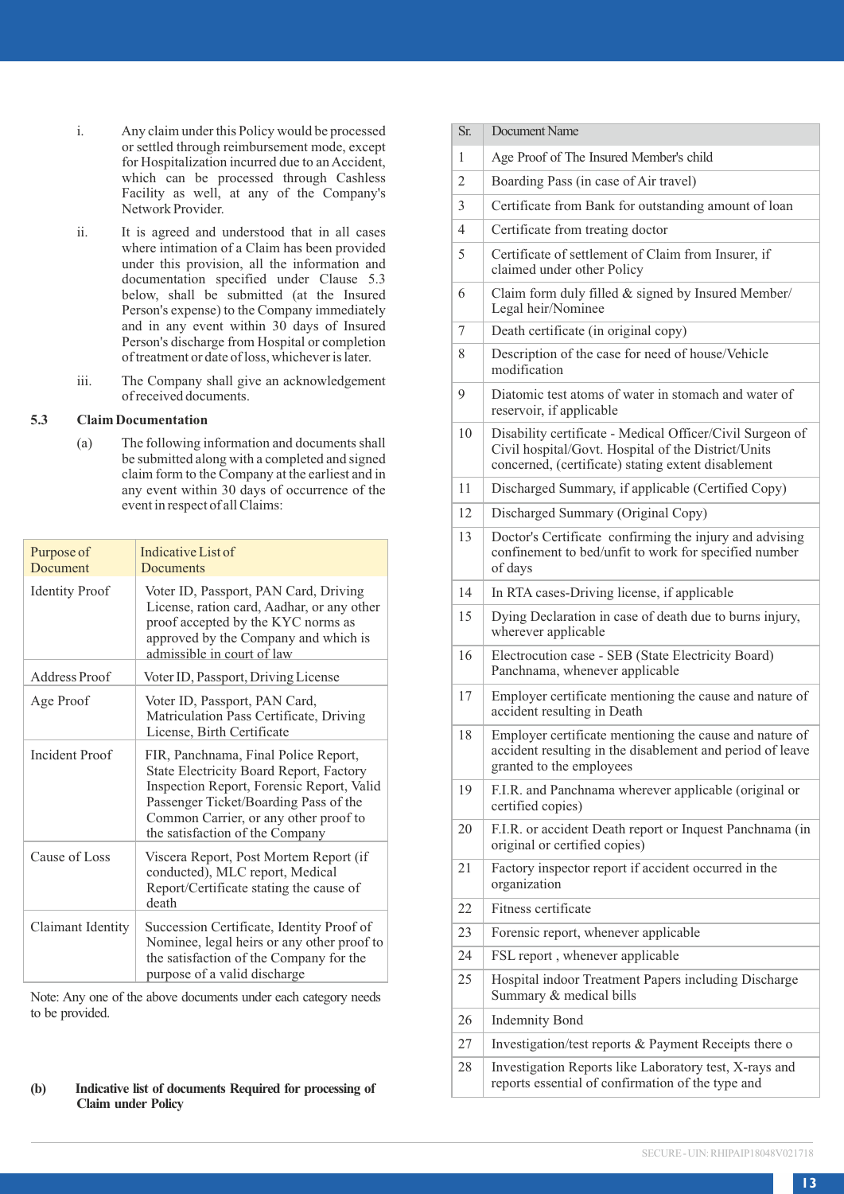- i. Any claim under this Policy would be processed or settled through reimbursement mode, except for Hospitalization incurred due to an Accident, which can be processed through Cashless Facility as well, at any of the Company's Network Provider.
- ii. It is agreed and understood that in all cases where intimation of a Claim has been provided under this provision, all the information and documentation specified under Clause 5.3 below, shall be submitted (at the Insured Person's expense) to the Company immediately and in any event within 30 days of Insured Person's discharge from Hospital or completion of treatment or date of loss, whichever is later.
- iii. The Company shall give an acknowledgement of received documents.

### **5.3 Claim Documentation**

(a) The following information and documents shall be submitted along with a completed and signed claim form to the Company at the earliest and in any event within 30 days of occurrence of the event in respect of all Claims:

| Purpose of<br>Document | Indicative List of<br><b>Documents</b>                                                                                                                                                                                                            |
|------------------------|---------------------------------------------------------------------------------------------------------------------------------------------------------------------------------------------------------------------------------------------------|
| <b>Identity Proof</b>  | Voter ID, Passport, PAN Card, Driving<br>License, ration card, Aadhar, or any other<br>proof accepted by the KYC norms as<br>approved by the Company and which is<br>admissible in court of law                                                   |
| Address Proof          | Voter ID, Passport, Driving License                                                                                                                                                                                                               |
| Age Proof              | Voter ID, Passport, PAN Card,<br>Matriculation Pass Certificate, Driving<br>License, Birth Certificate                                                                                                                                            |
| <b>Incident Proof</b>  | FIR, Panchnama, Final Police Report,<br>State Electricity Board Report, Factory<br>Inspection Report, Forensic Report, Valid<br>Passenger Ticket/Boarding Pass of the<br>Common Carrier, or any other proof to<br>the satisfaction of the Company |
| Cause of Loss          | Viscera Report, Post Mortem Report (if<br>conducted), MLC report, Medical<br>Report/Certificate stating the cause of<br>death                                                                                                                     |
| Claimant Identity      | Succession Certificate, Identity Proof of<br>Nominee, legal heirs or any other proof to<br>the satisfaction of the Company for the<br>purpose of a valid discharge                                                                                |

Note: Any one of the above documents under each category needs to be provided.

### **(b) Indicative list of documents Required for processing of Claim under Policy**

| Sr.            | Document Name                                                                                                                                                           |
|----------------|-------------------------------------------------------------------------------------------------------------------------------------------------------------------------|
| 1              | Age Proof of The Insured Member's child                                                                                                                                 |
| $\overline{2}$ | Boarding Pass (in case of Air travel)                                                                                                                                   |
| 3              | Certificate from Bank for outstanding amount of loan                                                                                                                    |
| $\overline{4}$ | Certificate from treating doctor                                                                                                                                        |
| 5              | Certificate of settlement of Claim from Insurer, if<br>claimed under other Policy                                                                                       |
| 6              | Claim form duly filled & signed by Insured Member/<br>Legal heir/Nominee                                                                                                |
| 7              | Death certificate (in original copy)                                                                                                                                    |
| 8              | Description of the case for need of house/Vehicle<br>modification                                                                                                       |
| 9              | Diatomic test atoms of water in stomach and water of<br>reservoir, if applicable                                                                                        |
| 10             | Disability certificate - Medical Officer/Civil Surgeon of<br>Civil hospital/Govt. Hospital of the District/Units<br>concerned, (certificate) stating extent disablement |
| 11             | Discharged Summary, if applicable (Certified Copy)                                                                                                                      |
| 12             | Discharged Summary (Original Copy)                                                                                                                                      |
| 13             | Doctor's Certificate confirming the injury and advising<br>confinement to bed/unfit to work for specified number<br>of days                                             |
| 14             | In RTA cases-Driving license, if applicable                                                                                                                             |
| 15             | Dying Declaration in case of death due to burns injury,<br>wherever applicable                                                                                          |
| 16             | Electrocution case - SEB (State Electricity Board)<br>Panchnama, whenever applicable                                                                                    |
| 17             | Employer certificate mentioning the cause and nature of<br>accident resulting in Death                                                                                  |
| 18             | Employer certificate mentioning the cause and nature of<br>accident resulting in the disablement and period of leave<br>granted to the employees                        |
| 19             | F.I.R. and Panchnama wherever applicable (original or<br>certified copies)                                                                                              |
| 20             | F.I.R. or accident Death report or Inquest Panchnama (in<br>original or certified copies)                                                                               |
| 21             | Factory inspector report if accident occurred in the<br>organization                                                                                                    |
| 22             | Fitness certificate                                                                                                                                                     |
| 23             | Forensic report, whenever applicable                                                                                                                                    |
| 24             | FSL report, whenever applicable                                                                                                                                         |
| 25             | Hospital indoor Treatment Papers including Discharge<br>Summary & medical bills                                                                                         |
| 26             | <b>Indemnity Bond</b>                                                                                                                                                   |
| 27             | Investigation/test reports & Payment Receipts there of                                                                                                                  |
| 28             | Investigation Reports like Laboratory test, X-rays and<br>reports essential of confirmation of the type and                                                             |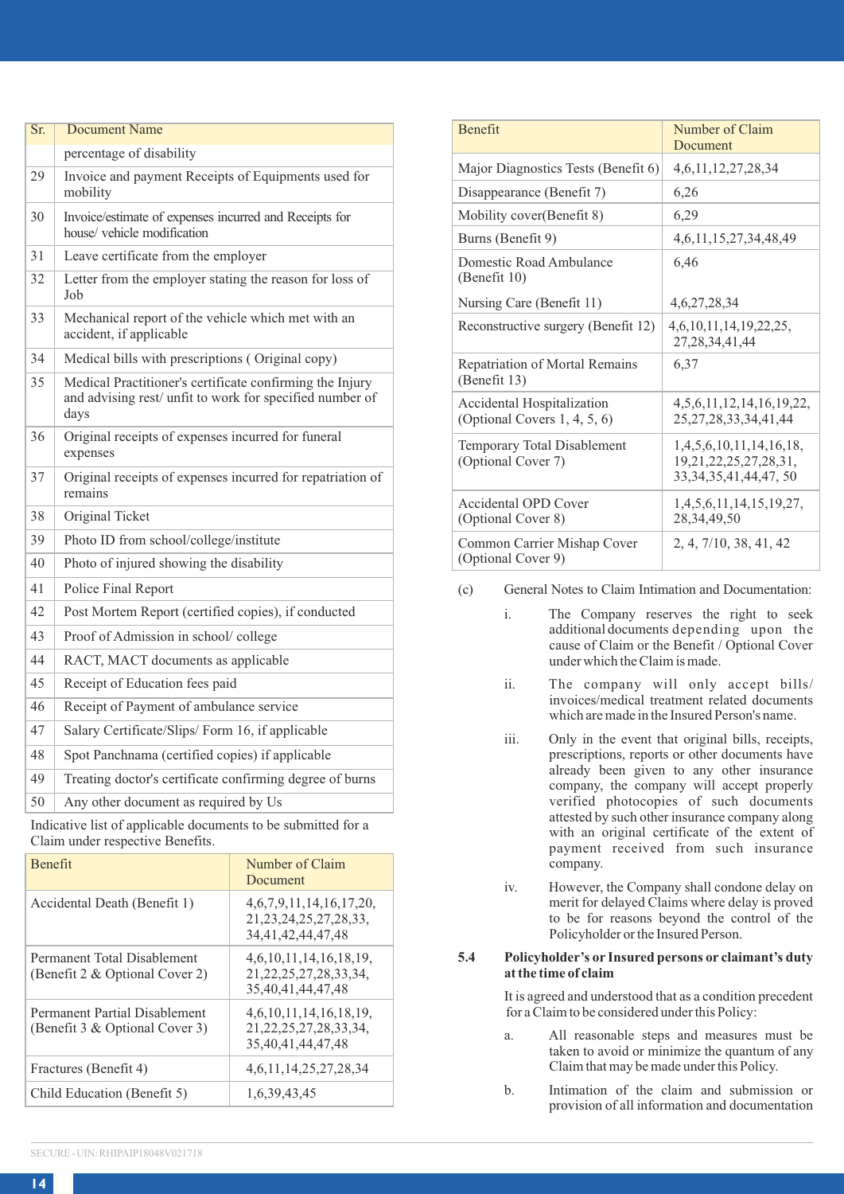| Sr. | <b>Document Name</b>                                                                                                         |
|-----|------------------------------------------------------------------------------------------------------------------------------|
|     | percentage of disability                                                                                                     |
| 29  | Invoice and payment Receipts of Equipments used for<br>mobility                                                              |
| 30  | Invoice/estimate of expenses incurred and Receipts for<br>house/vehicle modification                                         |
| 31  | Leave certificate from the employer                                                                                          |
| 32  | Letter from the employer stating the reason for loss of<br>Job                                                               |
| 33  | Mechanical report of the vehicle which met with an<br>accident, if applicable                                                |
| 34  | Medical bills with prescriptions (Original copy)                                                                             |
| 35  | Medical Practitioner's certificate confirming the Injury<br>and advising rest/ unfit to work for specified number of<br>days |
| 36  | Original receipts of expenses incurred for funeral<br>expenses                                                               |
| 37  | Original receipts of expenses incurred for repatriation of<br>remains                                                        |
| 38  | Original Ticket                                                                                                              |
| 39  | Photo ID from school/college/institute                                                                                       |
| 40  | Photo of injured showing the disability                                                                                      |
| 41  | Police Final Report                                                                                                          |
| 42  | Post Mortem Report (certified copies), if conducted                                                                          |
| 43  | Proof of Admission in school/college                                                                                         |
| 44  | RACT, MACT documents as applicable                                                                                           |
| 45  | Receipt of Education fees paid                                                                                               |
| 46  | Receipt of Payment of ambulance service                                                                                      |
| 47  | Salary Certificate/Slips/Form 16, if applicable                                                                              |
| 48  | Spot Panchnama (certified copies) if applicable                                                                              |
| 49  | Treating doctor's certificate confirming degree of burns                                                                     |
| 50  | Any other document as required by Us                                                                                         |
|     | Indicative list of applicable documents to be submitted for a<br>Claim under respective Benefits                             |

| <b>Benefit</b>                                                  | Number of Claim<br>Document                                                 |
|-----------------------------------------------------------------|-----------------------------------------------------------------------------|
| Accidental Death (Benefit 1)                                    | 4.6.7.9.11.14.16.17.20.<br>21, 23, 24, 25, 27, 28, 33,<br>34.41.42.44.47.48 |
| Permanent Total Disablement<br>(Benefit 2 & Optional Cover 2)   | 4, 6, 10, 11, 14, 16, 18, 19,<br>21.22.25.27.28.33.34.<br>35.40.41.44.47.48 |
| Permanent Partial Disablement<br>(Benefit 3 & Optional Cover 3) | 4.6.10.11.14.16.18.19.<br>21.22.25.27.28.33.34.<br>35.40.41.44.47.48        |
| Fractures (Benefit 4)                                           | 4.6.11.14.25.27.28.34                                                       |
| Child Education (Benefit 5)                                     | 1,6,39,43,45                                                                |

| <b>Benefit</b>                                                | Number of Claim<br>Document                                                          |
|---------------------------------------------------------------|--------------------------------------------------------------------------------------|
| Major Diagnostics Tests (Benefit 6)                           | 4,6,11,12,27,28,34                                                                   |
| Disappearance (Benefit 7)                                     | 6,26                                                                                 |
| Mobility cover(Benefit 8)                                     | 6,29                                                                                 |
| Burns (Benefit 9)                                             | 4, 6, 11, 15, 27, 34, 48, 49                                                         |
| Domestic Road Ambulance<br>(Benefit 10)                       | 6.46                                                                                 |
| Nursing Care (Benefit 11)                                     | 4.6.27.28.34                                                                         |
| Reconstructive surgery (Benefit 12)                           | 4.6.10.11.14.19.22.25.<br>27.28.34.41.44                                             |
| Repatriation of Mortal Remains<br>(Benefit 13)                | 6.37                                                                                 |
| Accidental Hospitalization<br>(Optional Covers $1, 4, 5, 6$ ) | 4, 5, 6, 11, 12, 14, 16, 19, 22,<br>25.27.28.33.34.41.44                             |
| Temporary Total Disablement<br>(Optional Cover 7)             | 1.4.5.6.10.11.14.16.18.<br>19, 21, 22, 25, 27, 28, 31,<br>33, 34, 35, 41, 44, 47, 50 |
| Accidental OPD Cover<br>(Optional Cover 8)                    | 1.4.5.6.11.14.15.19.27.<br>28,34,49,50                                               |
| Common Carrier Mishap Cover<br>(Optional Cover 9)             | 2, 4, 7/10, 38, 41, 42                                                               |

- (c) General Notes to Claim Intimation and Documentation:
	- i. The Company reserves the right to seek additional documents depending upon the cause of Claim or the Benefit / Optional Cover under which the Claim is made.
	- ii. The company will only accept bills/ invoices/medical treatment related documents which are made in the Insured Person's name.
	- iii. Only in the event that original bills, receipts, prescriptions, reports or other documents have already been given to any other insurance company, the company will accept properly verified photocopies of such documents attested by such other insurance company along with an original certificate of the extent of payment received from such insurance company.
	- iv. However, the Company shall condone delay on merit for delayed Claims where delay is proved to be for reasons beyond the control of the Policyholder or the Insured Person.

### **5.4 Policyholder's or Insured persons or claimant's duty at the time of claim**

It is agreed and understood that as a condition precedent for a Claim to be considered under this Policy:

- a. All reasonable steps and measures must be taken to avoid or minimize the quantum of any Claim that may be made under this Policy.
- b. Intimation of the claim and submission or provision of all information and documentation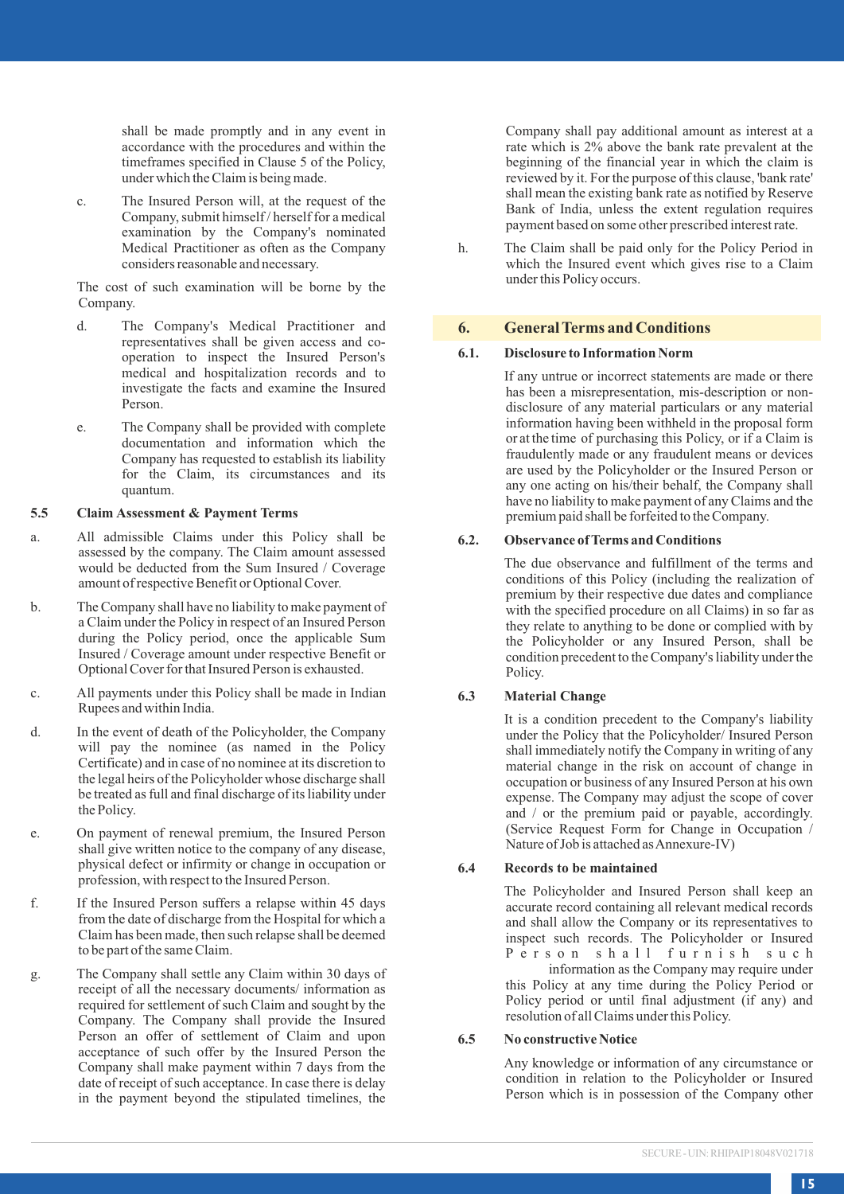shall be made promptly and in any event in accordance with the procedures and within the timeframes specified in Clause 5 of the Policy, under which the Claim is being made.

c. The Insured Person will, at the request of the Company, submit himself / herself for a medical examination by the Company's nominated Medical Practitioner as often as the Company considers reasonable and necessary.

The cost of such examination will be borne by the Company.

- d. The Company's Medical Practitioner and representatives shall be given access and cooperation to inspect the Insured Person's medical and hospitalization records and to investigate the facts and examine the Insured Person.
- e. The Company shall be provided with complete documentation and information which the Company has requested to establish its liability for the Claim, its circumstances and its quantum.

#### **5.5 Claim Assessment & Payment Terms**

- a. All admissible Claims under this Policy shall be assessed by the company. The Claim amount assessed would be deducted from the Sum Insured / Coverage amount of respective Benefit or Optional Cover.
- b. The Company shall have no liability to make payment of a Claim under the Policy in respect of an Insured Person during the Policy period, once the applicable Sum Insured / Coverage amount under respective Benefit or Optional Cover for that Insured Person is exhausted.
- c. All payments under this Policy shall be made in Indian Rupees and within India.
- d. In the event of death of the Policyholder, the Company will pay the nominee (as named in the Policy Certificate) and in case of no nominee at its discretion to the legal heirs of the Policyholder whose discharge shall be treated as full and final discharge of its liability under the Policy.
- e. On payment of renewal premium, the Insured Person shall give written notice to the company of any disease, physical defect or infirmity or change in occupation or profession, with respect to the Insured Person.
- f. If the Insured Person suffers a relapse within 45 days from the date of discharge from the Hospital for which a Claim has been made, then such relapse shall be deemed to be part of the same Claim.
- g. The Company shall settle any Claim within 30 days of receipt of all the necessary documents/ information as required for settlement of such Claim and sought by the Company. The Company shall provide the Insured Person an offer of settlement of Claim and upon acceptance of such offer by the Insured Person the Company shall make payment within 7 days from the date of receipt of such acceptance. In case there is delay in the payment beyond the stipulated timelines, the

Company shall pay additional amount as interest at a rate which is 2% above the bank rate prevalent at the beginning of the financial year in which the claim is reviewed by it. For the purpose of this clause, 'bank rate' shall mean the existing bank rate as notified by Reserve Bank of India, unless the extent regulation requires payment based on some other prescribed interest rate.

h. The Claim shall be paid only for the Policy Period in which the Insured event which gives rise to a Claim under this Policy occurs.

### **6. General Terms and Conditions**

#### **6.1. Disclosure to Information Norm**

If any untrue or incorrect statements are made or there has been a misrepresentation, mis-description or nondisclosure of any material particulars or any material information having been withheld in the proposal form or at the time of purchasing this Policy, or if a Claim is fraudulently made or any fraudulent means or devices are used by the Policyholder or the Insured Person or any one acting on his/their behalf, the Company shall have no liability to make payment of any Claims and the premium paid shall be forfeited to the Company.

## **6.2. Observance of Terms and Conditions**

The due observance and fulfillment of the terms and conditions of this Policy (including the realization of premium by their respective due dates and compliance with the specified procedure on all Claims) in so far as they relate to anything to be done or complied with by the Policyholder or any Insured Person, shall be condition precedent to the Company's liability under the Policy.

# **6.3 Material Change**

It is a condition precedent to the Company's liability under the Policy that the Policyholder/ Insured Person shall immediately notify the Company in writing of any material change in the risk on account of change in occupation or business of any Insured Person at his own expense. The Company may adjust the scope of cover and / or the premium paid or payable, accordingly. (Service Request Form for Change in Occupation / Nature of Job is attached as Annexure-IV)

#### **6.4 Records to be maintained**

The Policyholder and Insured Person shall keep an accurate record containing all relevant medical records and shall allow the Company or its representatives to inspect such records. The Policyholder or Insured P e r s o n s h a l l f u r n i s h s u c h information as the Company may require under this Policy at any time during the Policy Period or Policy period or until final adjustment (if any) and resolution of all Claims under this Policy.

#### **6.5 No constructive Notice**

Any knowledge or information of any circumstance or condition in relation to the Policyholder or Insured Person which is in possession of the Company other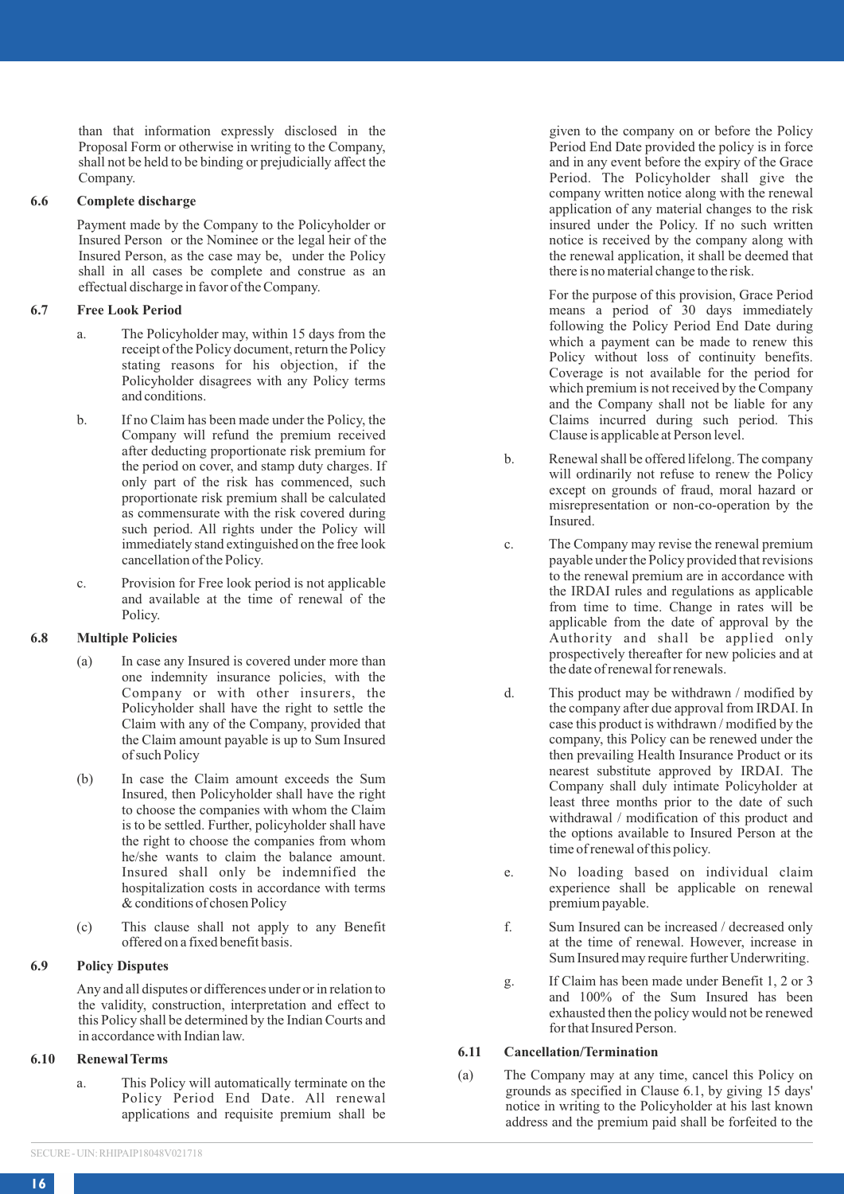than that information expressly disclosed in the Proposal Form or otherwise in writing to the Company, shall not be held to be binding or prejudicially affect the Company.

#### **6.6 Complete discharge**

Payment made by the Company to the Policyholder or Insured Person or the Nominee or the legal heir of the Insured Person, as the case may be, under the Policy shall in all cases be complete and construe as an effectual discharge in favor of the Company.

#### **6.7 Free Look Period**

- a. The Policyholder may, within 15 days from the receipt of the Policy document, return the Policy stating reasons for his objection, if the Policyholder disagrees with any Policy terms and conditions.
- b. If no Claim has been made under the Policy, the Company will refund the premium received after deducting proportionate risk premium for the period on cover, and stamp duty charges. If only part of the risk has commenced, such proportionate risk premium shall be calculated as commensurate with the risk covered during such period. All rights under the Policy will immediately stand extinguished on the free look cancellation of the Policy.
- c. Provision for Free look period is not applicable and available at the time of renewal of the Policy.

### **6.8 Multiple Policies**

- (a) In case any Insured is covered under more than one indemnity insurance policies, with the Company or with other insurers, the Policyholder shall have the right to settle the Claim with any of the Company, provided that the Claim amount payable is up to Sum Insured of such Policy
- (b) In case the Claim amount exceeds the Sum Insured, then Policyholder shall have the right to choose the companies with whom the Claim is to be settled. Further, policyholder shall have the right to choose the companies from whom he/she wants to claim the balance amount. Insured shall only be indemnified the hospitalization costs in accordance with terms & conditions of chosen Policy
- (c) This clause shall not apply to any Benefit offered on a fixed benefit basis.

#### **6.9 Policy Disputes**

Any and all disputes or differences under or in relation to the validity, construction, interpretation and effect to this Policy shall be determined by the Indian Courts and in accordance with Indian law.

#### **6.10 Renewal Terms**

a. This Policy will automatically terminate on the Policy Period End Date. All renewal applications and requisite premium shall be given to the company on or before the Policy Period End Date provided the policy is in force and in any event before the expiry of the Grace Period. The Policyholder shall give the company written notice along with the renewal application of any material changes to the risk insured under the Policy. If no such written notice is received by the company along with the renewal application, it shall be deemed that there is no material change to the risk.

For the purpose of this provision, Grace Period means a period of 30 days immediately following the Policy Period End Date during which a payment can be made to renew this Policy without loss of continuity benefits. Coverage is not available for the period for which premium is not received by the Company and the Company shall not be liable for any Claims incurred during such period. This Clause is applicable at Person level.

- b. Renewal shall be offered lifelong. The company will ordinarily not refuse to renew the Policy except on grounds of fraud, moral hazard or misrepresentation or non-co-operation by the Insured.
- c. The Company may revise the renewal premium payable under the Policy provided that revisions to the renewal premium are in accordance with the IRDAI rules and regulations as applicable from time to time. Change in rates will be applicable from the date of approval by the Authority and shall be applied only prospectively thereafter for new policies and at the date of renewal for renewals.
- d. This product may be withdrawn / modified by the company after due approval from IRDAI. In case this product is withdrawn / modified by the company, this Policy can be renewed under the then prevailing Health Insurance Product or its nearest substitute approved by IRDAI. The Company shall duly intimate Policyholder at least three months prior to the date of such withdrawal / modification of this product and the options available to Insured Person at the time of renewal of this policy.
- e. No loading based on individual claim experience shall be applicable on renewal premium payable.
- f. Sum Insured can be increased / decreased only at the time of renewal. However, increase in Sum Insured may require further Underwriting.
- g. If Claim has been made under Benefit 1, 2 or 3 and 100% of the Sum Insured has been exhausted then the policy would not be renewed for that Insured Person.

# **6.11 Cancellation/Termination**

(a) The Company may at any time, cancel this Policy on grounds as specified in Clause 6.1, by giving 15 days' notice in writing to the Policyholder at his last known address and the premium paid shall be forfeited to the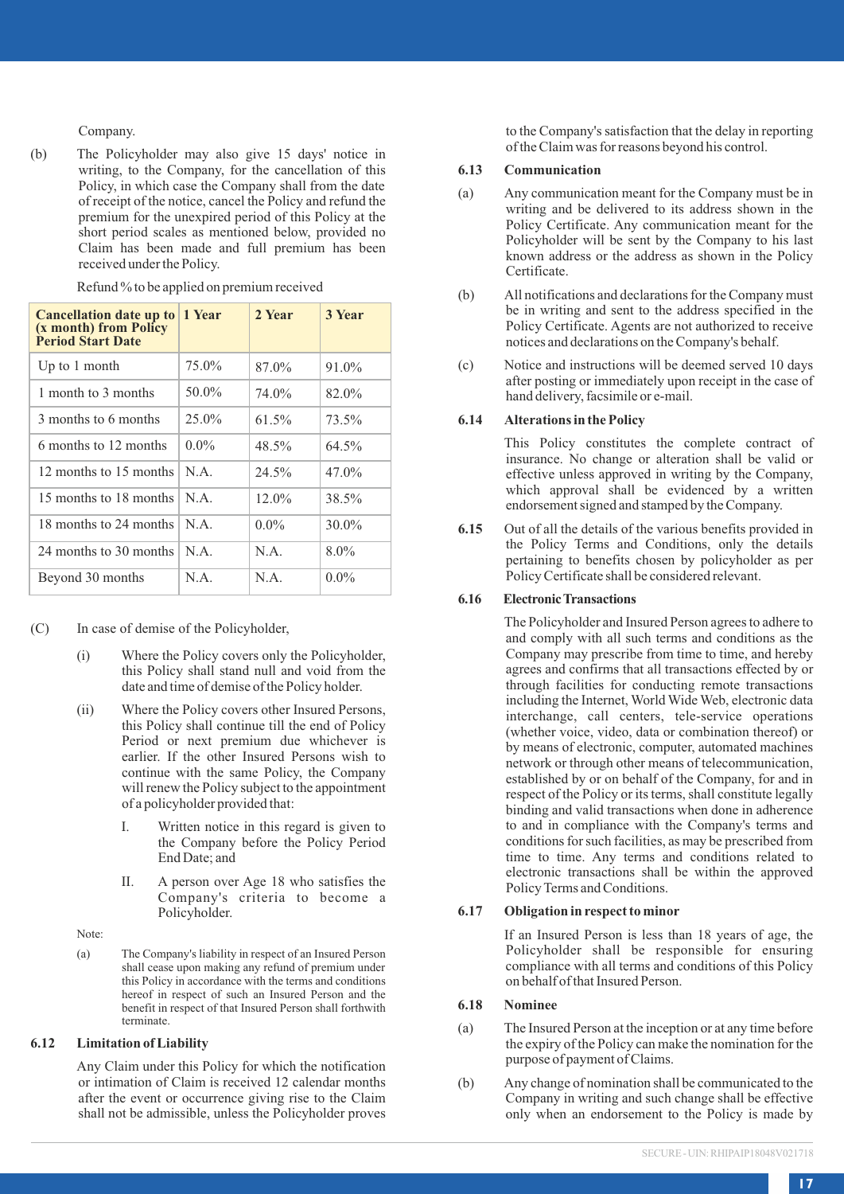Company.

(b) The Policyholder may also give 15 days' notice in writing, to the Company, for the cancellation of this Policy, in which case the Company shall from the date of receipt of the notice, cancel the Policy and refund the premium for the unexpired period of this Policy at the short period scales as mentioned below, provided no Claim has been made and full premium has been received under the Policy.

| Cancellation date up to<br>(x month) from Policy<br>Period Start Date | 1 Year  | 2 Year  | 3 Year   |
|-----------------------------------------------------------------------|---------|---------|----------|
| Up to 1 month                                                         | 75.0%   | 87.0%   | 91.0%    |
| 1 month to 3 months                                                   | 50.0%   | 74.0%   | 82.0%    |
| 3 months to 6 months                                                  | 25.0%   | 61.5%   | 73.5%    |
| 6 months to 12 months                                                 | $0.0\%$ | 48.5%   | 64.5%    |
| 12 months to 15 months                                                | N A     | 24.5%   | 47.0%    |
| 15 months to 18 months                                                | N A     | 12.0%   | 38.5%    |
| 18 months to 24 months                                                | N A     | $0.0\%$ | $30.0\%$ |
| 24 months to 30 months                                                | N A     | N.A.    | 8.0%     |
| Beyond 30 months                                                      | N.A.    | N.A.    | $0.0\%$  |

Refund % to be applied on premium received

(C) In case of demise of the Policyholder,

- (i) Where the Policy covers only the Policyholder, this Policy shall stand null and void from the date and time of demise of the Policy holder.
- (ii) Where the Policy covers other Insured Persons, this Policy shall continue till the end of Policy Period or next premium due whichever is earlier. If the other Insured Persons wish to continue with the same Policy, the Company will renew the Policy subject to the appointment of a policyholder provided that:
	- I. Written notice in this regard is given to the Company before the Policy Period End Date; and
	- II. A person over Age 18 who satisfies the Company's criteria to become a Policyholder.

Note:

(a) The Company's liability in respect of an Insured Person shall cease upon making any refund of premium under this Policy in accordance with the terms and conditions hereof in respect of such an Insured Person and the benefit in respect of that Insured Person shall forthwith terminate.

# **6.12 Limitation of Liability**

Any Claim under this Policy for which the notification or intimation of Claim is received 12 calendar months after the event or occurrence giving rise to the Claim shall not be admissible, unless the Policyholder proves to the Company's satisfaction that the delay in reporting of the Claim was for reasons beyond his control.

#### **6.13 Communication**

- (a) Any communication meant for the Company must be in writing and be delivered to its address shown in the Policy Certificate. Any communication meant for the Policyholder will be sent by the Company to his last known address or the address as shown in the Policy Certificate.
- (b) All notifications and declarations for the Company must be in writing and sent to the address specified in the Policy Certificate. Agents are not authorized to receive notices and declarations on the Company's behalf.
- (c) Notice and instructions will be deemed served 10 days after posting or immediately upon receipt in the case of hand delivery, facsimile or e-mail.

### **6.14 Alterations in the Policy**

This Policy constitutes the complete contract of insurance. No change or alteration shall be valid or effective unless approved in writing by the Company, which approval shall be evidenced by a written endorsement signed and stamped by the Company.

**6.15** Out of all the details of the various benefits provided in the Policy Terms and Conditions, only the details pertaining to benefits chosen by policyholder as per Policy Certificate shall be considered relevant.

## **6.16 Electronic Transactions**

The Policyholder and Insured Person agrees to adhere to and comply with all such terms and conditions as the Company may prescribe from time to time, and hereby agrees and confirms that all transactions effected by or through facilities for conducting remote transactions including the Internet, World Wide Web, electronic data interchange, call centers, tele-service operations (whether voice, video, data or combination thereof) or by means of electronic, computer, automated machines network or through other means of telecommunication, established by or on behalf of the Company, for and in respect of the Policy or its terms, shall constitute legally binding and valid transactions when done in adherence to and in compliance with the Company's terms and conditions for such facilities, as may be prescribed from time to time. Any terms and conditions related to electronic transactions shall be within the approved Policy Terms and Conditions.

# **6.17 Obligation in respect to minor**

If an Insured Person is less than 18 years of age, the Policyholder shall be responsible for ensuring compliance with all terms and conditions of this Policy on behalf of that Insured Person.

### **6.18 Nominee**

- (a) The Insured Person at the inception or at any time before the expiry of the Policy can make the nomination for the purpose of payment of Claims.
- (b) Any change of nomination shall be communicated to the Company in writing and such change shall be effective only when an endorsement to the Policy is made by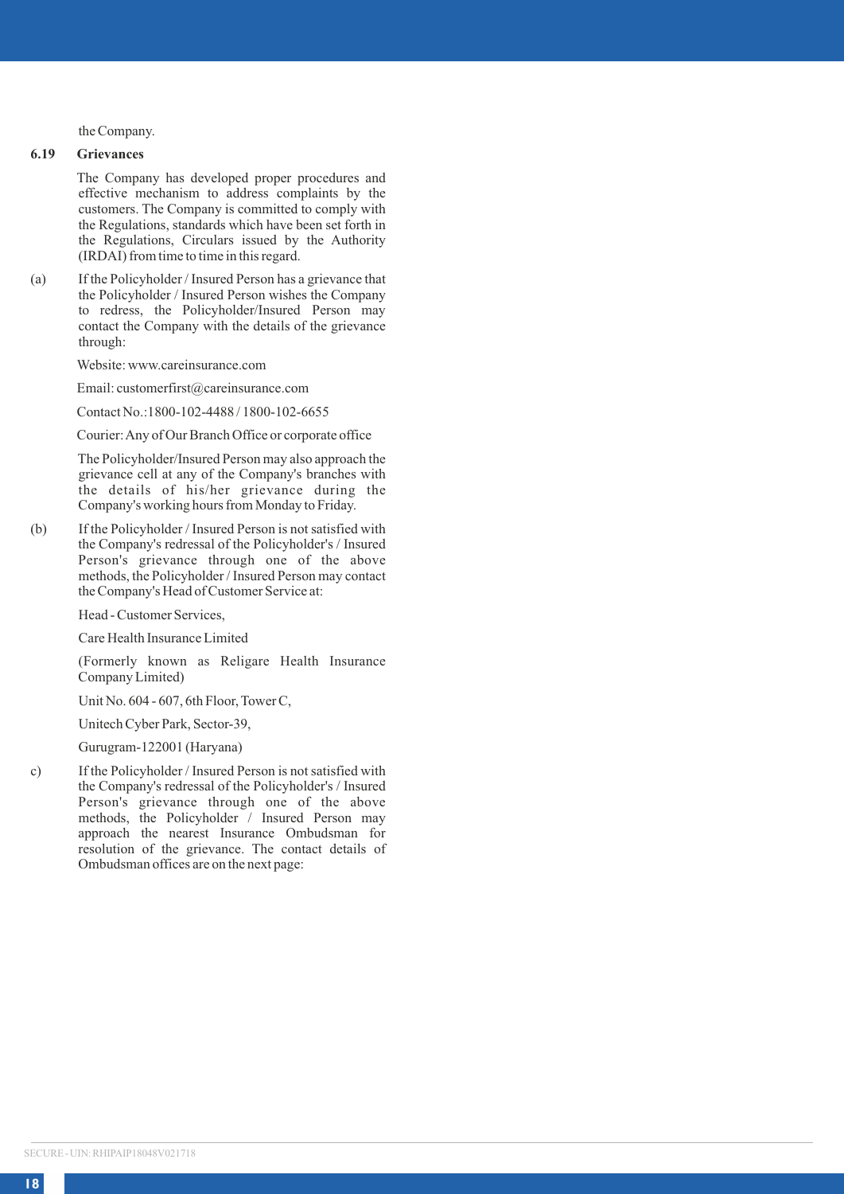the Company.

# **6.19 Grievances**

The Company has developed proper procedures and effective mechanism to address complaints by the customers. The Company is committed to comply with the Regulations, standards which have been set forth in the Regulations, Circulars issued by the Authority (IRDAI) from time to time in this regard.

(a) If the Policyholder / Insured Person has a grievance that the Policyholder / Insured Person wishes the Company to redress, the Policyholder/Insured Person may contact the Company with the details of the grievance through:

Website: www.careinsurance.com

Email: customerfirst@careinsurance.com

Contact No.:1800-102-4488 / 1800-102-6655

Courier: Any of Our Branch Office or corporate office

The Policyholder/Insured Person may also approach the grievance cell at any of the Company's branches with the details of his/her grievance during the Company's working hours from Monday to Friday.

(b) If the Policyholder / Insured Person is not satisfied with the Company's redressal of the Policyholder's / Insured Person's grievance through one of the above methods, the Policyholder / Insured Person may contact the Company's Head of Customer Service at:

Head - Customer Services,

Care Health Insurance Limited

(Formerly known as Religare Health Insurance Company Limited)

Unit No. 604 - 607, 6th Floor, Tower C,

Unitech Cyber Park, Sector-39,

Gurugram-122001 (Haryana)

c) If the Policyholder / Insured Person is not satisfied with the Company's redressal of the Policyholder's / Insured Person's grievance through one of the above methods, the Policyholder / Insured Person may approach the nearest Insurance Ombudsman for resolution of the grievance. The contact details of Ombudsman offices are on the next page: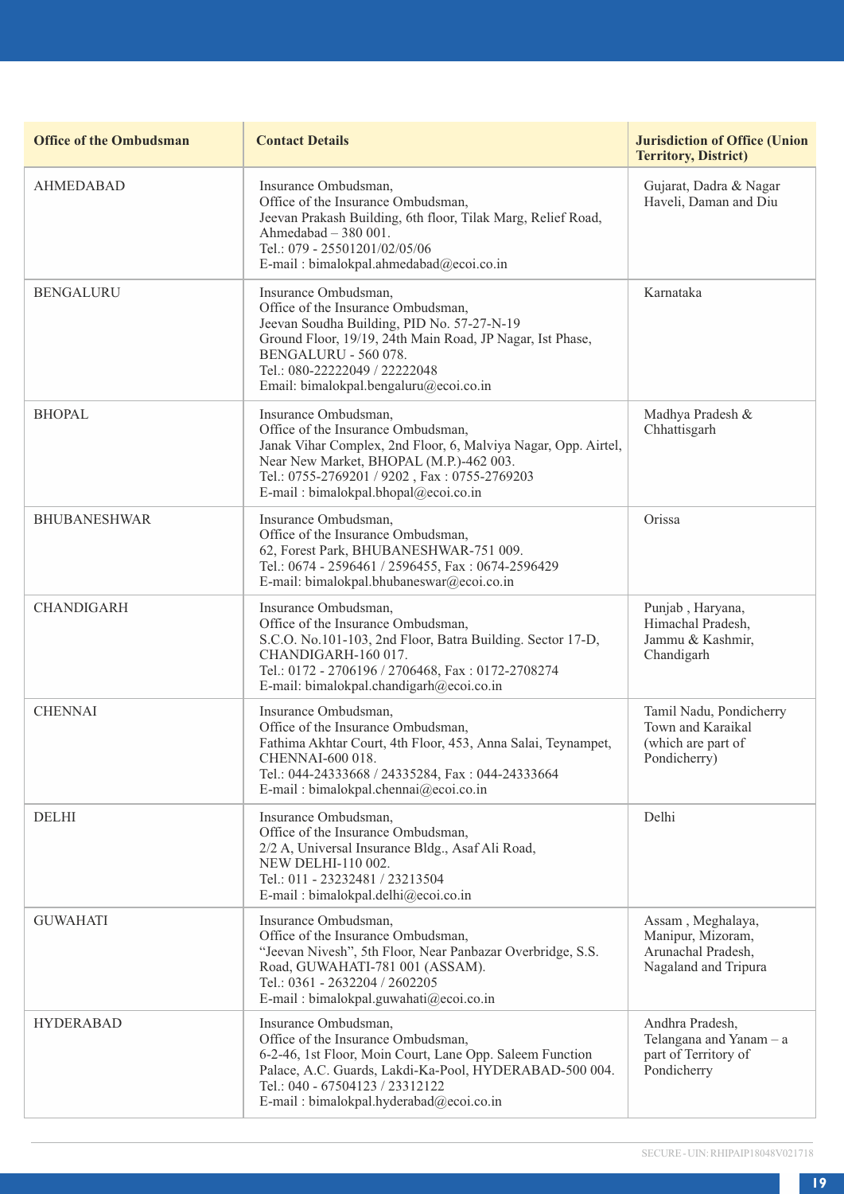| <b>Office of the Ombudsman</b> | <b>Contact Details</b>                                                                                                                                                                                                                                                   | <b>Jurisdiction of Office (Union</b><br><b>Territory, District)</b>                  |
|--------------------------------|--------------------------------------------------------------------------------------------------------------------------------------------------------------------------------------------------------------------------------------------------------------------------|--------------------------------------------------------------------------------------|
| <b>AHMEDABAD</b>               | Insurance Ombudsman,<br>Office of the Insurance Ombudsman,<br>Jeevan Prakash Building, 6th floor, Tilak Marg, Relief Road,<br>Ahmedabad - 380 001.<br>Tel.: 079 - 25501201/02/05/06<br>E-mail: bimalokpal.ahmedabad@ecoi.co.in                                           | Gujarat, Dadra & Nagar<br>Haveli, Daman and Diu                                      |
| <b>BENGALURU</b>               | Insurance Ombudsman,<br>Office of the Insurance Ombudsman,<br>Jeevan Soudha Building, PID No. 57-27-N-19<br>Ground Floor, 19/19, 24th Main Road, JP Nagar, Ist Phase,<br>BENGALURU - 560 078.<br>Tel.: 080-22222049 / 22222048<br>Email: bimalokpal.bengaluru@ecoi.co.in | Karnataka                                                                            |
| <b>BHOPAL</b>                  | Insurance Ombudsman,<br>Office of the Insurance Ombudsman.<br>Janak Vihar Complex, 2nd Floor, 6, Malviya Nagar, Opp. Airtel,<br>Near New Market, BHOPAL (M.P.)-462 003.<br>Tel.: 0755-2769201 / 9202, Fax: 0755-2769203<br>E-mail: bimalokpal.bhopal@ecoi.co.in          | Madhya Pradesh &<br>Chhattisgarh                                                     |
| <b>BHUBANESHWAR</b>            | Insurance Ombudsman,<br>Office of the Insurance Ombudsman,<br>62, Forest Park, BHUBANESHWAR-751 009.<br>Tel.: 0674 - 2596461 / 2596455, Fax: 0674-2596429<br>E-mail: bimalokpal.bhubaneswar@ecoi.co.in                                                                   | Orissa                                                                               |
| <b>CHANDIGARH</b>              | Insurance Ombudsman,<br>Office of the Insurance Ombudsman,<br>S.C.O. No.101-103, 2nd Floor, Batra Building. Sector 17-D,<br>CHANDIGARH-160 017.<br>Tel.: 0172 - 2706196 / 2706468, Fax: 0172-2708274<br>E-mail: bimalokpal.chandigarh@ecoi.co.in                         | Punjab, Haryana,<br>Himachal Pradesh.<br>Jammu & Kashmir,<br>Chandigarh              |
| <b>CHENNAI</b>                 | Insurance Ombudsman.<br>Office of the Insurance Ombudsman,<br>Fathima Akhtar Court, 4th Floor, 453, Anna Salai, Teynampet,<br>CHENNAI-600 018.<br>Tel.: 044-24333668 / 24335284, Fax: 044-24333664<br>E-mail: bimalokpal.chennai@ecoi.co.in                              | Tamil Nadu, Pondicherry<br>Town and Karaikal<br>(which are part of<br>Pondicherry)   |
| <b>DELHI</b>                   | Insurance Ombudsman.<br>Office of the Insurance Ombudsman,<br>2/2 A, Universal Insurance Bldg., Asaf Ali Road,<br>NEW DELHI-110 002.<br>Tel.: 011 - 23232481 / 23213504<br>E-mail: bimalokpal.delhi@ecoi.co.in                                                           | Delhi                                                                                |
| <b>GUWAHATI</b>                | Insurance Ombudsman.<br>Office of the Insurance Ombudsman,<br>"Jeevan Nivesh", 5th Floor, Near Panbazar Overbridge, S.S.<br>Road, GUWAHATI-781 001 (ASSAM).<br>Tel.: 0361 - 2632204 / 2602205<br>E-mail: bimalokpal.guwahati@ecoi.co.in                                  | Assam, Meghalaya,<br>Manipur, Mizoram,<br>Arunachal Pradesh.<br>Nagaland and Tripura |
| <b>HYDERABAD</b>               | Insurance Ombudsman,<br>Office of the Insurance Ombudsman,<br>6-2-46, 1st Floor, Moin Court, Lane Opp. Saleem Function<br>Palace, A.C. Guards, Lakdi-Ka-Pool, HYDERABAD-500 004.<br>Tel.: 040 - 67504123 / 23312122<br>E-mail: bimalokpal.hyderabad@ecoi.co.in           | Andhra Pradesh,<br>Telangana and Yanam - a<br>part of Territory of<br>Pondicherry    |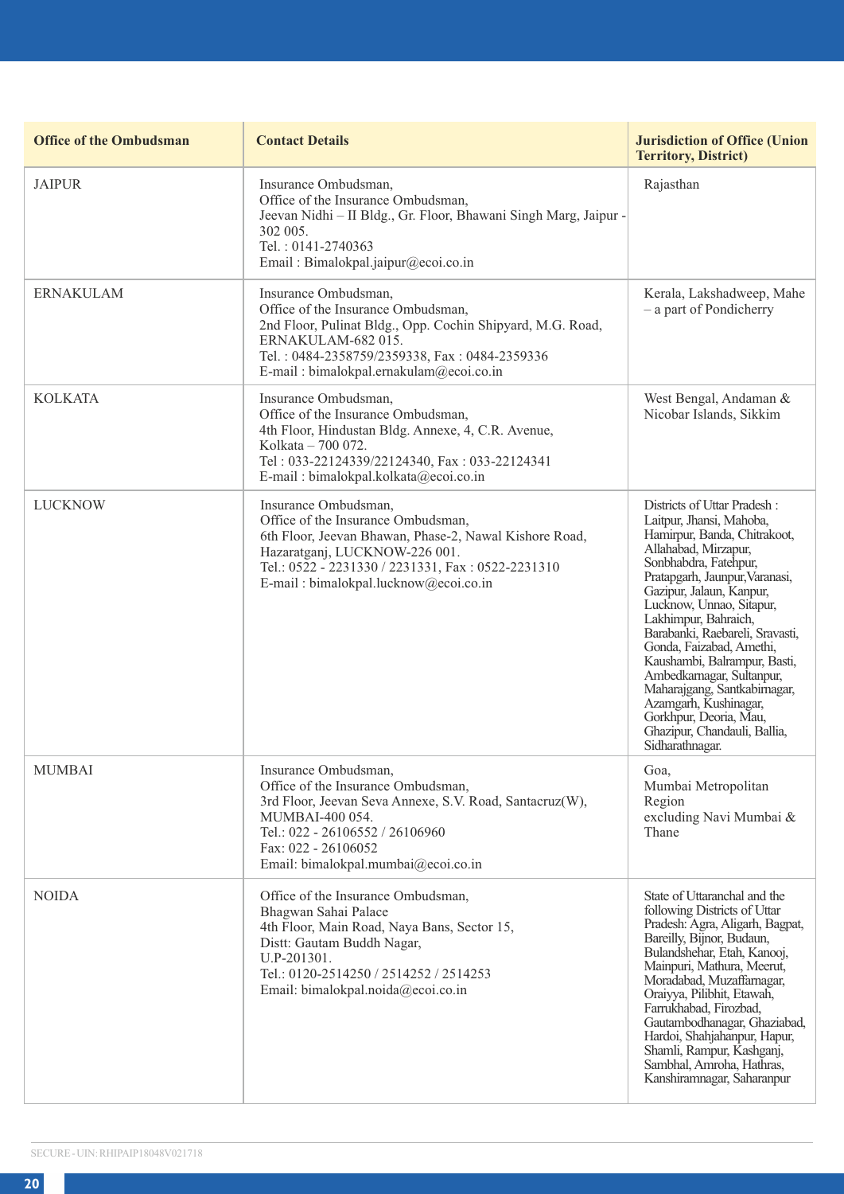| <b>Office of the Ombudsman</b> | <b>Contact Details</b>                                                                                                                                                                                                                              | <b>Jurisdiction of Office (Union</b><br><b>Territory, District)</b>                                                                                                                                                                                                                                                                                                                                                                                                                                                          |
|--------------------------------|-----------------------------------------------------------------------------------------------------------------------------------------------------------------------------------------------------------------------------------------------------|------------------------------------------------------------------------------------------------------------------------------------------------------------------------------------------------------------------------------------------------------------------------------------------------------------------------------------------------------------------------------------------------------------------------------------------------------------------------------------------------------------------------------|
| <b>JAIPUR</b>                  | Insurance Ombudsman,<br>Office of the Insurance Ombudsman,<br>Jeevan Nidhi - II Bldg., Gr. Floor, Bhawani Singh Marg, Jaipur -<br>302 005.<br>Tel.: 0141-2740363<br>Email: Bimalokpal.jaipur@ecoi.co.in                                             | Rajasthan                                                                                                                                                                                                                                                                                                                                                                                                                                                                                                                    |
| <b>ERNAKULAM</b>               | Insurance Ombudsman,<br>Office of the Insurance Ombudsman.<br>2nd Floor, Pulinat Bldg., Opp. Cochin Shipyard, M.G. Road,<br>ERNAKULAM-682 015.<br>Tel.: 0484-2358759/2359338, Fax: 0484-2359336<br>E-mail: bimalokpal.ernakulam@ecoi.co.in          | Kerala, Lakshadweep, Mahe<br>- a part of Pondicherry                                                                                                                                                                                                                                                                                                                                                                                                                                                                         |
| <b>KOLKATA</b>                 | Insurance Ombudsman,<br>Office of the Insurance Ombudsman,<br>4th Floor, Hindustan Bldg. Annexe, 4, C.R. Avenue,<br>Kolkata - 700 072.<br>Tel: 033-22124339/22124340, Fax: 033-22124341<br>E-mail: bimalokpal.kolkata@ecoi.co.in                    | West Bengal, Andaman &<br>Nicobar Islands, Sikkim                                                                                                                                                                                                                                                                                                                                                                                                                                                                            |
| <b>LUCKNOW</b>                 | Insurance Ombudsman,<br>Office of the Insurance Ombudsman,<br>6th Floor, Jeevan Bhawan, Phase-2, Nawal Kishore Road,<br>Hazaratganj, LUCKNOW-226 001.<br>Tel.: 0522 - 2231330 / 2231331, Fax: 0522-2231310<br>E-mail: bimalokpal.lucknow@ecoi.co.in | Districts of Uttar Pradesh:<br>Laitpur, Jhansi, Mahoba,<br>Hamirpur, Banda, Chitrakoot,<br>Allahabad, Mirzapur,<br>Sonbhabdra, Fatehpur,<br>Pratapgarh, Jaunpur, Varanasi,<br>Gazipur, Jalaun, Kanpur,<br>Lucknow, Unnao, Sitapur,<br>Lakhimpur, Bahraich,<br>Barabanki, Raebareli, Sravasti,<br>Gonda, Faizabad, Amethi,<br>Kaushambi, Balrampur, Basti,<br>Ambedkarnagar, Sultanpur,<br>Maharajgang, Santkabirnagar,<br>Azamgarh, Kushinagar,<br>Gorkhpur, Deoria, Mau,<br>Ghazipur, Chandauli, Ballia,<br>Sidharathnagar. |
| <b>MUMBAI</b>                  | Insurance Ombudsman,<br>Office of the Insurance Ombudsman,<br>3rd Floor, Jeevan Seva Annexe, S.V. Road, Santacruz(W),<br>MUMBAI-400 054.<br>Tel.: 022 - 26106552 / 26106960<br>Fax: 022 - 26106052<br>Email: bimalokpal.mumbai@ecoi.co.in           | Goa,<br>Mumbai Metropolitan<br>Region<br>excluding Navi Mumbai &<br>Thane                                                                                                                                                                                                                                                                                                                                                                                                                                                    |
| <b>NOIDA</b>                   | Office of the Insurance Ombudsman,<br>Bhagwan Sahai Palace<br>4th Floor, Main Road, Naya Bans, Sector 15,<br>Distt: Gautam Buddh Nagar,<br>U.P-201301.<br>Tel.: 0120-2514250 / 2514252 / 2514253<br>Email: bimalokpal.noida@ecoi.co.in              | State of Uttaranchal and the<br>following Districts of Uttar<br>Pradesh: Agra, Aligarh, Bagpat,<br>Bareilly, Bijnor, Budaun,<br>Bulandshehar, Etah, Kanooj,<br>Mainpuri, Mathura, Meerut,<br>Moradabad, Muzaffarnagar,<br>Oraivva, Pilibhit, Etawah.<br>Farrukhabad, Firozbad,<br>Gautambodhanagar, Ghaziabad,<br>Hardoi, Shahjahanpur, Hapur,<br>Shamli, Rampur, Kashganj,<br>Sambhal, Amroha, Hathras,<br>Kanshiramnagar, Saharanpur                                                                                       |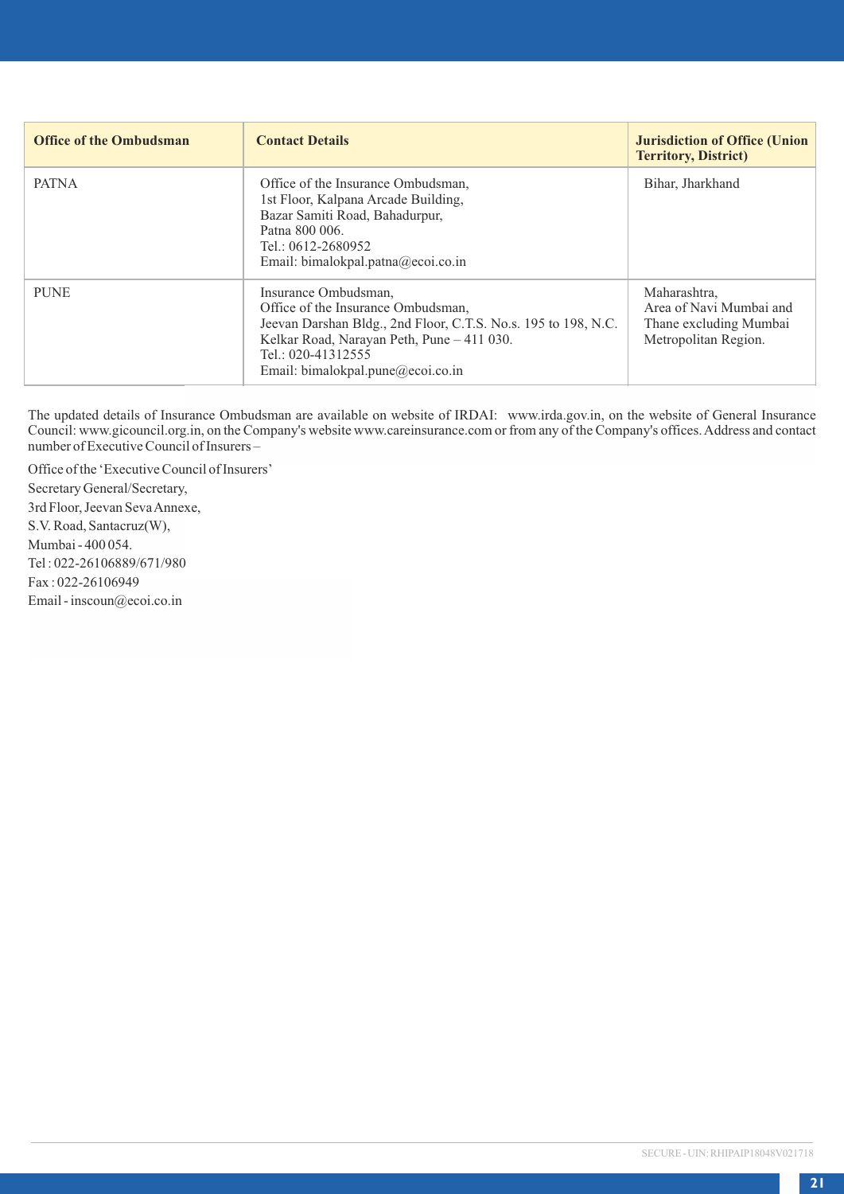| <b>Office of the Ombudsman</b> | <b>Contact Details</b>                                                                                                                                                                                                                | <b>Jurisdiction of Office (Union</b><br><b>Territory, District)</b>                       |
|--------------------------------|---------------------------------------------------------------------------------------------------------------------------------------------------------------------------------------------------------------------------------------|-------------------------------------------------------------------------------------------|
| <b>PATNA</b>                   | Office of the Insurance Ombudsman,<br>1st Floor, Kalpana Arcade Building,<br>Bazar Samiti Road, Bahadurpur,<br>Patna 800 006.<br>Tel.: 0612-2680952<br>Email: bimalokpal.patna@ecoi.co.in                                             | Bihar, Jharkhand                                                                          |
| <b>PUNE</b>                    | Insurance Ombudsman,<br>Office of the Insurance Ombudsman.<br>Jeevan Darshan Bldg., 2nd Floor, C.T.S. No.s. 195 to 198, N.C.<br>Kelkar Road, Narayan Peth, Pune - 411 030.<br>Tel.: 020-41312555<br>Email: bimalokpal.pune@ecoi.co.in | Maharashtra.<br>Area of Navi Mumbai and<br>Thane excluding Mumbai<br>Metropolitan Region. |

The updated details of Insurance Ombudsman are available on website of IRDAI: www.irda.gov.in, on the website of General Insurance Council: www.gicouncil.org.in, on the Company's website www.careinsurance.com or from any of the Company's offices. Address and contact number of Executive Council of Insurers –

Office of the 'Executive Council of Insurers' Secretary General/Secretary, 3rd Floor, Jeevan Seva Annexe, S.V. Road, Santacruz(W), Mumbai - 400 054. Tel : 022-26106889/671/980 Fax : 022-26106949 Email - inscoun@ecoi.co.in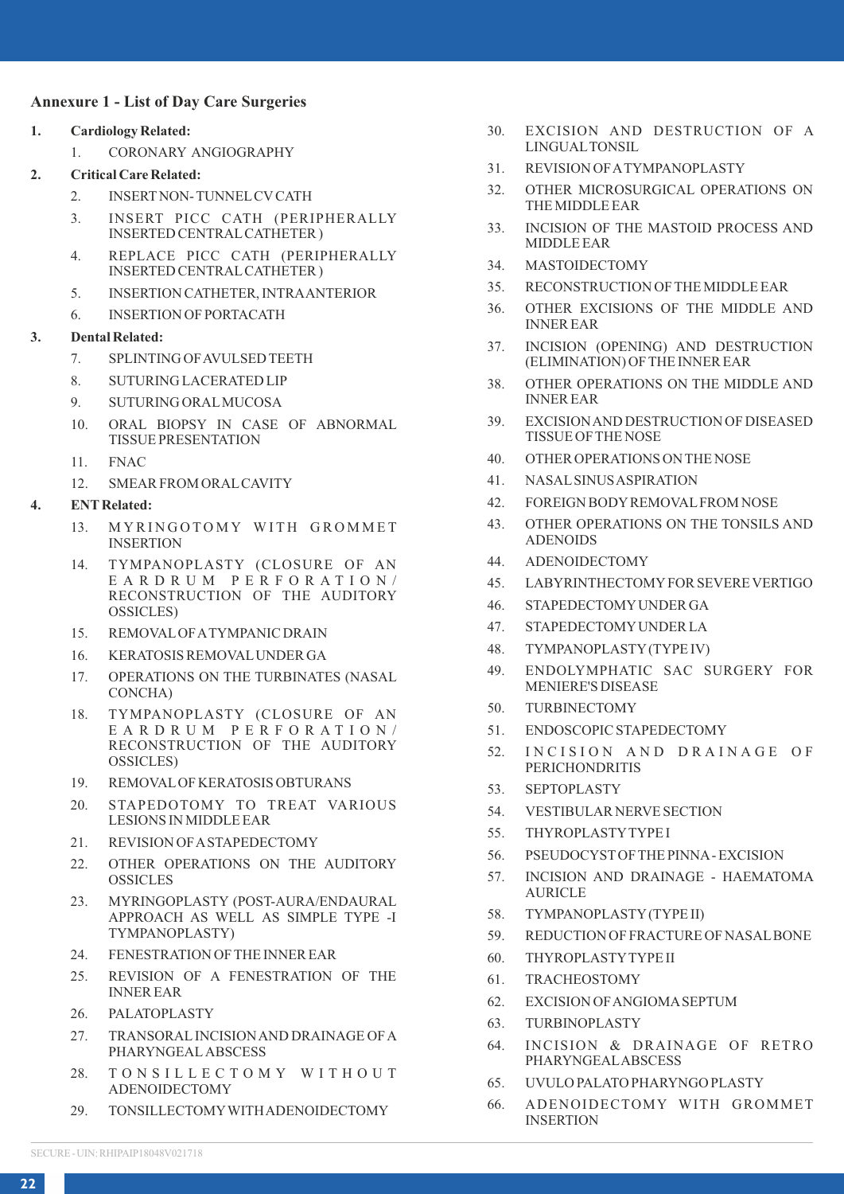### **Annexure 1 - List of Day Care Surgeries**

- **1. Cardiology Related:**
	- 1. CORONARY ANGIOGRAPHY
- **2. Critical Care Related:**
	- 2. INSERT NON- TUNNEL CV CATH
	- 3. INSERT PICC CATH (PERIPHERALLY INSERTED CENTRAL CATHETER )
	- 4. REPLACE PICC CATH (PERIPHERALLY INSERTED CENTRAL CATHETER )
	- 5. INSERTION CATHETER, INTRA ANTERIOR
	- 6. INSERTION OF PORTACATH

## **3. Dental Related:**

- 7. SPLINTING OF AVULSED TEETH
- 8. SUTURING LACERATED LIP
- 9. SUTURING ORAL MUCOSA
- 10. ORAL BIOPSY IN CASE OF ABNORMAL TISSUE PRESENTATION
- 11. FNAC
- 12. SMEAR FROM ORAL CAVITY

#### **4. ENT Related:**

- 13. MYRINGOTOMY WITH GROMMET INSERTION
- 14. TYMPANOPLASTY (CLOSURE OF AN E A R D R U M P E R F O R A T I O N / RECONSTRUCTION OF THE AUDITORY OSSICLES)
- 15. REMOVAL OF A TYMPANIC DRAIN
- 16. KERATOSIS REMOVAL UNDER GA
- 17. OPERATIONS ON THE TURBINATES (NASAL CONCHA)
- 18. TYMPANOPLASTY (CLOSURE OF AN E A R D R U M P E R F O R A T I O N / RECONSTRUCTION OF THE AUDITORY OSSICLES)
- 19. REMOVAL OF KERATOSIS OBTURANS
- 20. STAPEDOTOMY TO TREAT VARIOUS LESIONS IN MIDDLE EAR
- 21. REVISION OF A STAPEDECTOMY
- 22. OTHER OPERATIONS ON THE AUDITORY **OSSICLES**
- 23. MYRINGOPLASTY (POST-AURA/ENDAURAL APPROACH AS WELL AS SIMPLE TYPE -I TYMPANOPLASTY)
- 24. FENESTRATION OF THE INNER EAR
- 25. REVISION OF A FENESTRATION OF THE INNER EAR
- 26. PALATOPLASTY
- 27. TRANSORAL INCISION AND DRAINAGE OF A PHARYNGEAL ABSCESS
- 28. TONSILLECTOMY WITHOUT ADENOIDECTOMY
- 29. TONSILLECTOMY WITH ADENOIDECTOMY
- 30. EXCISION AND DESTRUCTION OF A LINGUAL TONSIL
- 31. REVISION OF A TYMPANOPLASTY
- 32. OTHER MICROSURGICAL OPERATIONS ON THE MIDDLE EAR
- 33. INCISION OF THE MASTOID PROCESS AND MIDDLE EAR
- 34. MASTOIDECTOMY
- 35. RECONSTRUCTION OF THE MIDDLE EAR
- 36. OTHER EXCISIONS OF THE MIDDLE AND INNER EAR
- 37. INCISION (OPENING) AND DESTRUCTION (ELIMINATION) OF THE INNER EAR
- 38. OTHER OPERATIONS ON THE MIDDLE AND INNER EAR
- 39. EXCISION AND DESTRUCTION OF DISEASED TISSUE OF THE NOSE
- 40. OTHER OPERATIONS ON THE NOSE
- 41. NASAL SINUS ASPIRATION
- 42. FOREIGN BODY REMOVAL FROM NOSE
- 43. OTHER OPERATIONS ON THE TONSILS AND ADENOIDS
- 44. ADENOIDECTOMY
- 45. LABYRINTHECTOMY FOR SEVERE VERTIGO
- 46. STAPEDECTOMY UNDER GA
- 47. STAPEDECTOMY UNDER LA
- 48. TYMPANOPLASTY (TYPE IV)
- 49. ENDOLYMPHATIC SAC SURGERY FOR MENIERE'S DISEASE
- 50. TURBINECTOMY
- 51. ENDOSCOPIC STAPEDECTOMY
- 52. INCISION AND DRAINAGE OF PERICHONDRITIS
- 53. SEPTOPLASTY
- 54. VESTIBULAR NERVE SECTION
- 55. THYROPLASTY TYPE I
- 56. PSEUDOCYST OF THE PINNA EXCISION
- 57. INCISION AND DRAINAGE HAEMATOMA AURICLE
- 58. TYMPANOPLASTY (TYPE II)
- 59. REDUCTION OF FRACTURE OF NASAL BONE
- 60. THYROPLASTY TYPE II
- 61. TRACHEOSTOMY
- 62. EXCISION OF ANGIOMA SEPTUM
- 63. TURBINOPLASTY
- 64. INCISION & DRAINAGE OF RETRO PHARYNGEAL ABSCESS
- 65. UVULO PALATO PHARYNGO PLASTY
- 66. ADENOIDECTOMY WITH GROMMET INSERTION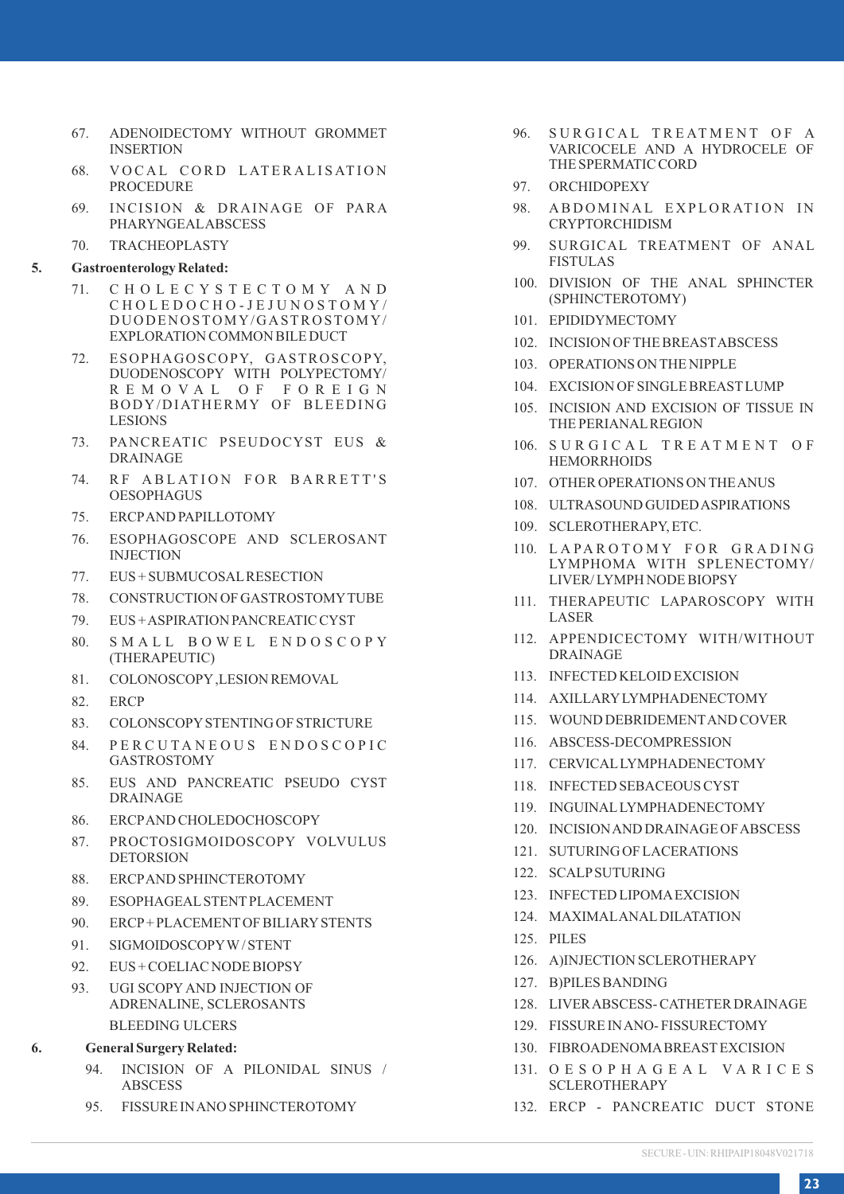- 67. ADENOIDECTOMY WITHOUT GROMMET INSERTION
- 68. VOCAL CORD LATERALISATION PROCEDURE
- 69. INCISION & DRAINAGE OF PARA PHARYNGEAL ABSCESS
- 70. TRACHEOPLASTY

#### **5. Gastroenterology Related:**

- 71. C H O L E C Y S T E C T O M Y A N D C H O L E D O C H O - J E J U N O S T O M Y / DUODENOSTOMY/GASTROSTOMY/ EXPLORATION COMMON BILE DUCT
- 72. ESOPHAGOSCOPY, GASTROSCOPY, DUODENOSCOPY WITH POLYPECTOMY/ R E M O V A L O F F O R E I G N BODY/DIATHERMY OF BLEEDING LESIONS
- 73. PANCREATIC PSEUDOCYST EUS & DRAINAGE
- 74. RF ABLATION FOR BARRETT'S OESOPHAGUS
- 75. ERCP AND PAPILLOTOMY
- 76. ESOPHAGOSCOPE AND SCLEROSANT INJECTION
- 77. EUS + SUBMUCOSAL RESECTION
- 78. CONSTRUCTION OF GASTROSTOMY TUBE
- 79. EUS + ASPIRATION PANCREATIC CYST
- 80. SMALL BOWEL ENDOSCOPY (THERAPEUTIC)
- 81. COLONOSCOPY ,LESION REMOVAL
- 82. ERCP
- 83. COLONSCOPY STENTING OF STRICTURE
- 84. PERCUTANEOUS ENDOSCOPIC GASTROSTOMY
- 85. EUS AND PANCREATIC PSEUDO CYST DRAINAGE
- 86. ERCP AND CHOLEDOCHOSCOPY
- 87. PROCTOSIGMOIDOSCOPY VOLVULUS **DETORSION**
- 88. ERCP AND SPHINCTEROTOMY
- 89. ESOPHAGEAL STENT PLACEMENT
- 90. ERCP + PLACEMENT OF BILIARY STENTS
- 91. SIGMOIDOSCOPY W / STENT
- 92. EUS + COELIAC NODE BIOPSY
- 93. UGI SCOPY AND INJECTION OF ADRENALINE, SCLEROSANTS BLEEDING ULCERS
- **6. General Surgery Related:**
	- 94. INCISION OF A PILONIDAL SINUS / **ABSCESS**
	- 95. FISSURE IN ANO SPHINCTEROTOMY
- 96. SURGICAL TREATMENT OF A VARICOCELE AND A HYDROCELE OF THE SPERMATIC CORD
- 97. ORCHIDOPEXY
- 98. A BDOMINAL EXPLORATION IN CRYPTORCHIDISM
- 99. SURGICAL TREATMENT OF ANAL FISTUL AS
- 100. DIVISION OF THE ANAL SPHINCTER (SPHINCTEROTOMY)
- 101. EPIDIDYMECTOMY
- 102. INCISION OF THE BREAST ABSCESS
- 103. OPERATIONS ON THE NIPPLE
- 104. EXCISION OF SINGLE BREAST LUMP
- 105. INCISION AND EXCISION OF TISSUE IN THE PERIANAL REGION
- 106. SURGICAL TREATMENT OF **HEMORRHOIDS**
- 107. OTHER OPERATIONS ON THE ANUS
- 108. ULTRASOUND GUIDED ASPIRATIONS
- 109 SCLEROTHERAPY ETC.
- 110. LAPAROTOMY FOR GRADING LYMPHOMA WITH SPLENECTOMY/ LIVER/ LYMPH NODE BIOPSY
- 111. THERAPEUTIC LAPAROSCOPY WITH LASER
- 112. APPENDICECTOMY WITH/WITHOUT DRAINAGE
- 113. INFECTED KELOID EXCISION
- 114. AXILLARY LYMPHADENECTOMY
- 115. WOUND DEBRIDEMENT AND COVER
- 116. ABSCESS-DECOMPRESSION
- 117. CERVICAL LYMPHADENECTOMY
- 118. INFECTED SEBACEOUS CYST
- 119. INGUINAL LYMPHADENECTOMY
- 120. INCISION AND DRAINAGE OF ABSCESS
- 121. SUTURING OF LACERATIONS
- 122. SCALP SUTURING
- 123. INFECTED LIPOMA EXCISION
- 124. MAXIMAL ANAL DILATATION
- 125. PILES
- 126. A)INJECTION SCLEROTHERAPY
- 127. B)PILES BANDING
- 128. LIVER ABSCESS- CATHETER DRAINAGE
- 129. FISSURE IN ANO- FISSURECTOMY
- 130. FIBROADENOMA BREAST EXCISION
- 131. O E S O P H A G E A L V A R I C E S SCLEROTHERAPY
- 132. ERCP PANCREATIC DUCT STONE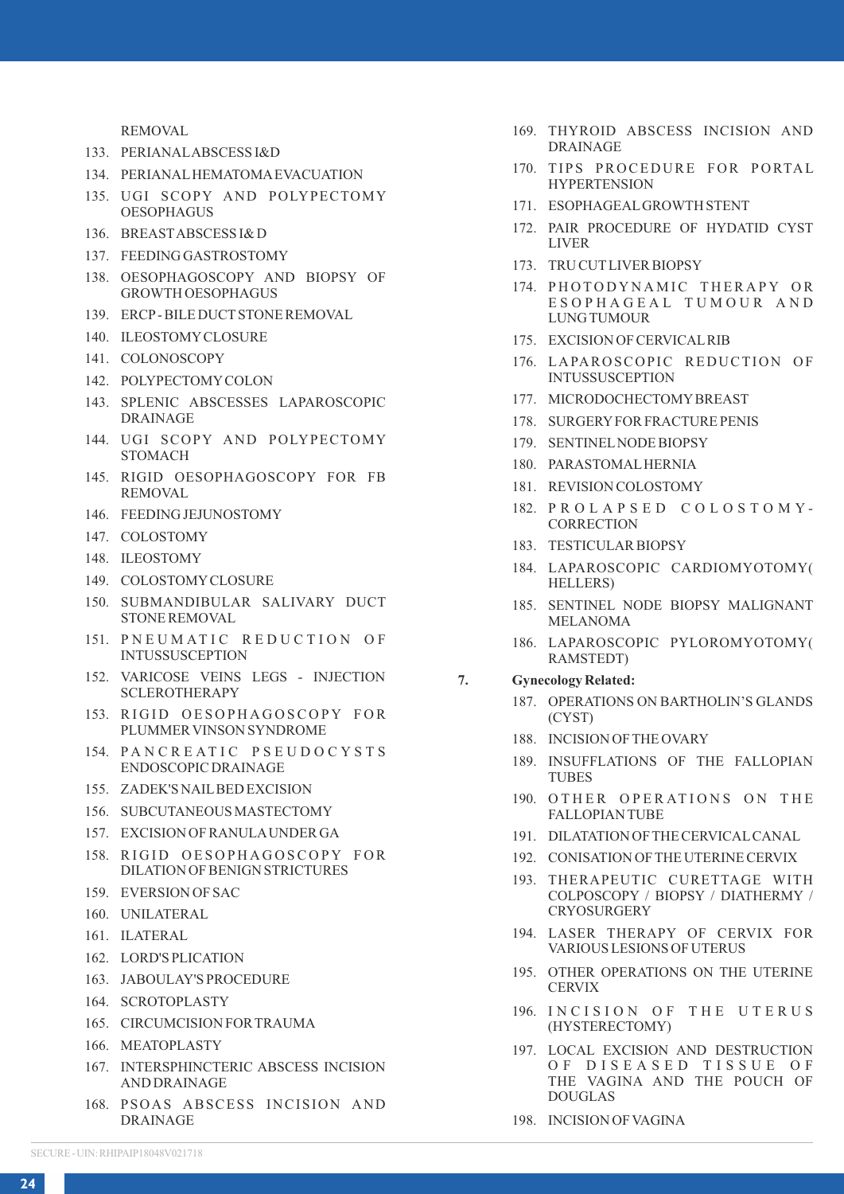REMOVAL

- 133. PERIANAL ABSCESS I&D
- 134. PERIANAL HEMATOMA EVACUATION
- 135. UGI SCOPY AND POLYPECTOMY OESOPHAGUS
- 136. BREAST ABSCESS I& D
- 137. FEEDING GASTROSTOMY
- 138. OESOPHAGOSCOPY AND BIOPSY OF GROWTH OESOPHAGUS
- 139. ERCP BILE DUCT STONE REMOVAL
- 140. ILEOSTOMY CLOSURE
- 141. COLONOSCOPY
- 142. POLYPECTOMY COLON
- 143. SPLENIC ABSCESSES LAPAROSCOPIC DRAINAGE
- 144. UGI SCOPY AND POLYPECTOMY **STOMACH**
- 145. RIGID OESOPHAGOSCOPY FOR FB REMOVAL
- 146. FEEDING JEJUNOSTOMY
- 147. COLOSTOMY
- 148. ILEOSTOMY
- 149. COLOSTOMY CLOSURE
- 150. SUBMANDIBULAR SALIVARY DUCT STONE REMOVAL
- 151. PNEUMATIC REDUCTION OF INTUSSUSCEPTION
- 152. VARICOSE VEINS LEGS INJECTION SCLEROTHERAPY
- 153. RIGID OESOPHAGOSCOPY FOR PLUMMER VINSON SYNDROME
- 154. PANCREATIC PSEUDOCYSTS ENDOSCOPIC DRAINAGE
- 155. ZADEK'S NAIL BED EXCISION
- 156. SUBCUTANEOUS MASTECTOMY
- 157. EXCISION OF RANULA UNDER GA
- 158. RIGID OESOPHAGOSCOPY FOR DILATION OF BENIGN STRICTURES
- 159. EVERSION OF SAC
- 160. UNILATERAL
- 161. ILATERAL
- 162. LORD'S PLICATION
- 163. JABOULAY'S PROCEDURE
- 164. SCROTOPLASTY
- 165. CIRCUMCISION FOR TRAUMA
- 166. MEATOPLASTY
- 167. INTERSPHINCTERIC ABSCESS INCISION AND DRAINAGE
- 168. PSOAS ABSCESS INCISION AND **DRAINAGE**
- 169. THYROID ABSCESS INCISION AND DRAINAGE
- 170. TIPS PROCEDURE FOR PORTAL **HYPERTENSION**
- 171. ESOPHAGEAL GROWTH STENT
- 172. PAIR PROCEDURE OF HYDATID CYST LIVER
- 173. TRU CUT LIVER BIOPSY
- 174. PHOTODYNAMIC THERAPY OR E S O P H A G E A L T U M O U R A N D LUNG TUMOUR
- 175. EXCISION OF CERVICAL RIB
- 176. LAPAROSCOPIC REDUCTION OF INTUSSUSCEPTION
- 177. MICRODOCHECTOMY BREAST
- 178. SURGERY FOR FRACTURE PENIS
- 179. SENTINEL NODE BIOPSY
- 180. PARASTOMAL HERNIA
- 181. REVISION COLOSTOMY
- 182. P R O L A P S E D C O L O S T O M Y **CORRECTION**
- 183. TESTICULAR BIOPSY
- 184. LAPAROSCOPIC CARDIOMYOTOMY( HELLERS)
- 185. SENTINEL NODE BIOPSY MALIGNANT MELANOMA
- 186. LAPAROSCOPIC PYLOROMYOTOMY( RAMSTEDT)

### **7. Gynecology Related:**

- 187. OPERATIONS ON BARTHOLIN'S GLANDS (CYST)
- 188. INCISION OF THE OVARY
- 189. INSUFFLATIONS OF THE FALLOPIAN **TURES**
- 190. OTHER OPERATIONS ON THE FALLOPIAN TUBE
- 191. DILATATION OF THE CERVICAL CANAL
- 192. CONISATION OF THE UTERINE CERVIX
- 193. THERAPEUTIC CURETTAGE WITH COLPOSCOPY / BIOPSY / DIATHERMY / **CRYOSURGERY**
- 194. LASER THERAPY OF CERVIX FOR VARIOUS LESIONS OF UTERUS
- 195. OTHER OPERATIONS ON THE UTERINE **CERVIX**
- 196. INCISION OF THE UTERUS (HYSTERECTOMY)
- 197. LOCAL EXCISION AND DESTRUCTION OF DISEASED TISSUE OF THE VAGINA AND THE POUCH OF DOUGLAS
- 198. INCISION OF VAGINA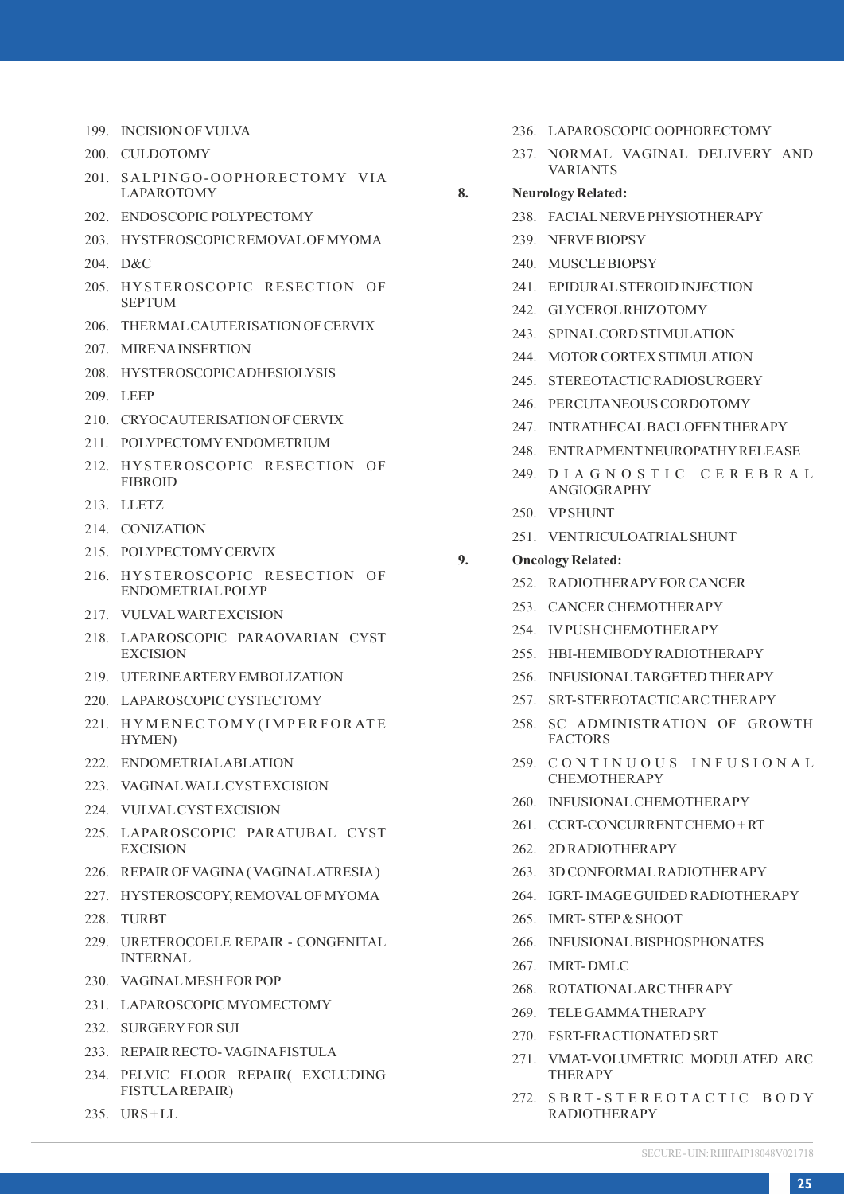- 199. INCISION OF VULVA
- 200. CULDOTOMY
- 201. SALPINGO-OOPHORECTOMY VIA LAPAROTOMY
- 202. ENDOSCOPIC POLYPECTOMY
- 203. HYSTEROSCOPIC REMOVAL OF MYOMA
- 204. D&C
- 205. HYSTEROSCOPIC RESECTION OF SEPTUM
- 206. THERMAL CAUTERISATION OF CERVIX
- 207. MIRENA INSERTION
- 208. HYSTEROSCOPIC ADHESIOLYSIS
- 209. LEEP
- 210. CRYOCAUTERISATION OF CERVIX
- 211. POLYPECTOMY ENDOMETRIUM
- 212. HYSTEROSCOPIC RESECTION OF FIBROID
- 213. LLETZ
- 214. CONIZATION
- 215. POLYPECTOMY CERVIX
- 216. HYSTEROSCOPIC RESECTION OF ENDOMETRIAL POLYP
- 217. VULVAL WART EXCISION
- 218. LAPAROSCOPIC PARAOVARIAN CYST EXCISION
- 219. UTERINE ARTERY EMBOLIZATION
- 220. LAPAROSCOPIC CYSTECTOMY
- 221. HYMENECTOMY (IMPERFORATE HYMEN)
- 222. ENDOMETRIAL ABLATION
- 223. VAGINAL WALL CYST EXCISION
- 224. VULVAL CYST EXCISION
- 225. LAPAROSCOPIC PARATUBAL CYST **EXCISION**
- 226. REPAIR OF VAGINA ( VAGINAL ATRESIA )
- 227. HYSTEROSCOPY, REMOVAL OF MYOMA
- 228. TURBT
- 229. URETEROCOELE REPAIR CONGENITAL INTERNAL
- 230. VAGINAL MESH FOR POP
- 231. LAPAROSCOPIC MYOMECTOMY
- 232. SURGERY FOR SUI
- 233. REPAIR RECTO- VAGINA FISTULA
- 234. PELVIC FLOOR REPAIR( EXCLUDING FISTULA REPAIR)
- 235. URS + LL
- 236. LAPAROSCOPIC OOPHORECTOMY
- 237. NORMAL VAGINAL DELIVERY AND VARIANTS
- **8. Neurology Related:**
	- 238. FACIAL NERVE PHYSIOTHERAPY
	- 239. NERVE BIOPSY
	- 240. MUSCLE BIOPSY
	- 241. EPIDURAL STEROID INJECTION
	- 242. GLYCEROL RHIZOTOMY
	- 243. SPINAL CORD STIMULATION
	- 244. MOTOR CORTEX STIMULATION
	- 245. STEREOTACTIC RADIOSURGERY
	- 246. PERCUTANEOUS CORDOTOMY
	- 247. INTRATHECAL BACLOFEN THERAPY
	- 248. ENTRAPMENT NEUROPATHY RELEASE
	- 249. D I A G N O S T I C C E R E B R A L ANGIOGRAPHY
	- 250. VP SHUNT
	- 251. VENTRICULOATRIAL SHUNT
- **9. Oncology Related:** 
	- 252. RADIOTHERAPY FOR CANCER
	- 253. CANCER CHEMOTHERAPY
	- 254. IV PUSH CHEMOTHERAPY
	- 255. HBI-HEMIBODY RADIOTHERAPY
	- 256. INFUSIONAL TARGETED THERAPY
	- 257. SRT-STEREOTACTIC ARC THERAPY
	- 258. SC ADMINISTRATION OF GROWTH FACTORS
	- 259. C O N T I N U O U S I N F U S I O N A L CHEMOTHERAPY
	- 260. INFUSIONAL CHEMOTHERAPY
	- 261. CCRT-CONCURRENT CHEMO + RT
	- 262. 2D RADIOTHERAPY
	- 263. 3D CONFORMAL RADIOTHERAPY
	- 264. IGRT- IMAGE GUIDED RADIOTHERAPY
	- 265. IMRT- STEP & SHOOT
	- 266. INFUSIONAL BISPHOSPHONATES
	- 267. IMRT- DMLC
	- 268. ROTATIONAL ARC THERAPY
	- 269. TELE GAMMA THERAPY
	- 270. FSRT-FRACTIONATED SRT
	- 271. VMAT-VOLUMETRIC MODULATED ARC THERAPY
	- 272. SBRT-STEREOTACTIC BODY RADIOTHERAPY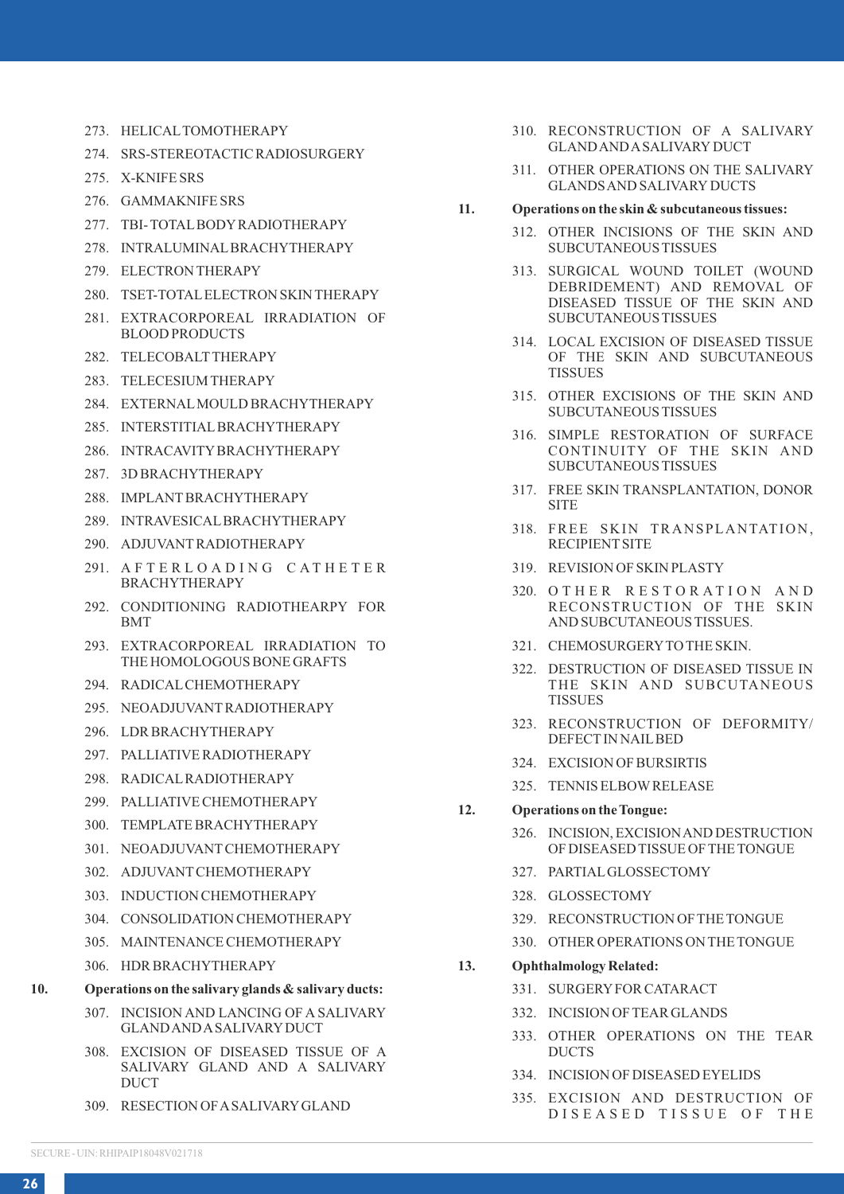- 273. HELICAL TOMOTHERAPY
- 274. SRS-STEREOTACTIC RADIOSURGERY
- 275. X-KNIFE SRS
- 276. GAMMAKNIFE SRS
- 277. TBI- TOTAL BODY RADIOTHERAPY
- 278. INTRALUMINAL BRACHYTHERAPY
- 279. ELECTRON THERAPY
- 280. TSET-TOTAL ELECTRON SKIN THERAPY
- 281. EXTRACORPOREAL IRRADIATION OF BLOOD PRODUCTS
- 282. TELECOBALT THERAPY
- 283. TELECESIUM THERAPY
- 284. EXTERNAL MOULD BRACHYTHERAPY
- 285. INTERSTITIAL BRACHYTHERAPY
- 286. INTRACAVITY BRACHYTHERAPY
- 287. 3D BRACHYTHERAPY
- 288. IMPLANT BRACHYTHERAPY
- 289. INTRAVESICAL BRACHYTHERAPY
- 290. ADJUVANT RADIOTHERAPY
- 291. A F T E R L O A D I N G C A T H E T E R BRACHYTHERAPY
- 292. CONDITIONING RADIOTHEARPY FOR BMT
- 293. EXTRACORPOREAL IRRADIATION TO THE HOMOLOGOUS BONE GRAFTS
- 294. RADICAL CHEMOTHERAPY
- 295. NEOADJUVANT RADIOTHERAPY
- 296. LDR BRACHYTHERAPY
- 297. PALLIATIVE RADIOTHERAPY
- 298. RADICAL RADIOTHERAPY
- 299. PALLIATIVE CHEMOTHERAPY
- 300. TEMPLATE BRACHYTHERAPY
- 301. NEOADJUVANT CHEMOTHERAPY
- 302. ADJUVANT CHEMOTHERAPY
- 303. INDUCTION CHEMOTHERAPY
- 304. CONSOLIDATION CHEMOTHERAPY
- 305. MAINTENANCE CHEMOTHERAPY
- 306. HDR BRACHYTHERAPY
- **10. Operations on the salivary glands & salivary ducts:**
	- 307. INCISION AND LANCING OF A SALIVARY GLAND AND A SALIVARY DUCT
	- 308. EXCISION OF DISEASED TISSUE OF A SALIVARY GLAND AND A SALIVARY DUCT
	- 309. RESECTION OF A SALIVARY GLAND
- 310. RECONSTRUCTION OF A SALIVARY GLAND AND A SALIVARY DUCT
- 311. OTHER OPERATIONS ON THE SALIVARY GLANDS AND SALIVARY DUCTS
- **11. Operations on the skin & subcutaneous tissues:**
	- 312. OTHER INCISIONS OF THE SKIN AND SUBCUTANEOUS TISSUES
	- 313. SURGICAL WOUND TOILET (WOUND DEBRIDEMENT) AND REMOVAL OF DISEASED TISSUE OF THE SKIN AND SUBCUTANEOUS TISSUES
	- 314. LOCAL EXCISION OF DISEASED TISSUE OF THE SKIN AND SUBCUTANEOUS TISSUES
	- 315. OTHER EXCISIONS OF THE SKIN AND SUBCUTANEOUS TISSUES
	- 316. SIMPLE RESTORATION OF SURFACE CONTINUITY OF THE SKIN AND SUBCUTANEOUS TISSUES
	- 317. FREE SKIN TRANSPLANTATION, DONOR SITE
	- 318. FREE SKIN TRANSPLANTATION, RECIPIENT SITE
	- 319. REVISION OF SKIN PLASTY
	- 320. OTHER RESTORATION AND RECONSTRUCTION OF THE SKIN AND SUBCUTANEOUS TISSUES.
	- 321. CHEMOSURGERY TO THE SKIN.
	- 322. DESTRUCTION OF DISEASED TISSUE IN THE SKIN AND SUBCUTANEOUS TISSUES
	- 323. RECONSTRUCTION OF DEFORMITY/ DEFECT IN NAIL BED
	- 324. EXCISION OF BURSIRTIS
	- 325. TENNIS ELBOW RELEASE
- **12. Operations on the Tongue:**
	- 326. INCISION, EXCISION AND DESTRUCTION OF DISEASED TISSUE OF THE TONGUE
	- 327. PARTIAL GLOSSECTOMY
	- 328. GLOSSECTOMY
	- 329. RECONSTRUCTION OF THE TONGUE
	- 330. OTHER OPERATIONS ON THE TONGUE
- **13. Ophthalmology Related:**
	- 331. SURGERY FOR CATARACT
	- 332. INCISION OF TEAR GLANDS
	- 333. OTHER OPERATIONS ON THE TEAR DUCTS
	- 334. INCISION OF DISEASED EYELIDS
	- 335. EXCISION AND DESTRUCTION OF DISEASED TISSUE OF THE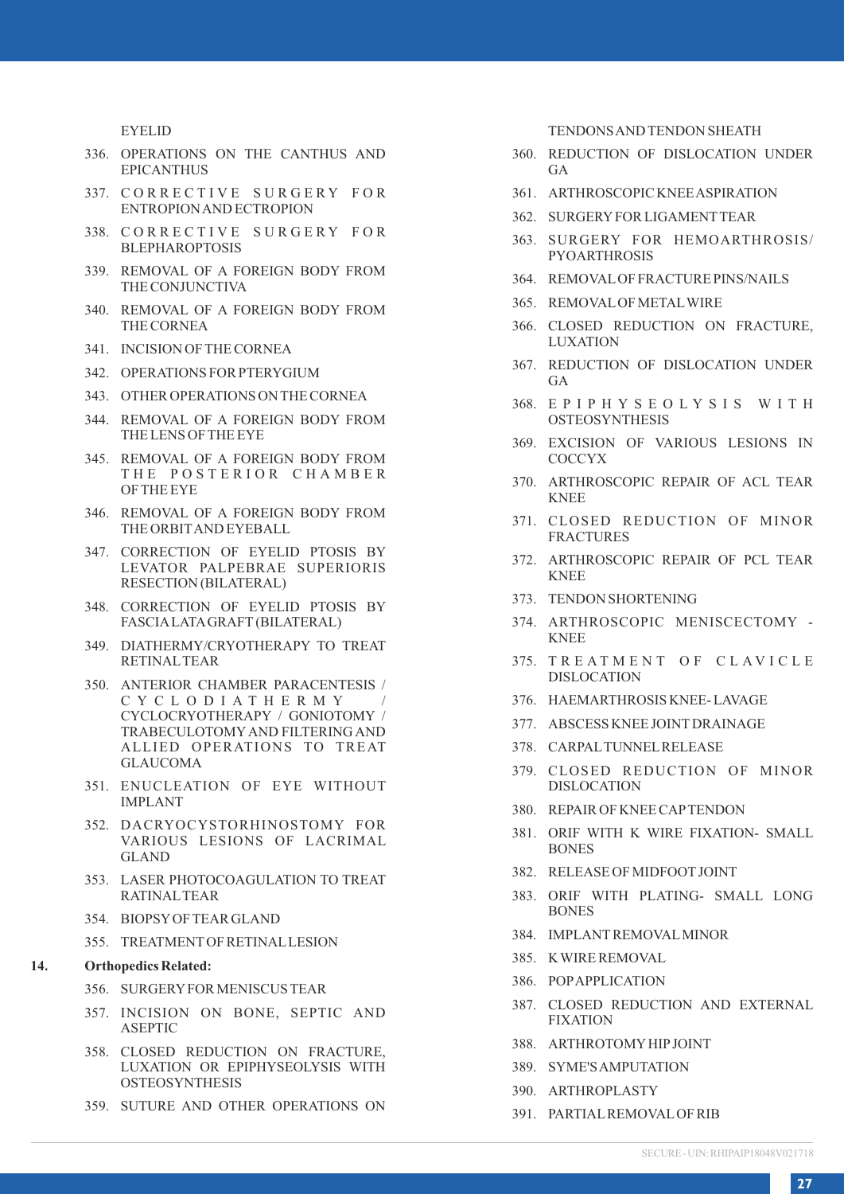EYELID

- 336. OPERATIONS ON THE CANTHUS AND EPICANTHUS
- 337. CORRECTIVE SURGERY FOR ENTROPION AND ECTROPION
- 338. CORRECTIVE SURGERY FOR BLEPHAROPTOSIS
- 339. REMOVAL OF A FOREIGN BODY FROM THE CONJUNCTIVA
- 340. REMOVAL OF A FOREIGN BODY FROM THE CORNEA
- 341. INCISION OF THE CORNEA
- 342. OPERATIONS FOR PTERYGIUM
- 343. OTHER OPERATIONS ON THE CORNEA
- 344. REMOVAL OF A FOREIGN BODY FROM THE LENS OF THE EYE
- 345. REMOVAL OF A FOREIGN BODY FROM THE POSTERIOR CHAMBER OF THE EYE
- 346. REMOVAL OF A FOREIGN BODY FROM THE ORBIT AND EYEBALL
- 347. CORRECTION OF EYELID PTOSIS BY LEVATOR PALPEBRAE SUPERIORIS RESECTION (BILATERAL)
- 348. CORRECTION OF EYELID PTOSIS BY FASCIA LATA GRAFT (BILATERAL)
- 349. DIATHERMY/CRYOTHERAPY TO TREAT RETINAL TEAR
- 350. ANTERIOR CHAMBER PARACENTESIS / C Y C L O D I A T H E R M Y / CYCLOCRYOTHERAPY / GONIOTOMY / TRABECULOTOMY AND FILTERING AND ALLIED OPERATIONS TO TREAT GLAUCOMA
- 351. ENUCLEATION OF EYE WITHOUT IMPLANT
- 352. DACRYOCYSTORHINOSTOMY FOR VARIOUS LESIONS OF LACRIMAL GLAND
- 353. LASER PHOTOCOAGULATION TO TREAT RATINAL TEAR
- 354. BIOPSY OF TEAR GLAND
- 355. TREATMENT OF RETINAL LESION

#### **14. Orthopedics Related:**

- 356. SURGERY FOR MENISCUS TEAR
- 357. INCISION ON BONE, SEPTIC AND ASEPTIC
- 358. CLOSED REDUCTION ON FRACTURE, LUXATION OR EPIPHYSEOLYSIS WITH OSTEOSYNTHESIS
- 359. SUTURE AND OTHER OPERATIONS ON

TENDONS AND TENDON SHEATH

- 360. REDUCTION OF DISLOCATION UNDER GA
- 361. ARTHROSCOPIC KNEE ASPIRATION
- 362. SURGERY FOR LIGAMENT TEAR
- 363. SURGERY FOR HEMOARTHROSIS/ PYOARTHROSIS
- 364. REMOVAL OF FRACTURE PINS/NAILS
- 365. REMOVAL OF METAL WIRE
- 366. CLOSED REDUCTION ON FRACTURE, **LUXATION**
- 367. REDUCTION OF DISLOCATION UNDER **GA**
- 368. E P I P H Y S E O L Y S I S W I T H **OSTEOSYNTHESIS**
- 369. EXCISION OF VARIOUS LESIONS IN **COCCYX**
- 370. ARTHROSCOPIC REPAIR OF ACL TEAR KNEE
- 371. CLOSED REDUCTION OF MINOR FRACTURES
- 372. ARTHROSCOPIC REPAIR OF PCL TEAR KNEE
- 373. TENDON SHORTENING
- 374. ARTHROSCOPIC MENISCECTOMY KNEE
- 375. TREATMENT OF CLAVICLE DISLOCATION
- 376. HAEMARTHROSIS KNEE- LAVAGE
- 377. ABSCESS KNEE JOINT DRAINAGE
- 378. CARPAL TUNNEL RELEASE
- 379. CLOSED REDUCTION OF MINOR DISLOCATION
- 380. REPAIR OF KNEE CAP TENDON
- 381. ORIF WITH K WIRE FIXATION- SMALL **BONES**
- 382. RELEASE OF MIDFOOT JOINT
- 383. ORIF WITH PLATING- SMALL LONG **BONES**
- 384. IMPLANT REMOVAL MINOR
- 385. K WIRE REMOVAL
- 386. POP APPLICATION
- 387. CLOSED REDUCTION AND EXTERNAL FIXATION
- 388. ARTHROTOMY HIP JOINT
- 389. SYME'S AMPUTATION
- 390. ARTHROPLASTY
- 391. PARTIAL REMOVAL OF RIB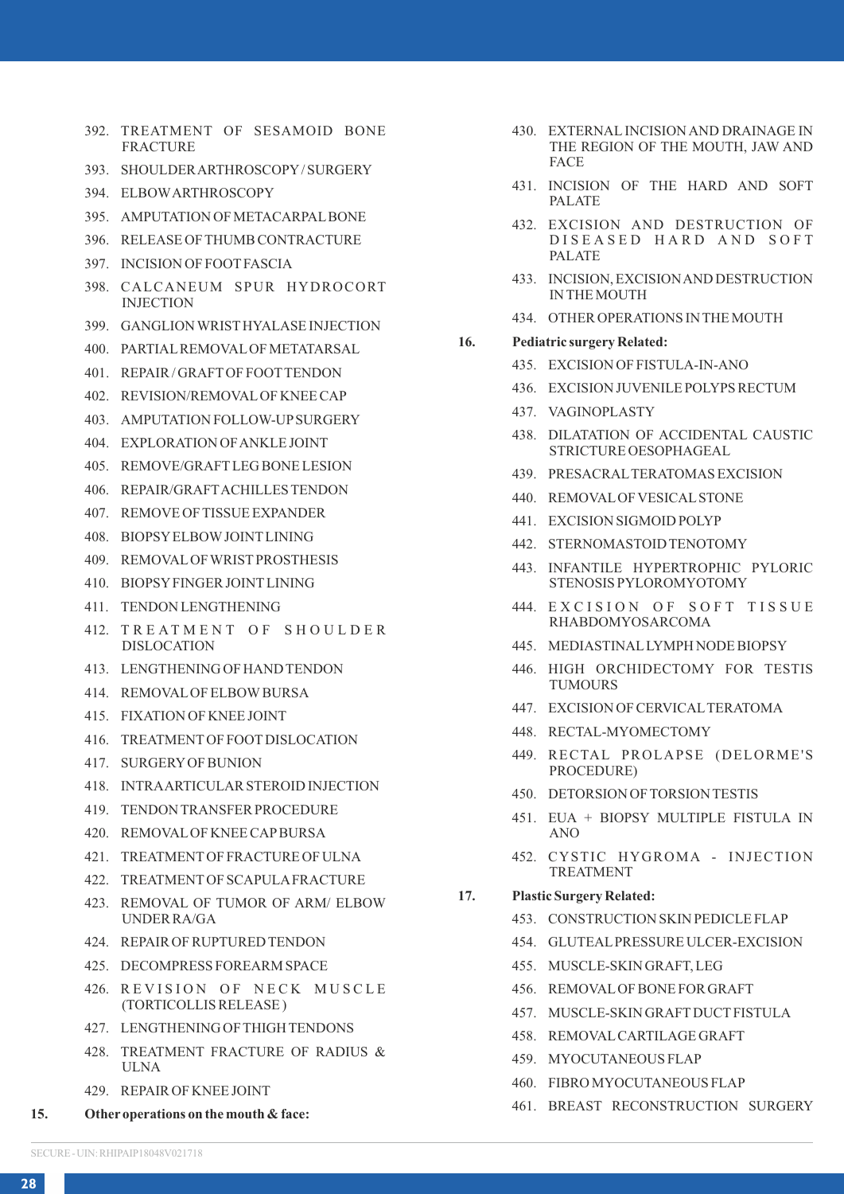- 392. TREATMENT OF SESAMOID BONE **FRACTURE**
- 393. SHOULDER ARTHROSCOPY / SURGERY
- 394. ELBOW ARTHROSCOPY
- 395. AMPUTATION OF METACARPAL BONE
- 396. RELEASE OF THUMB CONTRACTURE
- 397. INCISION OF FOOT FASCIA
- 398. CALCANEUM SPUR HYDROCORT INJECTION
- 399. GANGLION WRIST HYALASE INJECTION
- 400. PARTIAL REMOVAL OF METATARSAL
- 401. REPAIR / GRAFT OF FOOT TENDON
- 402. REVISION/REMOVAL OF KNEE CAP
- 403. AMPUTATION FOLLOW-UP SURGERY
- 404. EXPLORATION OF ANKLE JOINT
- 405. REMOVE/GRAFT LEG BONE LESION
- 406. REPAIR/GRAFT ACHILLES TENDON
- 407. REMOVE OF TISSUE EXPANDER
- 408. BIOPSY ELBOW JOINT LINING
- 409. REMOVAL OF WRIST PROSTHESIS
- 410. BIOPSY FINGER JOINT LINING
- 411. TENDON LENGTHENING
- 412. TREATMENT OF SHOULDER DISLOCATION
- 413. LENGTHENING OF HAND TENDON
- 414. REMOVAL OF ELBOW BURSA
- 415. FIXATION OF KNEE JOINT
- 416. TREATMENT OF FOOT DISLOCATION
- 417. SURGERY OF BUNION
- 418. INTRA ARTICULAR STEROID INJECTION
- 419. TENDON TRANSFER PROCEDURE
- 420. REMOVAL OF KNEE CAP BURSA
- 421. TREATMENT OF FRACTURE OF ULNA
- 422. TREATMENT OF SCAPULA FRACTURE
- 423. REMOVAL OF TUMOR OF ARM/ ELBOW UNDER RA/GA
- 424. REPAIR OF RUPTURED TENDON
- 425. DECOMPRESS FOREARM SPACE
- 426 REVISION OF NECK MUSCLE (TORTICOLLIS RELEASE )
- 427. LENGTHENING OF THIGH TENDONS
- 428. TREATMENT FRACTURE OF RADIUS & ULNA
- 429. REPAIR OF KNEE JOINT
- **15. Other operations on the mouth & face:**
- 430. EXTERNAL INCISION AND DRAINAGE IN THE REGION OF THE MOUTH, JAW AND FACE
- 431. INCISION OF THE HARD AND SOFT PALATE
- 432. EXCISION AND DESTRUCTION OF D I S E A S E D H A R D A N D S O F T PALATE
- 433. INCISION, EXCISION AND DESTRUCTION IN THE MOUTH
- 434. OTHER OPERATIONS IN THE MOUTH
- **16. Pediatric surgery Related:**
	- 435. EXCISION OF FISTULA-IN-ANO
	- 436. EXCISION JUVENILE POLYPS RECTUM
	- 437. VAGINOPLASTY
	- 438. DILATATION OF ACCIDENTAL CAUSTIC STRICTURE OESOPHAGEAL
	- 439. PRESACRAL TERATOMAS EXCISION
	- 440. REMOVAL OF VESICAL STONE
	- 441. EXCISION SIGMOID POLYP
	- 442. STERNOMASTOID TENOTOMY
	- 443. INFANTILE HYPERTROPHIC PYLORIC STENOSIS PYLOROMYOTOMY
	- 444. EXCISION OF SOFT TISSUE RHABDOMYOSARCOMA
	- 445. MEDIASTINAL LYMPH NODE BIOPSY
	- 446. HIGH ORCHIDECTOMY FOR TESTIS TUMOURS
	- 447. EXCISION OF CERVICAL TERATOMA
	- 448. RECTAL-MYOMECTOMY
	- 449. RECTAL PROLAPSE (DELORME'S PROCEDURE)
	- 450. DETORSION OF TORSION TESTIS
	- 451. EUA + BIOPSY MULTIPLE FISTULA IN ANO
	- 452. CYSTIC HYGROMA INJECTION TREATMENT
- **17. Plastic Surgery Related:**
	- 453. CONSTRUCTION SKIN PEDICLE FLAP
	- 454. GLUTEAL PRESSURE ULCER-EXCISION
	- 455. MUSCLE-SKIN GRAFT, LEG
	- 456. REMOVAL OF BONE FOR GRAFT
	- 457. MUSCLE-SKIN GRAFT DUCT FISTULA
	- 458. REMOVAL CARTILAGE GRAFT
	- 459. MYOCUTANEOUS FLAP
	- 460. FIBRO MYOCUTANEOUS FLAP
	- 461. BREAST RECONSTRUCTION SURGERY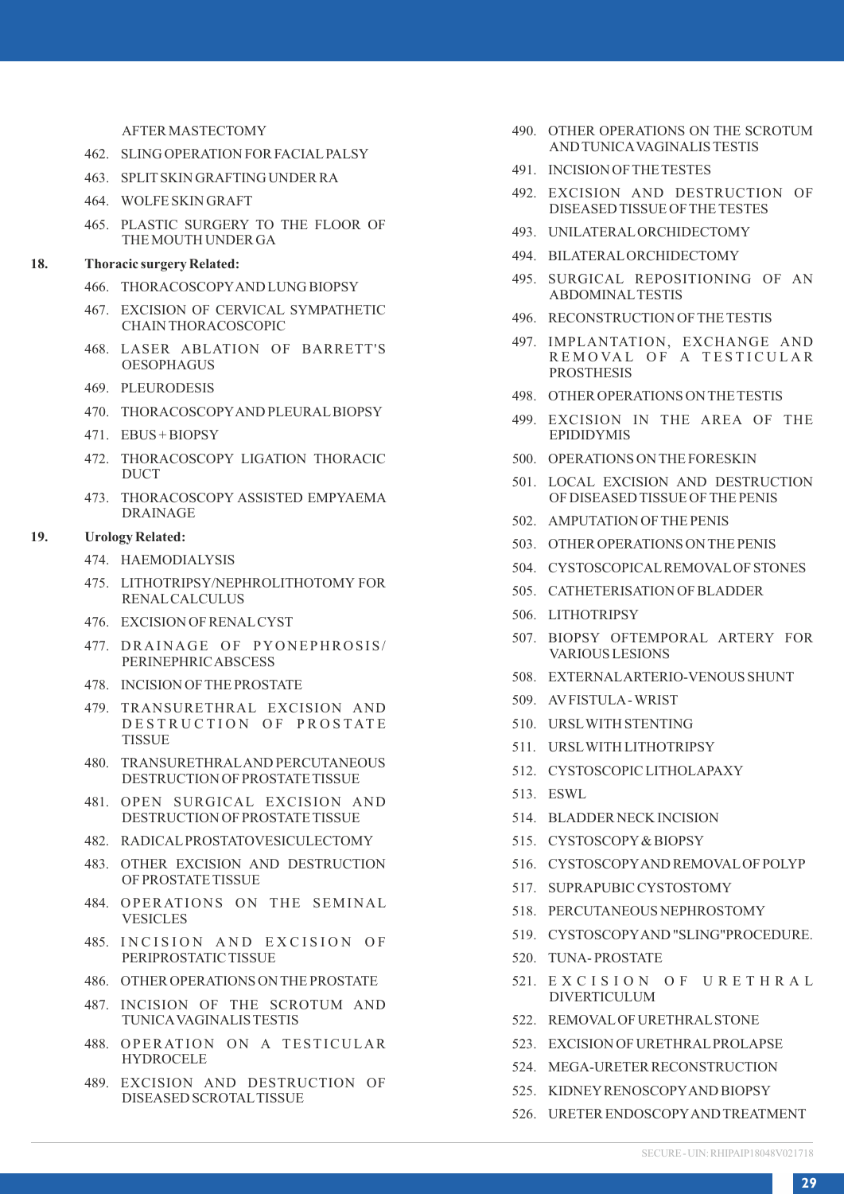#### AFTER MASTECTOMY

- 462. SLING OPER ATION FOR FACIAL PALSY
- 463. SPLIT SKIN GRAFTING UNDER RA
- 464. WOLFE SKIN GRAFT
- 465. PLASTIC SURGERY TO THE FLOOR OF THE MOUTH UNDER GA

### **18. Thoracic surgery Related:**

- 466. THORACOSCOPY AND LUNG BIOPSY
- 467. EXCISION OF CERVICAL SYMPATHETIC CHAIN THORACOSCOPIC
- 468. LASER ABLATION OF BARRETT'S OESOPHAGUS
- 469. PLEURODESIS
- 470. THORACOSCOPY AND PLEURAL BIOPSY
- 471. EBUS + BIOPSY
- 472. THORACOSCOPY LIGATION THORACIC **DUCT**
- 473. THORACOSCOPY ASSISTED EMPYAEMA DRAINAGE

#### **19. Urology Related:**

- 474. HAEMODIALYSIS
- 475. LITHOTRIPSY/NEPHROLITHOTOMY FOR **RENAL CALCULUS**
- 476. EXCISION OF RENAL CYST
- 477. DRAINAGE OF PYONEPHROSIS/ PERINEPHRIC ABSCESS
- 478. INCISION OF THE PROSTATE
- 479. TRANSURETHRAL EXCISION AND DESTRUCTION OF PROSTATE TISSUE
- 480. TRANSURETHRAL AND PERCUTANEOUS DESTRUCTION OF PROSTATE TISSUE
- 481. OPEN SURGICAL EXCISION AND DESTRUCTION OF PROSTATE TISSUE
- 482. RADICAL PROSTATOVESICULECTOMY
- 483. OTHER EXCISION AND DESTRUCTION OF PROSTATE TISSUE
- 484. OPERATIONS ON THE SEMINAL VESICLES
- 485. INCISION AND EXCISION OF PERIPROSTATIC TISSUE
- 486. OTHER OPERATIONS ON THE PROSTATE
- 487. INCISION OF THE SCROTUM AND TUNICA VAGINALIS TESTIS
- 488. OPERATION ON A TESTICULAR HYDROCELE
- 489. EXCISION AND DESTRUCTION OF DISEASED SCROTAL TISSUE
- 490. OTHER OPERATIONS ON THE SCROTUM AND TUNICA VAGINALIS TESTIS
- 491. INCISION OF THE TESTES
- 492. EXCISION AND DESTRUCTION OF DISEASED TISSUE OF THE TESTES
- 493. UNILATERAL ORCHIDECTOMY
- 494. BILATERAL ORCHIDECTOMY
- 495. SURGICAL REPOSITIONING OF AN ABDOMINAL TESTIS
- 496. RECONSTRUCTION OF THE TESTIS
- 497. IMPLANTATION, EXCHANGE AND REMOVAL OF A TESTICULAR PROSTHESIS
- 498. OTHER OPERATIONS ON THE TESTIS
- 499. EXCISION IN THE AREA OF THE EPIDIDYMIS
- 500. OPERATIONS ON THE FORESKIN
- 501. LOCAL EXCISION AND DESTRUCTION OF DISEASED TISSUE OF THE PENIS
- 502. AMPUTATION OF THE PENIS
- 503. OTHER OPERATIONS ON THE PENIS
- 504. CYSTOSCOPICAL REMOVAL OF STONES
- 505. CATHETERISATION OF BLADDER
- 506. LITHOTRIPSY
- 507. BIOPSY OFTEMPORAL ARTERY FOR VARIOUS LESIONS
- 508. EXTERNAL ARTERIO-VENOUS SHUNT
- 509. AV FISTULA WRIST
- 510. URSL WITH STENTING
- 511. URSL WITH LITHOTRIPSY
- 512. CYSTOSCOPIC LITHOLAPAXY
- 513. ESWL
- 514. BLADDER NECK INCISION
- 515. CYSTOSCOPY & BIOPSY
- 516. CYSTOSCOPY AND REMOVAL OF POLYP
- 517. SUPRAPUBIC CYSTOSTOMY
- 518. PERCUTANEOUS NEPHROSTOMY
- 519. CYSTOSCOPY AND "SLING"PROCEDURE.
- 520. TUNA- PROSTATE
- 521. EXCISION OF URETHRAL DIVERTICULUM
- 522. REMOVAL OF URETHRAL STONE
- 523. EXCISION OF URETHRAL PROLAPSE
- 524. MEGA-URETER RECONSTRUCTION
- 525. KIDNEY RENOSCOPY AND BIOPSY
- 526. URETER ENDOSCOPY AND TREATMENT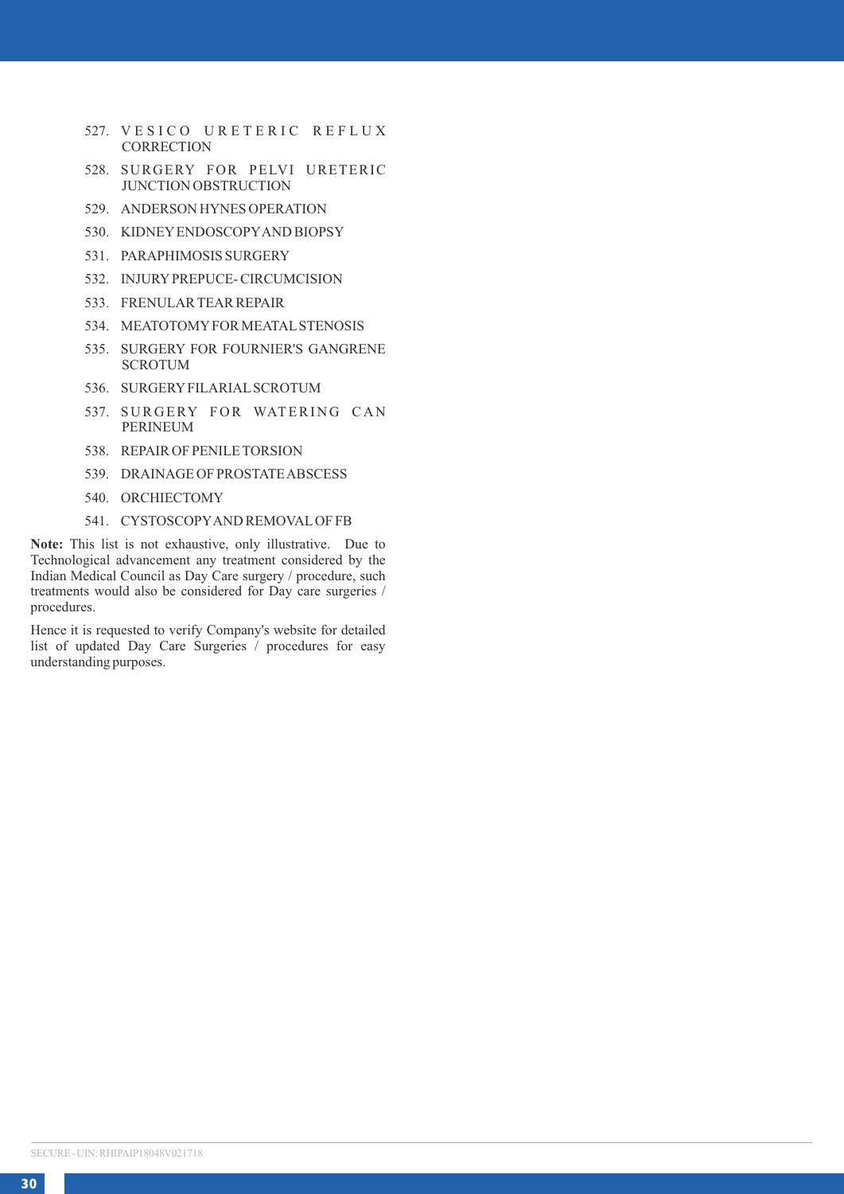- 527. VESICO URETERIC REFLUX **CORRECTION**
- 528. SURGERY FOR PELVI URETERIC JUNCTION OBSTRUCTION
- 529. ANDERSON HYNES OPERATION
- 530. KIDNEY ENDOSCOPY AND BIOPSY
- 531. PARAPHIMOSIS SURGERY
- 532. INJURY PREPUCE- CIRCUMCISION
- 533. FRENULAR TEAR REPAIR
- 534. MEATOTOMY FOR MEATAL STENOSIS
- 535. SURGERY FOR FOURNIER'S GANGRENE **SCROTUM**
- 536. SURGERY FILARIAL SCROTUM
- 537. SURGERY FOR WATERING CAN PERINEUM
- 538. REPAIR OF PENILE TORSION
- 539. DRAINAGE OF PROSTATE ABSCESS
- 540. ORCHIECTOMY
- 541. CYSTOSCOPY AND REMOVAL OF FB

**Note:** This list is not exhaustive, only illustrative. Due to Technological advancement any treatment considered by the Indian Medical Council as Day Care surgery / procedure, such treatments would also be considered for Day care surgeries / procedures.

Hence it is requested to verify Company's website for detailed list of updated Day Care Surgeries / procedures for easy understanding purposes.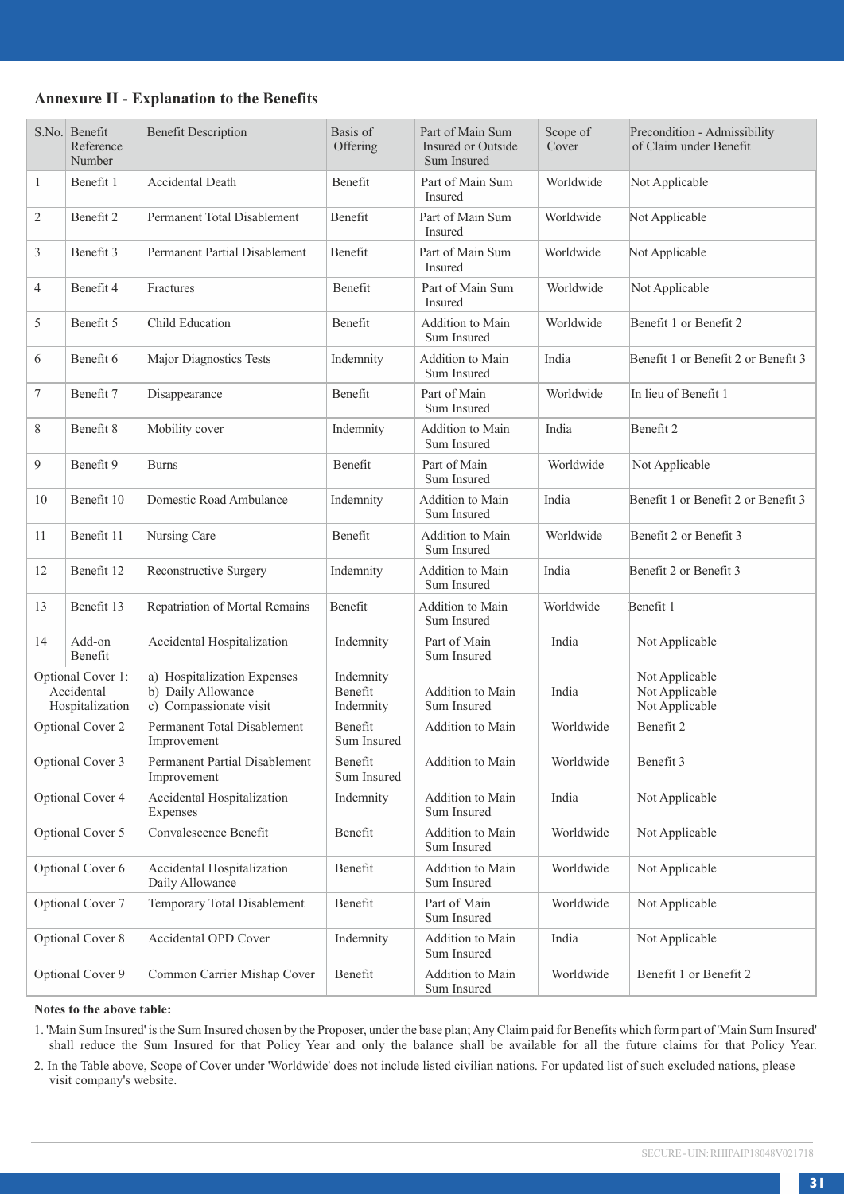### **Annexure II - Explanation to the Benefits**

|                | S.No. Benefit<br>Reference<br>Number               | <b>Benefit Description</b>                                                  | Basis of<br>Offering              | Part of Main Sum<br>Insured or Outside<br>Sum Insured | Scope of<br>Cover | Precondition - Admissibility<br>of Claim under Benefit |
|----------------|----------------------------------------------------|-----------------------------------------------------------------------------|-----------------------------------|-------------------------------------------------------|-------------------|--------------------------------------------------------|
| $\mathbf{1}$   | Benefit 1                                          | Accidental Death                                                            | Benefit                           | Part of Main Sum<br>Insured                           | Worldwide         | Not Applicable                                         |
| $\overline{c}$ | Benefit 2                                          | Permanent Total Disablement                                                 | Benefit                           | Part of Main Sum<br><b>Insured</b>                    | Worldwide         | Not Applicable                                         |
| 3              | Benefit 3                                          | Permanent Partial Disablement                                               | Benefit                           | Part of Main Sum<br><b>Insured</b>                    | Worldwide         | Not Applicable                                         |
| $\overline{4}$ | Benefit 4                                          | Fractures                                                                   | <b>Benefit</b>                    | Part of Main Sum<br>Insured                           | Worldwide         | Not Applicable                                         |
| 5              | Benefit 5                                          | <b>Child Education</b>                                                      | Benefit                           | Addition to Main<br>Sum Insured                       | Worldwide         | Benefit 1 or Benefit 2                                 |
| 6              | Benefit 6                                          | Major Diagnostics Tests                                                     | Indemnity                         | Addition to Main<br>Sum Insured                       | India             | Benefit 1 or Benefit 2 or Benefit 3                    |
| 7              | Benefit 7                                          | Disappearance                                                               | Benefit                           | Part of Main<br>Sum Insured                           | Worldwide         | In lieu of Benefit 1                                   |
| 8              | Benefit 8                                          | Mobility cover                                                              | Indemnity                         | Addition to Main<br>Sum Insured                       | India             | Benefit 2                                              |
| 9              | Benefit 9                                          | <b>Burns</b>                                                                | Benefit                           | Part of Main<br>Sum Insured                           | Worldwide         | Not Applicable                                         |
| 10             | Benefit 10                                         | Domestic Road Ambulance                                                     | Indemnity                         | Addition to Main<br>Sum Insured                       | India             | Benefit 1 or Benefit 2 or Benefit 3                    |
| 11             | Benefit 11                                         | Nursing Care                                                                | Benefit                           | Addition to Main<br>Sum Insured                       | Worldwide         | Benefit 2 or Benefit 3                                 |
| 12             | Benefit 12                                         | Reconstructive Surgery                                                      | Indemnity                         | Addition to Main<br>Sum Insured                       | India             | Benefit 2 or Benefit 3                                 |
| 13             | Benefit 13                                         | Repatriation of Mortal Remains                                              | Benefit                           | Addition to Main<br>Sum Insured                       | Worldwide         | Benefit 1                                              |
| 14             | Add-on<br>Benefit                                  | Accidental Hospitalization                                                  | Indemnity                         | Part of Main<br>Sum Insured                           | India             | Not Applicable                                         |
|                | Optional Cover 1:<br>Accidental<br>Hospitalization | a) Hospitalization Expenses<br>b) Daily Allowance<br>c) Compassionate visit | Indemnity<br>Benefit<br>Indemnity | Addition to Main<br>Sum Insured                       | India             | Not Applicable<br>Not Applicable<br>Not Applicable     |
|                | Optional Cover 2                                   | Permanent Total Disablement<br>Improvement                                  | Benefit<br>Sum Insured            | Addition to Main                                      | Worldwide         | Benefit 2                                              |
|                | Optional Cover 3                                   | Permanent Partial Disablement<br>Improvement                                | Benefit<br>Sum Insured            | Addition to Main                                      | Worldwide         | Benefit 3                                              |
|                | Optional Cover 4                                   | Accidental Hospitalization<br>Expenses                                      | Indemnity                         | Addition to Main<br>Sum Insured                       | India             | Not Applicable                                         |
|                | Optional Cover 5                                   | Convalescence Benefit                                                       | Benefit                           | Addition to Main<br>Sum Insured                       | Worldwide         | Not Applicable                                         |
|                | Optional Cover 6                                   | Accidental Hospitalization<br>Daily Allowance                               | Benefit                           | Addition to Main<br>Sum Insured                       | Worldwide         | Not Applicable                                         |
|                | Optional Cover 7                                   | Temporary Total Disablement                                                 | Benefit                           | Part of Main<br>Sum Insured                           | Worldwide         | Not Applicable                                         |
|                | Optional Cover 8                                   | <b>Accidental OPD Cover</b>                                                 | Indemnity                         | Addition to Main<br>Sum Insured                       | India             | Not Applicable                                         |
|                | Optional Cover 9                                   | Common Carrier Mishap Cover                                                 | Benefit                           | Addition to Main<br>Sum Insured                       | Worldwide         | Benefit 1 or Benefit 2                                 |

#### **Notes to the above table:**

1. 'Main Sum Insured' is the Sum Insured chosen by the Proposer, under the base plan; Any Claim paid for Benefits which form part of 'Main Sum Insured'<br>shall reduce the Sum Insured for that Policy Year and only the balance

2. In the Table above, Scope of Cover under 'Worldwide' does not include listed civilian nations. For updated list of such excluded nations, please visit company's website.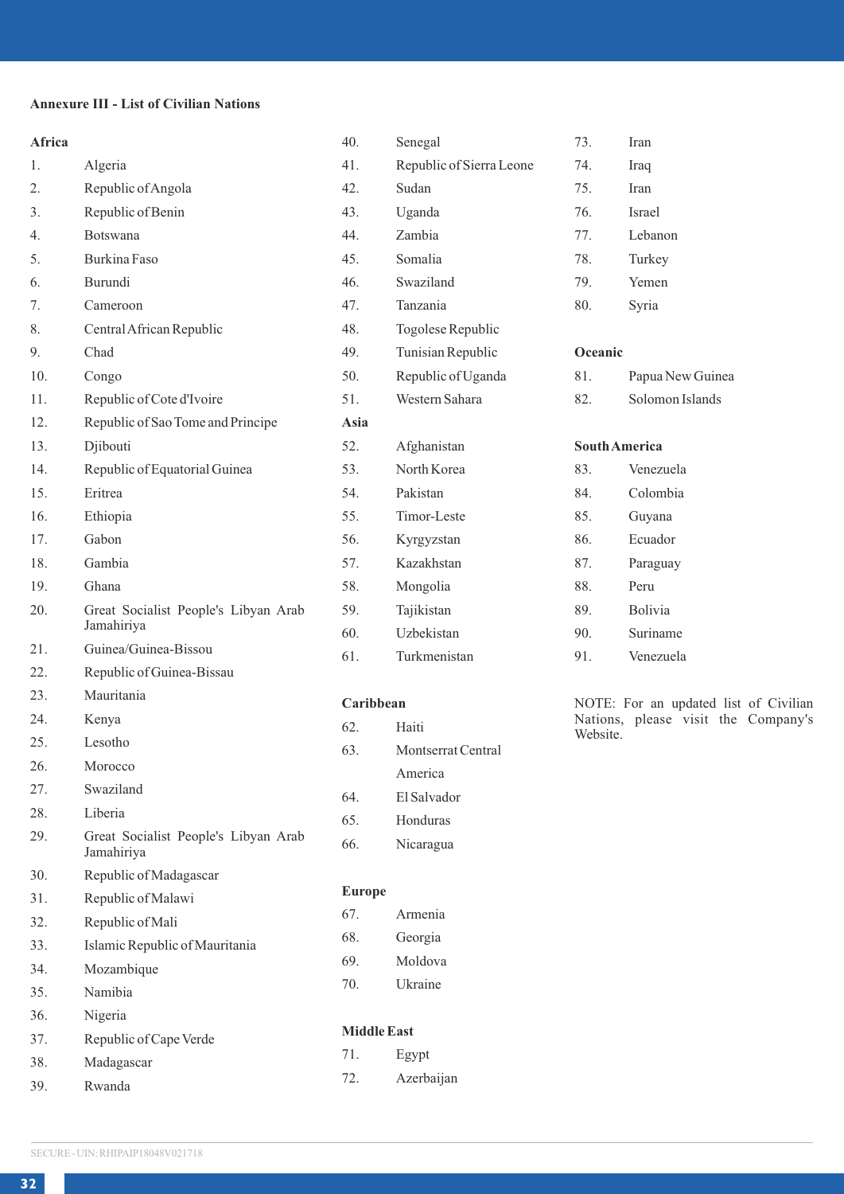# **Annexure III - List of Civilian Nations**

| Africa |                                                    | 40.                | Senegal                  | 73.      | Iran                                  |
|--------|----------------------------------------------------|--------------------|--------------------------|----------|---------------------------------------|
| 1.     | Algeria                                            | 41.                | Republic of Sierra Leone | 74.      | Iraq                                  |
| 2.     | Republic of Angola                                 | 42.                | Sudan                    | 75.      | Iran                                  |
| 3.     | Republic of Benin                                  | 43.                | Uganda                   | 76.      | Israel                                |
| 4.     | Botswana                                           | 44.                | Zambia                   | 77.      | Lebanon                               |
| 5.     | Burkina Faso                                       | 45.                | Somalia                  | 78.      | Turkey                                |
| 6.     | Burundi                                            | 46.                | Swaziland                | 79.      | Yemen                                 |
| 7.     | Cameroon                                           | 47.                | Tanzania                 | 80.      | Syria                                 |
| 8.     | Central African Republic                           | 48.                | Togolese Republic        |          |                                       |
| 9.     | Chad                                               | 49.                | Tunisian Republic        | Oceanic  |                                       |
| 10.    | Congo                                              | 50.                | Republic of Uganda       | 81.      | Papua New Guinea                      |
| 11.    | Republic of Cote d'Ivoire                          | 51.                | Western Sahara           | 82.      | Solomon Islands                       |
| 12.    | Republic of Sao Tome and Principe                  | Asia               |                          |          |                                       |
| 13.    | Djibouti                                           | 52.                | Afghanistan              |          | <b>South America</b>                  |
| 14.    | Republic of Equatorial Guinea                      | 53.                | North Korea              | 83.      | Venezuela                             |
| 15.    | Eritrea                                            | 54.                | Pakistan                 | 84.      | Colombia                              |
| 16.    | Ethiopia                                           | 55.                | Timor-Leste              | 85.      | Guyana                                |
| 17.    | Gabon                                              | 56.                | Kyrgyzstan               | 86.      | Ecuador                               |
| 18.    | Gambia                                             | 57.                | Kazakhstan               | 87.      | Paraguay                              |
| 19.    | Ghana                                              | 58.                | Mongolia                 | 88.      | Peru                                  |
| 20.    | Great Socialist People's Libyan Arab               | 59.                | Tajikistan               | 89.      | Bolivia                               |
|        | Jamahiriya                                         | 60.                | Uzbekistan               | 90.      | Suriname                              |
| 21.    | Guinea/Guinea-Bissou                               | 61.                | Turkmenistan             | 91.      | Venezuela                             |
| 22.    | Republic of Guinea-Bissau                          |                    |                          |          |                                       |
| 23.    | Mauritania                                         | Caribbean          |                          |          | NOTE: For an updated list of Civilian |
| 24.    | Kenya                                              | 62.                | Haiti                    | Website. | Nations, please visit the Company's   |
| 25.    | Lesotho                                            | 63.                | Montserrat Central       |          |                                       |
| 26.    | Morocco                                            |                    | America                  |          |                                       |
| 27.    | Swaziland                                          | 64.                | El Salvador              |          |                                       |
| 28.    | Liberia                                            | 65.                | Honduras                 |          |                                       |
| 29.    | Great Socialist People's Libyan Arab<br>Jamahiriya | 66.                | Nicaragua                |          |                                       |
| 30.    | Republic of Madagascar                             |                    |                          |          |                                       |
| 31.    | Republic of Malawi                                 | Europe             |                          |          |                                       |
| 32.    | Republic of Mali                                   | 67.                | Armenia                  |          |                                       |
| 33.    | Islamic Republic of Mauritania                     | 68.                | Georgia                  |          |                                       |
| 34.    | Mozambique                                         | 69.                | Moldova                  |          |                                       |
| 35.    | Namibia                                            | 70.                | Ukraine                  |          |                                       |
| 36.    | Nigeria                                            |                    |                          |          |                                       |
| 37.    | Republic of Cape Verde                             | <b>Middle East</b> |                          |          |                                       |

71. Egypt 72. Azerbaijan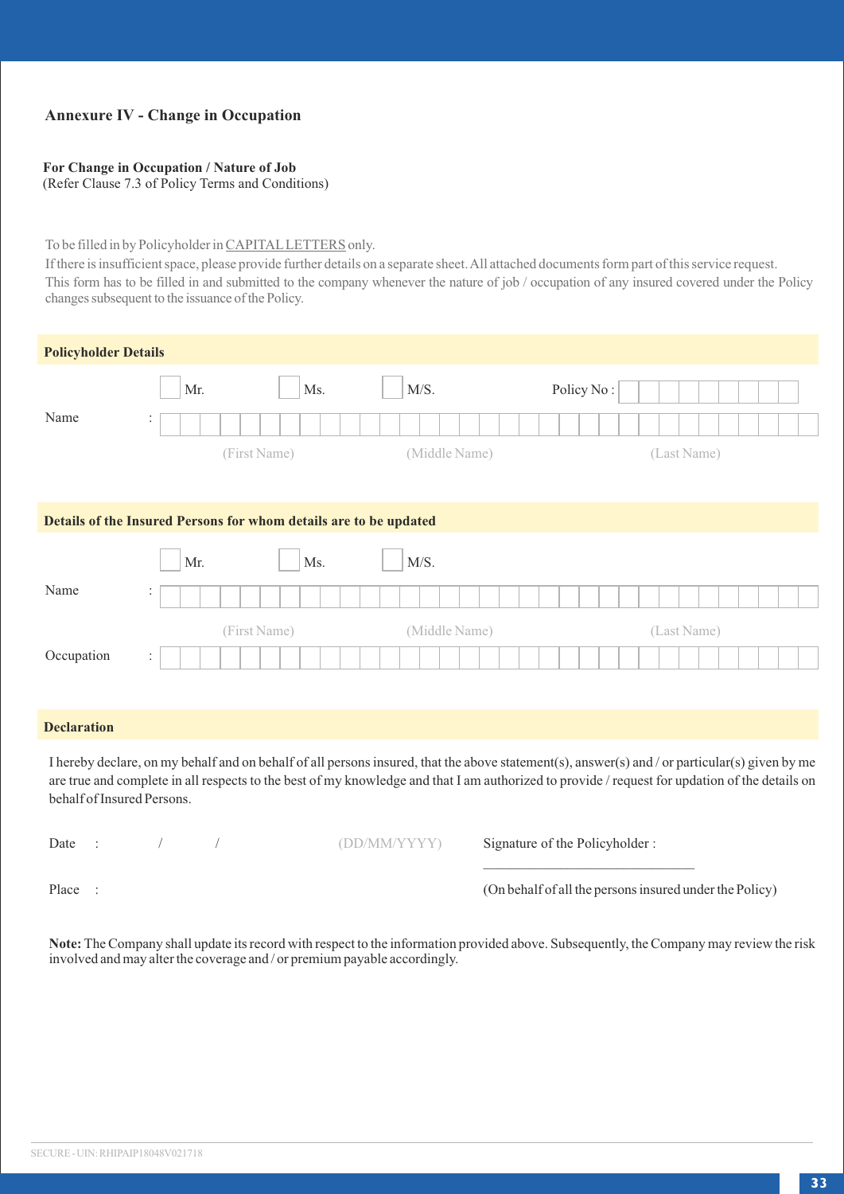# **Annexure IV - Change in Occupation**

### **For Change in Occupation / Nature of Job**

(Refer Clause 7.3 of Policy Terms and Conditions)

### To be filled in by Policyholder in CAPITAL LETTERS only.

If there is insufficient space, please provide further details on a separate sheet. All attached documents form part of this service request. This form has to be filled in and submitted to the company whenever the nature of job / occupation of any insured covered under the Policy changes subsequent to the issuance of the Policy.

| <b>Policyholder Details</b>                                       |     |              |               |            |             |
|-------------------------------------------------------------------|-----|--------------|---------------|------------|-------------|
|                                                                   | Mr. | Ms.          | M/S.          | Policy No: |             |
| Name                                                              | ÷.  |              |               |            |             |
|                                                                   |     | (First Name) | (Middle Name) |            | (Last Name) |
|                                                                   |     |              |               |            |             |
| Details of the Insured Persons for whom details are to be updated |     |              |               |            |             |
|                                                                   | Mr. | Ms.          | M/S.          |            |             |
| Name                                                              | ÷   |              |               |            |             |
|                                                                   |     | (First Name) | (Middle Name) |            | (Last Name) |
| Occupation                                                        | ÷   |              |               |            |             |
|                                                                   |     |              |               |            |             |

### **Declaration**

I hereby declare, on my behalf and on behalf of all persons insured, that the above statement(s), answer(s) and / or particular(s) given by me are true and complete in all respects to the best of my knowledge and that I am authorized to provide / request for updation of the details on behalf of Insured Persons.

| Date  |  |
|-------|--|
|       |  |
| Place |  |

/ (DD/MM/YYYY) Signature of the Policyholder :

\_\_\_\_\_\_\_\_\_\_\_\_\_\_\_\_\_\_\_\_\_\_\_\_\_\_\_\_\_\_

(On behalf of all the persons insured under the Policy)

**Note:** The Company shall update its record with respect to the information provided above. Subsequently, the Company may review the risk involved and may alter the coverage and / or premium payable accordingly.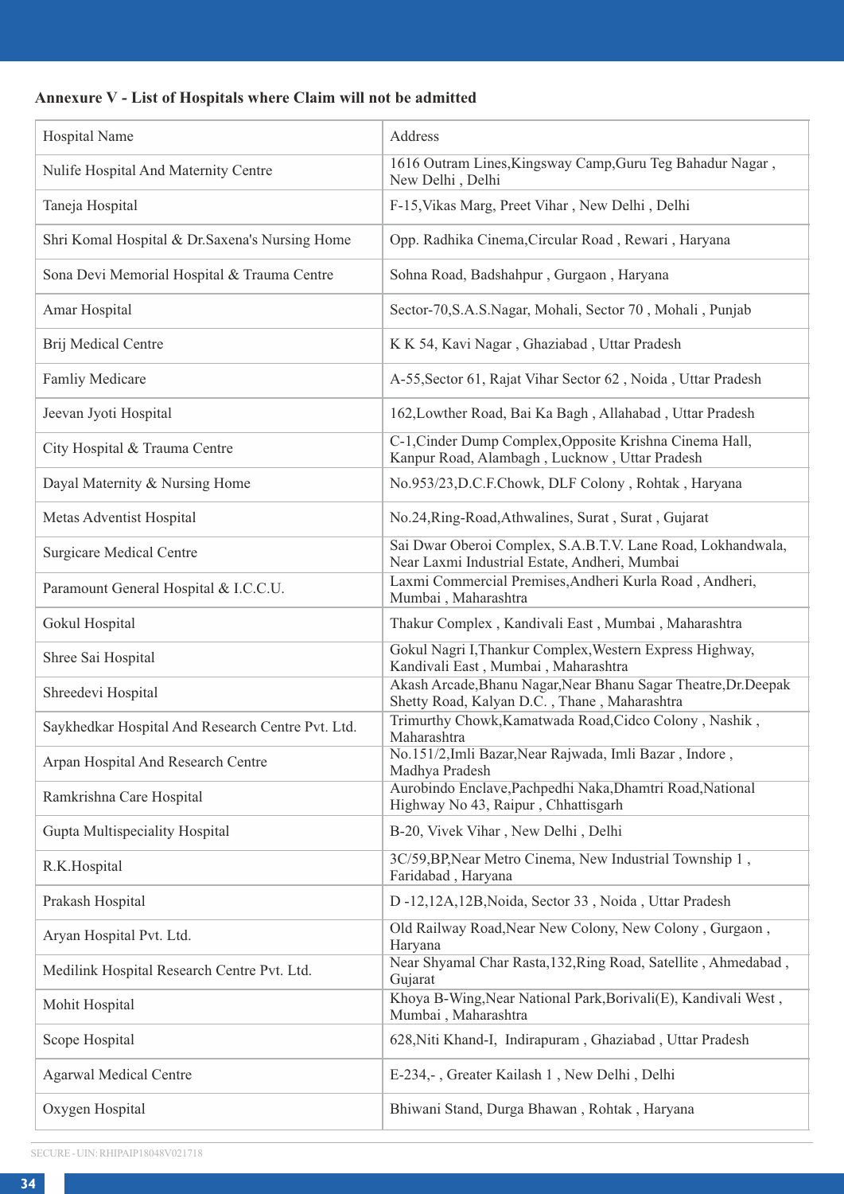# **Annexure V - List of Hospitals where Claim will not be admitted**

| Hospital Name                                     | Address                                                                                                         |
|---------------------------------------------------|-----------------------------------------------------------------------------------------------------------------|
| Nulife Hospital And Maternity Centre              | 1616 Outram Lines, Kingsway Camp, Guru Teg Bahadur Nagar,<br>New Delhi, Delhi                                   |
| Taneja Hospital                                   | F-15, Vikas Marg, Preet Vihar, New Delhi, Delhi                                                                 |
| Shri Komal Hospital & Dr. Saxena's Nursing Home   | Opp. Radhika Cinema, Circular Road, Rewari, Haryana                                                             |
| Sona Devi Memorial Hospital & Trauma Centre       | Sohna Road, Badshahpur, Gurgaon, Haryana                                                                        |
| Amar Hospital                                     | Sector-70, S.A.S.Nagar, Mohali, Sector 70, Mohali, Punjab                                                       |
| Brij Medical Centre                               | K K 54, Kavi Nagar, Ghaziabad, Uttar Pradesh                                                                    |
| Famliy Medicare                                   | A-55, Sector 61, Rajat Vihar Sector 62, Noida, Uttar Pradesh                                                    |
| Jeevan Jyoti Hospital                             | 162, Lowther Road, Bai Ka Bagh, Allahabad, Uttar Pradesh                                                        |
| City Hospital & Trauma Centre                     | C-1, Cinder Dump Complex, Opposite Krishna Cinema Hall,<br>Kanpur Road, Alambagh, Lucknow, Uttar Pradesh        |
| Dayal Maternity & Nursing Home                    | No.953/23,D.C.F.Chowk, DLF Colony, Rohtak, Haryana                                                              |
| Metas Adventist Hospital                          | No.24, Ring-Road, Athwalines, Surat, Surat, Gujarat                                                             |
| Surgicare Medical Centre                          | Sai Dwar Oberoi Complex, S.A.B.T.V. Lane Road, Lokhandwala,<br>Near Laxmi Industrial Estate, Andheri, Mumbai    |
| Paramount General Hospital & I.C.C.U.             | Laxmi Commercial Premises, Andheri Kurla Road, Andheri,<br>Mumbai, Maharashtra                                  |
| Gokul Hospital                                    | Thakur Complex, Kandivali East, Mumbai, Maharashtra                                                             |
| Shree Sai Hospital                                | Gokul Nagri I, Thankur Complex, Western Express Highway,<br>Kandivali East, Mumbai, Maharashtra                 |
| Shreedevi Hospital                                | Akash Arcade, Bhanu Nagar, Near Bhanu Sagar Theatre, Dr. Deepak<br>Shetty Road, Kalyan D.C., Thane, Maharashtra |
| Saykhedkar Hospital And Research Centre Pvt. Ltd. | Trimurthy Chowk, Kamatwada Road, Cidco Colony, Nashik,<br>Maharashtra                                           |
| Arpan Hospital And Research Centre                | No.151/2, Imli Bazar, Near Rajwada, Imli Bazar, Indore,<br>Madhya Pradesh                                       |
| Ramkrishna Care Hospital                          | Aurobindo Enclave, Pachpedhi Naka, Dhamtri Road, National<br>Highway No 43, Raipur, Chhattisgarh                |
| Gupta Multispeciality Hospital                    | B-20, Vivek Vihar, New Delhi, Delhi                                                                             |
| R.K.Hospital                                      | 3C/59, BP, Near Metro Cinema, New Industrial Township 1,<br>Faridabad, Haryana                                  |
| Prakash Hospital                                  | D -12,12A,12B, Noida, Sector 33, Noida, Uttar Pradesh                                                           |
| Aryan Hospital Pvt. Ltd.                          | Old Railway Road, Near New Colony, New Colony, Gurgaon,<br>Haryana                                              |
| Medilink Hospital Research Centre Pvt. Ltd.       | Near Shyamal Char Rasta, 132, Ring Road, Satellite, Ahmedabad,<br>Gujarat                                       |
| Mohit Hospital                                    | Khoya B-Wing, Near National Park, Borivali(E), Kandivali West,<br>Mumbai, Maharashtra                           |
| Scope Hospital                                    | 628, Niti Khand-I, Indirapuram, Ghaziabad, Uttar Pradesh                                                        |
| <b>Agarwal Medical Centre</b>                     | E-234, -, Greater Kailash 1, New Delhi, Delhi                                                                   |
| Oxygen Hospital                                   | Bhiwani Stand, Durga Bhawan, Rohtak, Haryana                                                                    |

SECURE - UIN: RHIPAIP18048V021718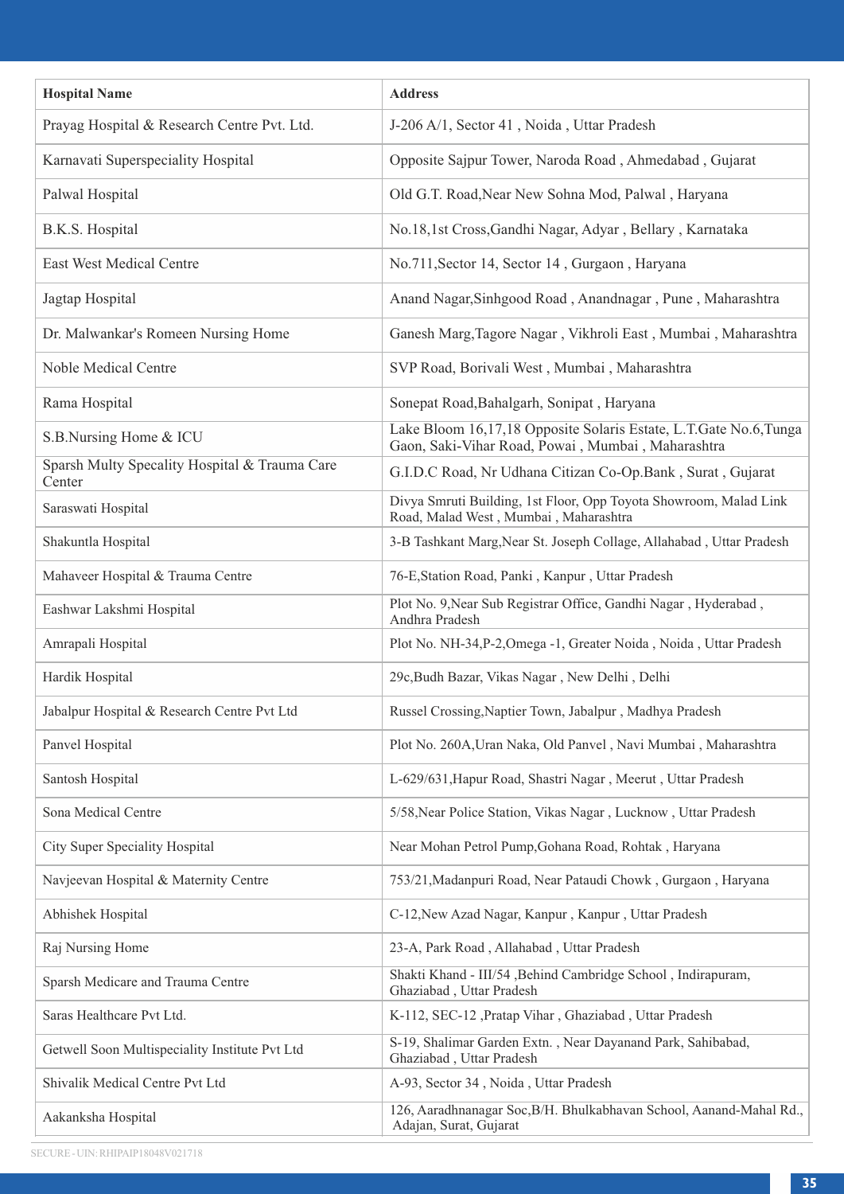| <b>Hospital Name</b>                                    | <b>Address</b>                                                                                                          |
|---------------------------------------------------------|-------------------------------------------------------------------------------------------------------------------------|
| Prayag Hospital & Research Centre Pvt. Ltd.             | J-206 A/1, Sector 41, Noida, Uttar Pradesh                                                                              |
| Karnavati Superspeciality Hospital                      | Opposite Sajpur Tower, Naroda Road, Ahmedabad, Gujarat                                                                  |
| Palwal Hospital                                         | Old G.T. Road, Near New Sohna Mod, Palwal, Haryana                                                                      |
| B.K.S. Hospital                                         | No.18,1st Cross, Gandhi Nagar, Adyar, Bellary, Karnataka                                                                |
| East West Medical Centre                                | No.711, Sector 14, Sector 14, Gurgaon, Haryana                                                                          |
| Jagtap Hospital                                         | Anand Nagar, Sinhgood Road, Anandnagar, Pune, Maharashtra                                                               |
| Dr. Malwankar's Romeen Nursing Home                     | Ganesh Marg, Tagore Nagar, Vikhroli East, Mumbai, Maharashtra                                                           |
| Noble Medical Centre                                    | SVP Road, Borivali West, Mumbai, Maharashtra                                                                            |
| Rama Hospital                                           | Sonepat Road, Bahalgarh, Sonipat, Haryana                                                                               |
| S.B.Nursing Home & ICU                                  | Lake Bloom 16,17,18 Opposite Solaris Estate, L.T. Gate No.6, Tunga<br>Gaon, Saki-Vihar Road, Powai, Mumbai, Maharashtra |
| Sparsh Multy Specality Hospital & Trauma Care<br>Center | G.I.D.C Road, Nr Udhana Citizan Co-Op.Bank, Surat, Gujarat                                                              |
| Saraswati Hospital                                      | Divya Smruti Building, 1st Floor, Opp Toyota Showroom, Malad Link<br>Road, Malad West, Mumbai, Maharashtra              |
| Shakuntla Hospital                                      | 3-B Tashkant Marg, Near St. Joseph Collage, Allahabad, Uttar Pradesh                                                    |
| Mahaveer Hospital & Trauma Centre                       | 76-E, Station Road, Panki, Kanpur, Uttar Pradesh                                                                        |
| Eashwar Lakshmi Hospital                                | Plot No. 9, Near Sub Registrar Office, Gandhi Nagar, Hyderabad,<br>Andhra Pradesh                                       |
| Amrapali Hospital                                       | Plot No. NH-34, P-2, Omega -1, Greater Noida, Noida, Uttar Pradesh                                                      |
| Hardik Hospital                                         | 29c, Budh Bazar, Vikas Nagar, New Delhi, Delhi                                                                          |
| Jabalpur Hospital & Research Centre Pvt Ltd             | Russel Crossing, Naptier Town, Jabalpur, Madhya Pradesh                                                                 |
| Panvel Hospital                                         | Plot No. 260A, Uran Naka, Old Panvel, Navi Mumbai, Maharashtra                                                          |
| Santosh Hospital                                        | L-629/631, Hapur Road, Shastri Nagar, Meerut, Uttar Pradesh                                                             |
| Sona Medical Centre                                     | 5/58, Near Police Station, Vikas Nagar, Lucknow, Uttar Pradesh                                                          |
| City Super Speciality Hospital                          | Near Mohan Petrol Pump, Gohana Road, Rohtak, Haryana                                                                    |
| Navjeevan Hospital & Maternity Centre                   | 753/21, Madanpuri Road, Near Pataudi Chowk, Gurgaon, Haryana                                                            |
| Abhishek Hospital                                       | C-12, New Azad Nagar, Kanpur, Kanpur, Uttar Pradesh                                                                     |
| Raj Nursing Home                                        | 23-A, Park Road, Allahabad, Uttar Pradesh                                                                               |
| Sparsh Medicare and Trauma Centre                       | Shakti Khand - III/54 , Behind Cambridge School, Indirapuram,<br>Ghaziabad, Uttar Pradesh                               |
| Saras Healthcare Pvt Ltd.                               | K-112, SEC-12 ,Pratap Vihar, Ghaziabad, Uttar Pradesh                                                                   |
| Getwell Soon Multispeciality Institute Pvt Ltd          | S-19, Shalimar Garden Extn., Near Dayanand Park, Sahibabad,<br>Ghaziabad, Uttar Pradesh                                 |
| Shivalik Medical Centre Pvt Ltd                         | A-93, Sector 34, Noida, Uttar Pradesh                                                                                   |
| Aakanksha Hospital                                      | 126, Aaradhnanagar Soc, B/H. Bhulkabhavan School, Aanand-Mahal Rd.,<br>Adajan, Surat, Gujarat                           |